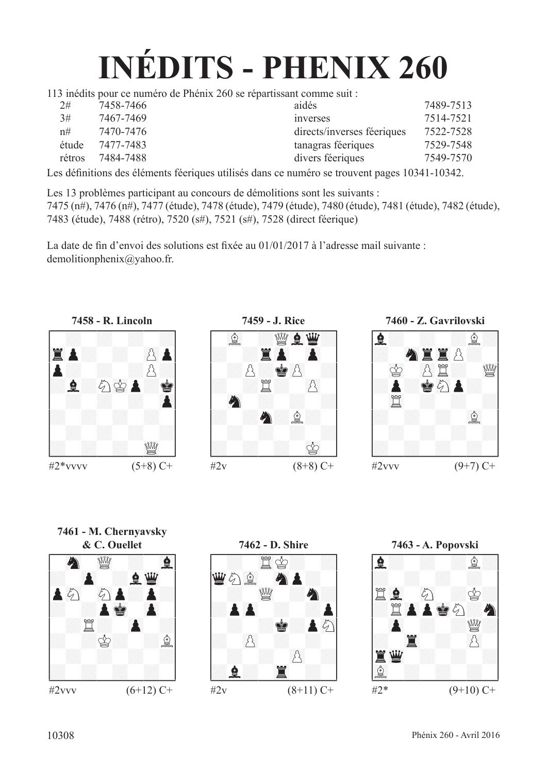# **INÉDITS - PHENIX 260**

113 inédits pour ce numéro de Phénix 260 se répartissant comme suit :

| 2#     | 7458-7466 | aidés                      | 7489-7513 |  |
|--------|-----------|----------------------------|-----------|--|
| 3#     | 7467-7469 | <i>inverses</i>            | 7514-7521 |  |
| n#     | 7470-7476 | directs/inverses féeriques | 7522-7528 |  |
| étude  | 7477-7483 | tanagras féeriques         | 7529-7548 |  |
| rétros | 7484-7488 | divers féeriques           | 7549-7570 |  |
|        |           |                            |           |  |

Les défnitions des éléments féeriques utilisés dans ce numéro se trouvent pages 10341-10342.

Les 13 problèmes participant au concours de démolitions sont les suivants :

7475 (n#), 7476 (n#), 7477 (étude), 7478 (étude), 7479 (étude), 7480 (étude), 7481 (étude), 7482 (étude), 7483 (étude), 7488 (rétro), 7520 (s#), 7521 (s#), 7528 (direct féerique)

La date de fn d'envoi des solutions est fxée au 01/01/2017 à l'adresse mail suivante : demolitionphenix@yahoo.fr.







**7461 - M. Chernyavsky**





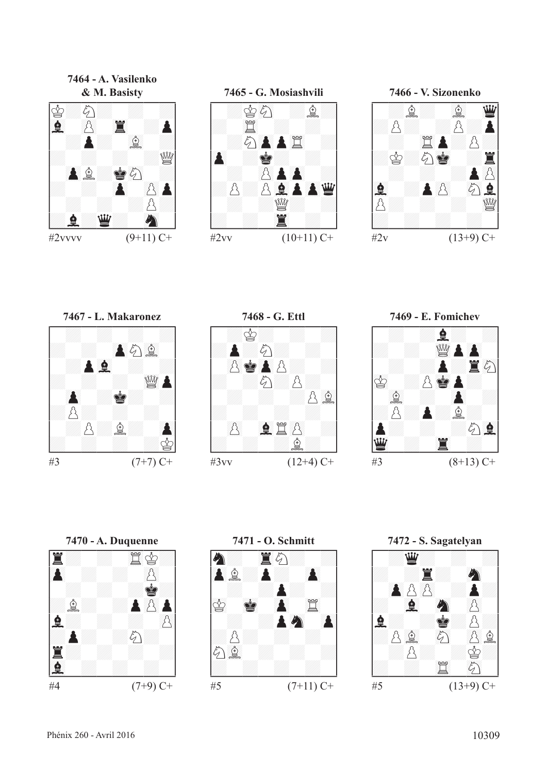**7464 - A. Vasilenko**



**7465 - G. Mosiashvili** !--------! / :r89c :f:/ /: 45t : : / / :c()PP45t :/ /()P :R: : / / : ()pP()P :/ /:p:p67FP()PD/ / : :de: :/ /: : 45T : /

#2vv  $(10+11)$  C+





**7468 - G. Ettl** !--------! / :r: : :/ /:P:c: : / / ()pR()Pp: :/ /: :c:p: / / : : :p67f/ /: : : : / / ()p 67Ft()p :/ /: : :f: / \$\_\_\_\_\_\_\_\_\$  $\#3\text{vv}$  (12+4) C+







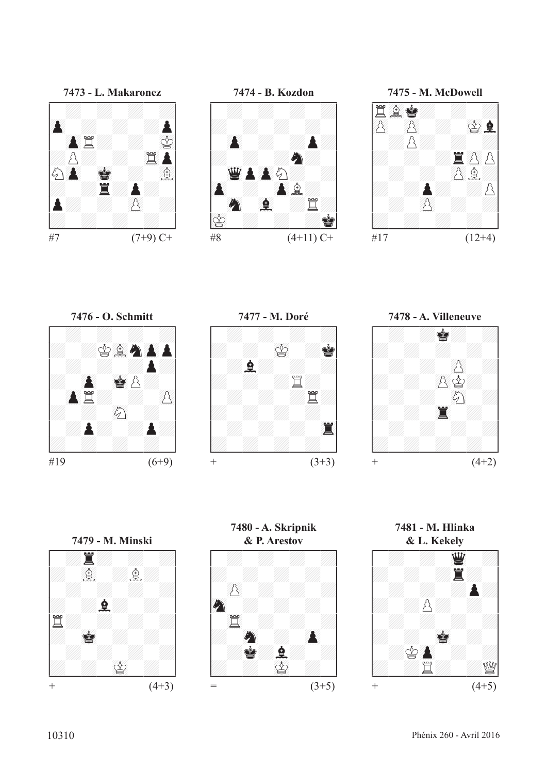















**7481 - M. Hlinka**

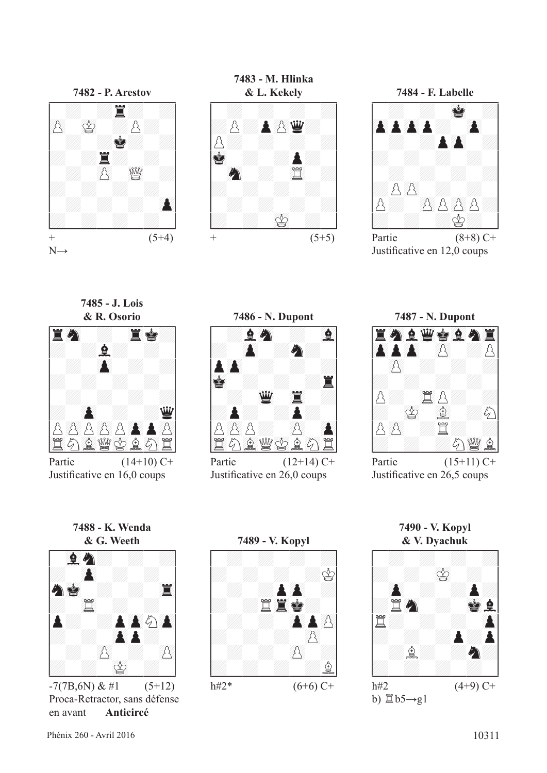



**7483 - M. Hlinka**





Partie  $(8+8)$  C+ Justifcative en 12,0 coups

**7485 - J. Lois**



Partie  $(14+10)$  C+ Justifcative en 16,0 coups





Partie  $(12+14)$  C+ Justifcative en 26,0 coups



Partie  $(15+11)$  C+ Justifcative en 26,5 coups



Proca-Retractor, sans défense en avant **Anticircé**



**7490 - V. Kopyl**

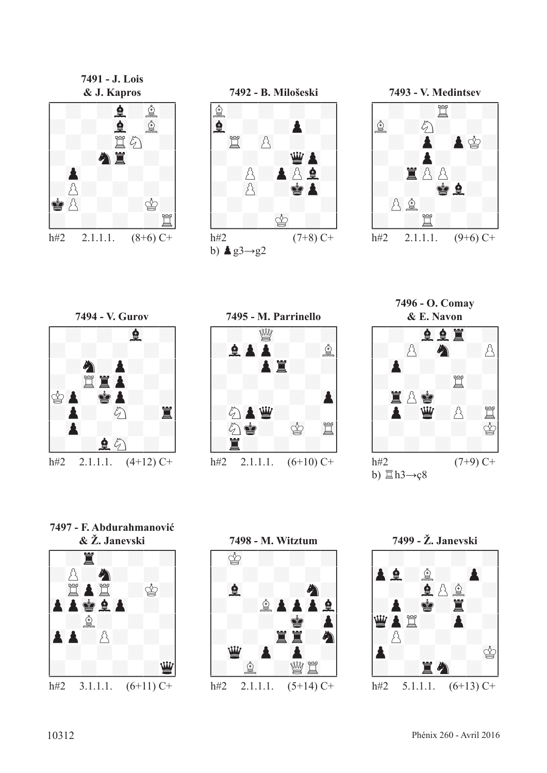**7491 - J. Lois**





**7493 - V. Medintsev** !--------! / : :t: :/ /67f :c: : / / : ()P ()Pr:/ /: :P: : / / :T()pp: :/ /: : 01RF: / / ()pf: : :/ /: :t: : / h#2 2.1.1.1.  $(9+6)$  C+



**7495 - M. Parrinello** !--------! / : 23de : :/ /:F()PP: :f/ / : ()PT: :/ /: : : : / / : : : ()P/ /:c()PD: : / / 89cR: 01r 45t/ /:T: : : / \$\_\_\_\_\_\_\_\_\$ h#2 2.1.1.1.  $(6+10)$  C+

**7496 - O. Comay**



**7497 - F. Abdurahmanović**



**7498 - M. Witztum** !--------! / 01r : : :/ /: : : : / / 67F : :C:/ /: :f()PP()PF/ / : : 01R ()P/ /: : 45TT:C/ / 23D ()P ()P :/ /: 67f :de45t / \$\_\_\_\_\_\_\_\_\$ h#2 2.1.1.1. (5+14) C+

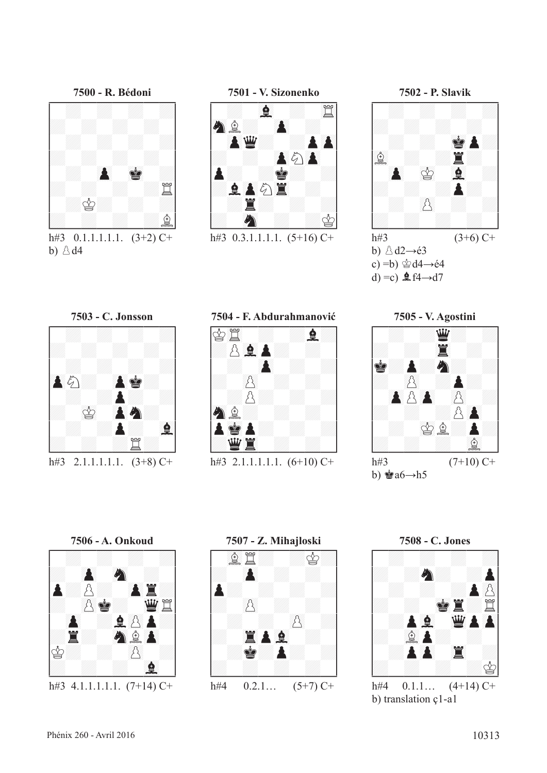

h#3  $0.1.1.1.1.1$ .  $(3+2)$  C+ b)  $\triangle$  d4



h#3  $0.3.1.1.1.1.$   $(5+16)$  C+



b)  $\triangle$  d2→é3 c) =b)  $\triangleleft$ d4→é4 d) =c)  $\hat{\mathbf{\underline{e}}}$  f4→d7





**7504 - F. Abdurahmanović**



h#3 2.1.1.1.1.1.  $(6+10)$  C+









b) translation ç1-a1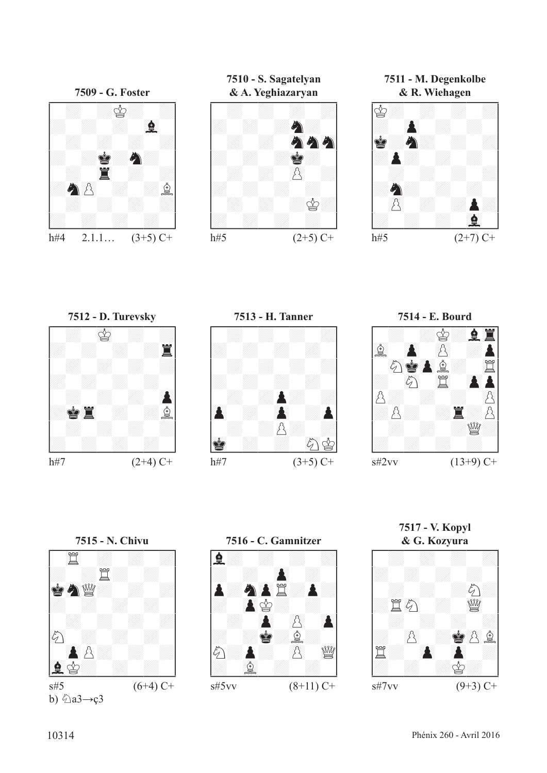

**7510 - S. Sagatelyan**



**7511 - M. Degenkolbe**











b)  $\&$ a3→ç3



**7517 - V. Kopyl**

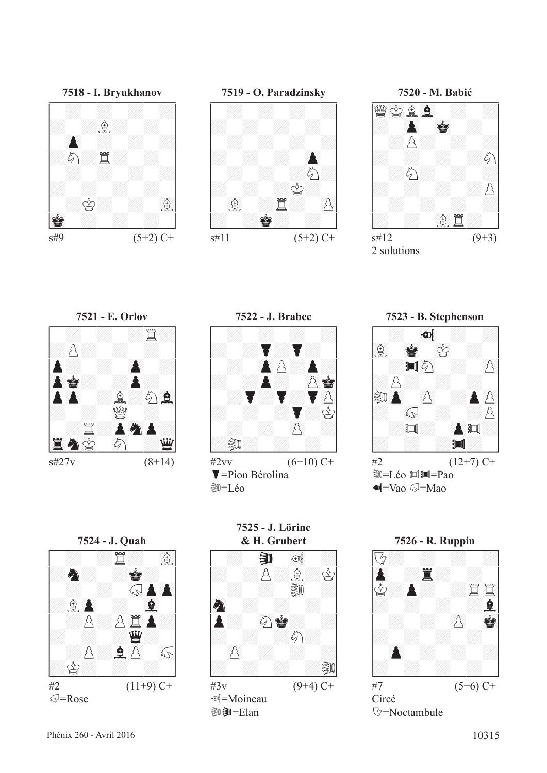$\sqrt{S}$ =Rose

**7524 - J. Quah** !--------! / : :t: 67f/ /:C: :R: / / : : =?gP()P/ /:f()P : 67F / / :p:p45tP:/ /: : :D: / / :p:F()p =?g/ /:r: : : / \$\_\_\_\_\_\_\_\_\$ #2 (11+9) C+





**7520 - M. Babić** !--------! /de01rf67F : :/ /: ()P 01R : / / :p: : :/ /: : : :c/ / :c: : :/ /: : : :p/ / : : : :/ /: : 67ft: / \$\_\_\_\_\_\_\_\_\$  $s#12$  (9+3)



**7523 - B. Stephenson**<br> **194**<br> **194**<br> **194**<br> **1942**<br> **1947**<br> **1947**<br> **1947**  $#2$   $(12+7)$  C+ **D=Léo 回测=Pao**  $\blacksquare$ Lao  $\mathbb{Q}$ =Mao



**7525 - J. Lörinc & H. Grubert** !--------! / : ¤U ²³l :/ /: :p:f:r/ / : : ¤uv :/ /89C : : : / /P: 89cR: :/ /: : :c: / / ()p : : :/ /: : : :uv/ \$\_\_\_\_\_\_\_\_\$ #3v (9+4) C+

l=Moineau **如即=Elan** 



 $s\#27v$  (8+14)



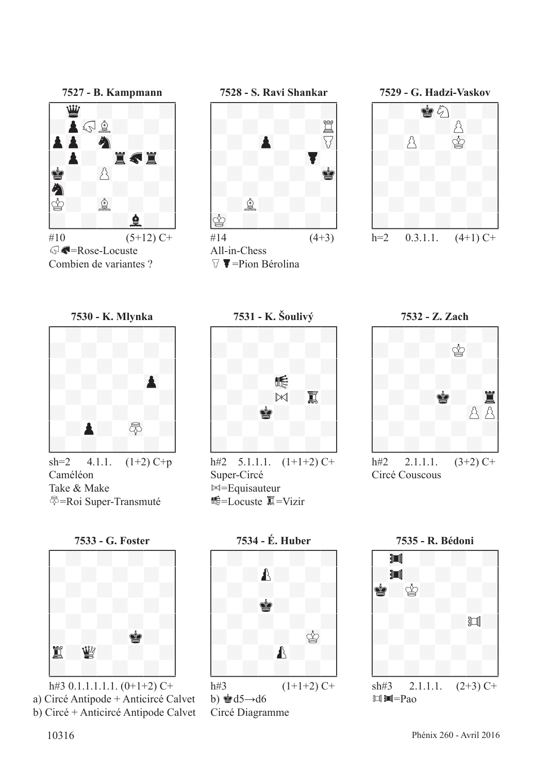

#10  $(5+12)$  C+ G-Rose-Locuste Combien de variantes ?





 $\triangledown \blacktriangledown$  = Pion Bérolina





sh=2  $4.1.1.$   $(1+2)$  C+p Caméléon Take & Make =Roi Super-Transmuté





a) Circé Antipode + Anticircé Calvet b)  $\triangleq d5 \rightarrow d6$   $\square$   $\square$ b) Circé + Anticircé Antipode Calvet



h#2  $5.1.1.1$ .  $(1+1+2)$  C+ Super-Circé  $M =$ Equisauteur ■ E=Locuste ■ =Vizir



Circé Couscous



b)  $\triangleq d5 \rightarrow d6$ Circé Diagramme

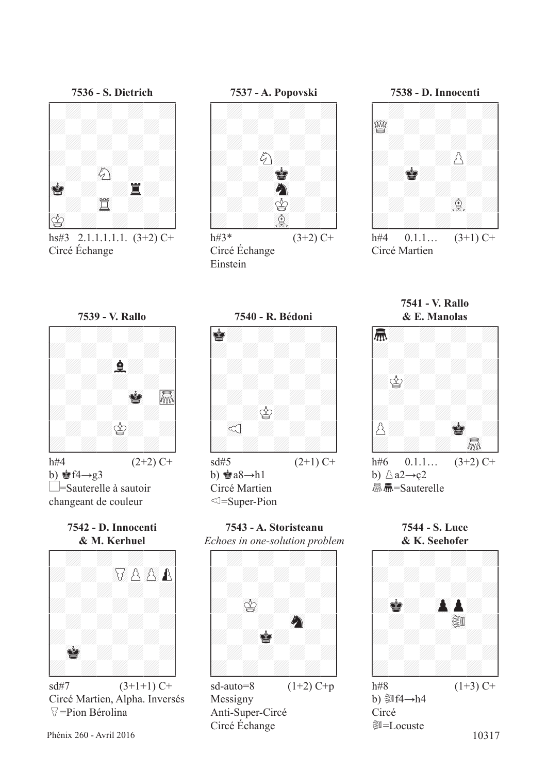

hs#3 2.1.1.1.1.1.  $(3+2)$  C+ Circé Échange



h#3\*  $(3+2)$  C+ Circé Échange Einstein



h#4  $0.1.1...$   $(3+1)$  C+ Circé Martien



changeant de couleur

**7542 - D. Innocenti**



Circé Martien, Alpha. Inversés  $\triangledown$ =Pion Bérolina



**7543 - A. Storisteanu** *Echoes in one-solution problem*



Messigny Anti-Super-Circé Circé Échange

**7541 - V. Rallo**



**7544 - S. Luce**



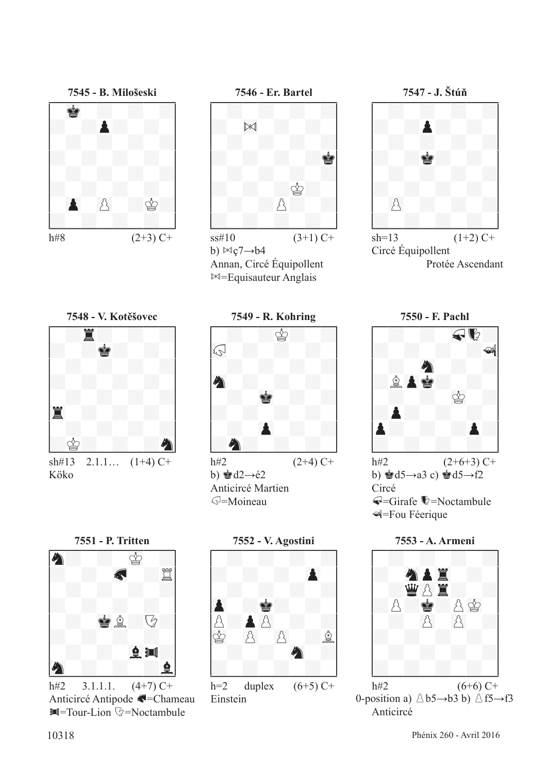

h#8  $(2+3)$  C+



b)  $Mg7 \rightarrow b4$ Annan, Circé Équipollent  $\bowtie$ =Equisauteur Anglais

**7547 - J. Štúň** !--------! / : : : :/ /: :P: : / / : : : :/ /: :R: : / / : : : :/ /: : : : / / ()p : : :/ /: : : : / \$\_\_\_\_\_\_\_\_\$

 $sh=13$  (1+2) C+ Circé Équipollent Protée Ascendant



sh#13 2.1.1...  $(1+4)$  C+ Köko



b)  $\triangleq d2 \rightarrow 2$ Anticircé Martien g=Moineau



Anticircé Antipode G=Chameau  $\blacksquare$ =Tour-Lion  $\heartsuit$ =Noctambule



Einstein



h#2  $(2+6+3)$  C+ b)  $\triangleq d5 \rightarrow a3$  c)  $\triangleq d5 \rightarrow f2$ Circé  $\blacktriangleleft$ =Girafe  $\blacktriangledown$ =Noctambule Î=Fou Féerique



0-position a)  $\triangle b5 \rightarrow b3 b$ )  $\triangle f5 \rightarrow f3$ Anticircé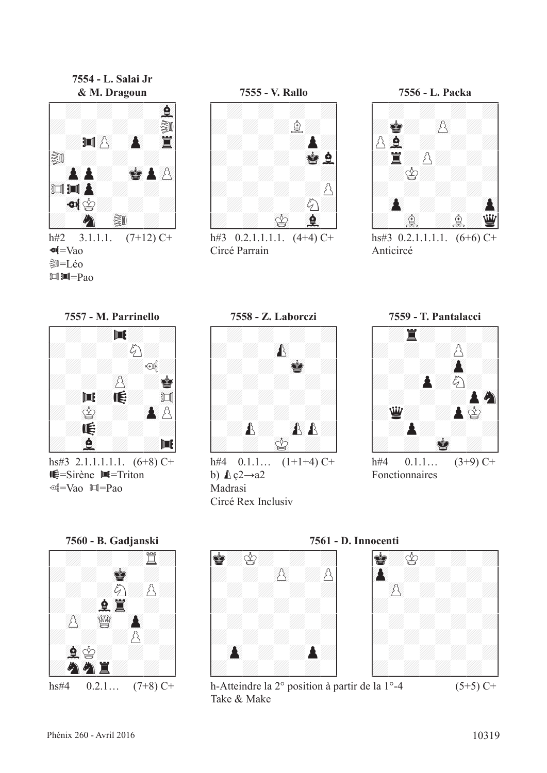**7554 - L. Salai Jr**







h#3  $0.2.1.1.1.1$ .  $(4+4)$  C+ Circé Parrain



hs#3  $0.2.1.1.1.1$ .  $(6+6)$  C+ Anticircé



hs#3 2.1.1.1.1.1.  $(6+8)$  C+  $\mathbb{E}$ =Sirène  $\mathbb{H}$ =Triton  $\text{W}$ =Vao  $\text{W}$ =Pao





h#4  $0.1.1...$   $(1+1+4)$  C+ b)  $\& q2 \rightarrow a2$ Madrasi Circé Rex Inclusiv



Fonctionnaires





Take & Make

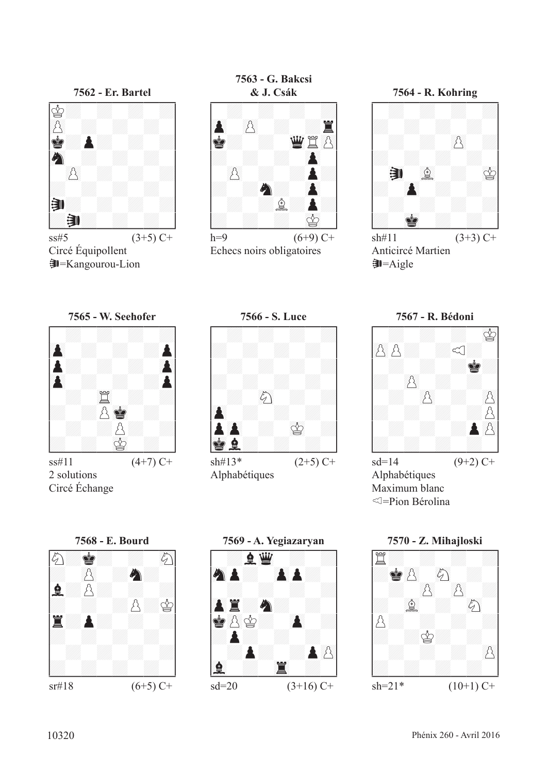

 $\text{ss} \# 5$  (3+5) C+ Circé Équipollent U=Kangourou-Lion





h=9  $(6+9)$  C+ Echecs noirs obligatoires

**7564 - R. Kohring** !--------! / : : : :/ /: : : : / / : : ()p :/ /: : : : / / ¤U 67f : 01r/ /: ()P : : / / : : : :/ /: 01R : : / \$\_\_\_\_\_\_\_\_\$  $sh#11$  (3+3) C+ Anticircé Martien

 $\bigtriangledown$ =Aigle











Alphabétiques Maximum blanc =Pion Bérolina

Circé Échange



**7569 - A. Yegiazaryan** !--------! / :F23D : :/ /89CP: ()PP: / / : : : :/ /()PT:C: : / /R()pr: ()P :/ /:P: : : / / :P: :P()p/ /67F : 45T : / \$\_\_\_\_\_\_\_\_\$ sd=20 (3+16) C+

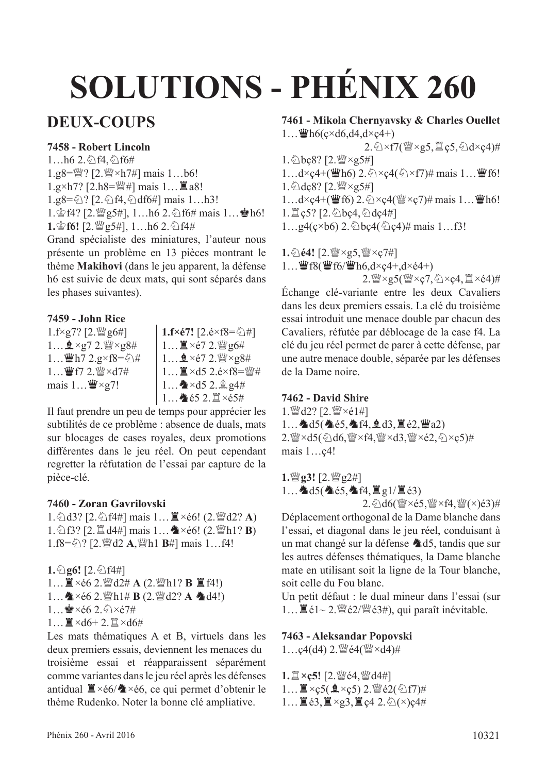# **SOLUTIONS - PHÉNIX 260**

# **DEUX-COUPS**

#### **7458 - Robert Lincoln**

 $1...h6$  2.  $2.6$  f4,  $6$  f6# 1.g8= $\mathbb{W}$ ? [2. $\mathbb{W} \times h7\#$ ] mais 1...b6! 1.g×h7? [2.h8= $\mathbb{W}$ #] mais 1...  $\mathbb{Z}$  a8!  $1.g8 = \bigcirc 2$ ? [2.  $\bigcirc$  f4,  $\bigcirc$  df6#] mais 1...h3! 1.  $\circ$  f4? [2. $\circ$  g5#], 1... h6 2.  $\circ$  f6# mais 1...  $\bullet$  h6! 1. f6! [2.  $\mathcal{Q}_5$ #], 1…h6 2.  $\Diamond$  f4#

Grand spécialiste des miniatures, l'auteur nous présente un problème en 13 pièces montrant le thème **Makihovi** (dans le jeu apparent, la défense h6 est suivie de deux mats, qui sont séparés dans les phases suivantes).

#### **7459 - John Rice**

 $1.f \times g7?$  [2. $\mathcal{W}$ g6#]  $1...$   $2 \times g7$  2.  $\frac{90}{2} \times g8#$  $1...$  $\mathbf{\ddot{w}}$ h7 2.g×f8= $\Diamond$ # 1... 曹f7 2. 暨×d7# mais  $1 \dots \mathbf{W} \times g$ 7!

**1.f×é7!**  $[2.\text{e} \times \text{f}8 = \text{O}/\text{H}]$  $1...$  $\mathbb{Z} \times 67$  2. $\mathbb{W}$  g6#  $1...$   $2 \times 67$  2.  $\frac{300}{4} \times 28$ #  $1...$   $\mathbb{I} \times$ d5 2.é $\times$ f8= $\mathbb{I}$ #  $1...$   $\triangle$  × d5 2.  $\angle$  g4#  $1...$  é5  $2.\mathbb{Z}\times 65#$ 

Il faut prendre un peu de temps pour apprécier les subtilités de ce problème : absence de duals, mats sur blocages de cases royales, deux promotions diférentes dans le jeu réel. On peut cependant regretter la réfutation de l'essai par capture de la pièce-clé.

#### **7460 - Zoran Gavrilovski**

1. ①d3? [2. ①f4#] mais 1... **■**×é6! (2. *sumediation*) 1. ①f3? [2.  $\Box$  d4#] mais 1... **A** ×é6! (2.  $\Box$  h1? **B**) 1.f8=<del>么? [2.</del> @d2 A, @h1 **B**#] mais 1…f4!

**1.**①g6! [2.①f4#]

- 1...  $\mathbb{I} \times 66$  2.  $\mathbb{I}$  d2# **A** (2.  $\mathbb{I}$  h1? **B**  $\mathbb{I}$  f4!)
- $1...$   $\&$  ×é6 2.  $\mathbb{W}$ h1# **B** (2.  $\mathbb{W}$ d2? **A**  $\&$ d4!)
- $1...$  $x \in 62.5 \times 67#$
- $1...$  $\mathbb{Z} \times d6+2.$  $\mathbb{Z} \times d6\#$

Les mats thématiques A et B, virtuels dans les deux premiers essais, deviennent les menaces du troisième essai et réapparaissent séparément comme variantes dans le jeu réel après les défenses antidual  $\mathbb{Z} \times 66$ / $\mathbb{A} \times 66$ , ce qui permet d'obtenir le thème Rudenko. Noter la bonne clé ampliative.

#### **7461 - Mikola Chernyavsky & Charles Ouellet**  $1...$  Wh6( $\csc 46, d4, d \csc 4+$ )

 $2.\textcircled{x} \times f7$ ( $\textcircled{w} \times g5$ ,  $\textcircled{z}$  c5,  $\textcircled{x}$  d $\times$ c4)#  $1.\text{\textdegree$\triangleleft}$ bc8? [2. $\text{\textdegree$\triangleright}$ s5#] 1…d×ç4+( $\mathbf{\ddot{w}}$ h6) 2. $\Diamond$ ×ç4( $\Diamond$ ×f7)# mais 1… $\mathbf{\ddot{w}}$ f6! 1. 2dc8? [2. <a>y<br/> <a>c</a>5#] 1…d×ç4+( $\mathbf{\ddot{w}}$ f6) 2. $\Diamond$ ×ç4( $\mathbf{\ddot{w}}$ ×ç7)# mais 1… $\mathbf{\ddot{w}}$ h6!  $1.\n\mathbb{Z}$ ç5? [2. $\Diamond$ bç4, $\Diamond$ dç4#]  $1...$ g4(ç×b6) 2. $\&$ bç4( $\&$ ) $\neq$ )# mais 1...f3!

1. ①**é4!** [2. *sex x g 5*, *sex × c* 7#]  $1...$   $\mathbf{\mathcal{W}}$ f8( $\mathbf{\mathcal{W}}$ f6/ $\mathbf{\mathcal{W}}$ h6,d×ç4+,d×é4+)

 $2.$  $\frac{W}{2} \times 25$ ( $W \times c7$ ,  $\frac{C}{2} \times c4$ ,  $\frac{m}{2} \times c4$ )#

Échange clé-variante entre les deux Cavaliers dans les deux premiers essais. La clé du troisième essai introduit une menace double par chacun des Cavaliers, réfutée par déblocage de la case f4. La clé du jeu réel permet de parer à cette défense, par une autre menace double, séparée par les défenses de la Dame noire.

#### **7462 - David Shire**

1. 營d2? [2. 營×é1#]  $1...$   $d5($   $d65,$   $d14,$   $d3,$   $\ddot{d}62,$   $\dddot{d}22)$ 2. Wexd5(4d6, Wexf4, Wexd3, Wexé2, 4xc5)# mais 1…ç4!

**1.***s*<sub>g3!</sub> [2. *s*<sub>g2#]</sub> 1...  $\triangle 05$ ( $\triangle 65$ ,  $\triangle 14$ ,  $\cong$  g1/ $\cong$  é3) 2. @d6( $\mathcal{L} \times 65$ , $\mathcal{L} \times 64$ , $\mathcal{L} \times (4)$ é3)#

Déplacement orthogonal de la Dame blanche dans l'essai, et diagonal dans le jeu réel, conduisant à un mat changé sur la défense  $\triangle$ d5, tandis que sur les autres défenses thématiques, la Dame blanche mate en utilisant soit la ligne de la Tour blanche, soit celle du Fou blanc.

Un petit défaut : le dual mineur dans l'essai (sur 1...  $\mathbb{E} \in \{-2.1, \frac{100}{3}\}$ é2/ $\mathbb{E} \in \{-3, 4\}$ , qui paraît inévitable.

**7463 - Aleksandar Popovski**

 $1...\varsigma4(d4)$  2.  $\mathbb{W}\in4(\mathbb{W}\times d4)\#$ 

**1.**  $\mathbb{Z} \times \mathbb{C}$ 5! [2.  $\mathbb{W} \in 4$ ,  $\mathbb{W} \in 4$ #]  $1...$  $\mathbb{Z} \times c5$ ( $\mathbf{\underline{0}} \times c5$ ) 2. $\mathbb{W}$ é2( $\Diamond$ )f7)#  $1...$   $\mathbb{Z}$  é3,  $\mathbb{Z} \times$ g3,  $\mathbb{Z}$  ç4 2.  $\Diamond$ ( $\times$ )ç4#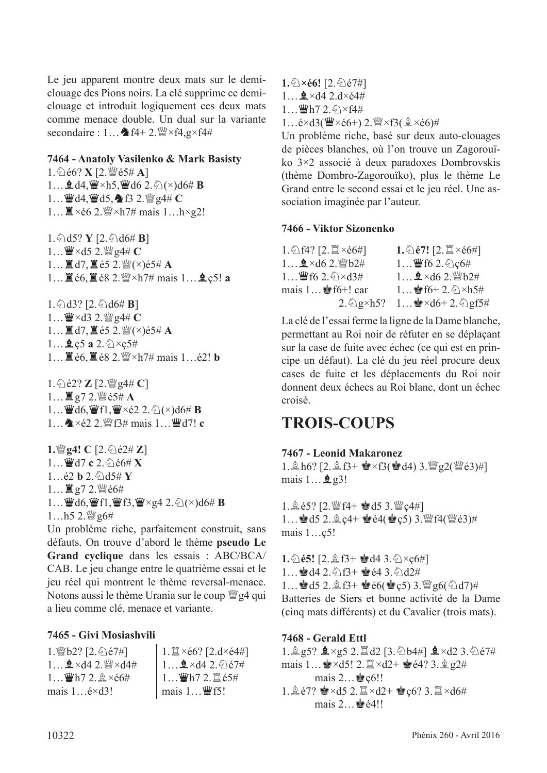Le jeu apparent montre deux mats sur le demiclouage des Pions noirs. La clé supprime ce demiclouage et introduit logiquement ces deux mats comme menace double. Un dual sur la variante secondaire :  $1...$   $f$ 4+ 2. $f$ / $\forall$ 4,g×f4#

#### **7464 - Anatoly Vasilenko & Mark Basisty**

 $1.\, \hat{\odot}$ é6? **X**  $[2.\, \hat{\mathbb{W}}$ é5# **A**] 1... **g** d4,  $\mathbf{W} \times h$ 5,  $\mathbf{W}$  d6 2.  $\Diamond$ ( $\times$ )d6# **B**  $1...$  $44.44 \text{ d}5,$   $463 \text{ }2.$  $44 \text{ c}7$ 1… $\mathbb{Z} \times 66$  2.  $\mathbb{Z} \times 21$  mais 1…h×g2!

1. ①d5? **Y** [2. ②d6# **B**]  $1...$  $\mathbf{W} \times d$ 5 2. $\mathbf{W}$  g4#  $\mathbf{C}$ 1...  $\mathbb{E} d7$ ,  $\mathbb{E} e5$  2. $\mathbb{W}(x) e5# A$ 1... ■ é6, ■ é8 2. sam × h7# mais 1... **g** ç5! **a** 

1. $\triangle$ d3? [2. $\triangle$ d6# **B**]  $1...$  $\mathbf{W} \times d3$  2. $\mathbf{W}$  g4#  $\mathbf{C}$ 1... $\Xi$  d7,  $\Xi$  é5 2. $\mathcal{Q}(\times)$ é5# A  $1...$ **Q**  $c5$  **a**  $2.\&0 \times c5\#$ 1… **i** é6. **i** é8 2.  $\frac{W}{2}$ ×h7# mais 1…é2! **b** 

 $1.\,$   $\Diamond$   $\acute{e}$   $2$ ?  $\angle$   $[2.$   $\mathbb{Z}$   $g$ 4# **C**]  $1...$ **E** g7 2. @ é5# **A** 1… $\mathbf{Q}$ d6, $\mathbf{Q}$ f1, $\mathbf{Q} \times 62$  2. $\Diamond$ (×)d6# **B**  $1...$   $\bullet$  ×  $\acute{e}2$  2.  $\mathbb{W}$  f3# mais  $1...$   $\mathbb{W}$  d7! **c** 

**1.**\geq!\left\  $C$  [2.\geq \end{2\ft\  $Z$ ] 1…豐d7 **c** 2.匀é6# X  $1...$ é2 **b** 2. $\bigcirc$ d5# **Y**  $1...$ 直g7  $2.\mathcal{W}$ é $6#$ 1...  $\mathbf{\ddot{W}}$ d6,  $\mathbf{\ddot{W}}$ f1,  $\mathbf{\ddot{W}}$ f3,  $\mathbf{\ddot{W}} \times$ g4 2. ⊘( $\times$ )d6# **B**  $1...h5$  2. $\frac{W}{2}$ g6#

Un problème riche, parfaitement construit, sans défauts. On trouve d'abord le thème **pseudo Le Grand cyclique** dans les essais : ABC/BCA/ CAB. Le jeu change entre le quatrième essai et le jeu réel qui montrent le thème reversal-menace. Notons aussi le thème Urania sur le coup  $\mathbb{Q}_2^2$  qui a lieu comme clé, menace et variante.

#### **7465 - Givi Mosiashvili**

1. 幽b2? [2. 分é7#]  $1...$   $\Delta \times$ d4 2.  $\frac{W}{W} \times$ d4#  $1...$  $Wh7$   $2.9 \times 66#$ mais 1…é×d3!  $1.\n\mathbb{Z}\times66?$  [2.d $\times64\#$ ]  $1...$   $2 \times d4$  2.  $\sqrt[6]{67}$ #  $1...$  $Wh7$  2.  $E65#$ mais  $1...$   $\mathbf{\mathbf{\mathcal{F}}}$  f5!

1. 2×é6! [2. 2é7#]  $1...$   $\Delta \times$ d4 2.d $\times$ é4#  $1...$  $Wh7 2.6 \times 64#$  $1...\acute{e} \times d3$ ( $\dddot{w} \times \acute{e}6$ +) 2. $\dddot{w} \times f3$ ( $\ddot{a} \times \acute{e}6$ )#

Un problème riche, basé sur deux auto-clouages de pièces blanches, où l'on trouve un Zagorouïko 3×2 associé à deux paradoxes Dombrovskis (thème Dombro-Zagorouïko), plus le thème Le Grand entre le second essai et le jeu réel. Une association imaginée par l'auteur.

#### **7466 - Viktor Sizonenko**

| $1.\bigcirc$ f4? [2. $\mathbb{Z} \times 66#$ ] | $1.\overline{\Diamond}$ é7! [2. $\mathbb{Z} \times 66\#$ ] |
|------------------------------------------------|------------------------------------------------------------|
| $1$ $2 \times d6$ 2. 瞥b2#                      | $1$ 曾f6 2. $\Diamond$ $c$ 6#                               |
| $1$ 曾f6 2. $\Diamond$ ×d3#                     | $1$ $2 \times d6$ 2. 響b2#                                  |
| $mais 1$ of $f6+!$ car                         | $1$ of $6+2.\textdegreeled{2}\times h5\#$                  |
| $2.\hat{\odot}$ g×h5?                          | $1$ $\sqrt{3} \times d6 + 2.\frac{\sqrt{3}}{2} gf5\#$      |

La clé de l'essai ferme la ligne de la Dame blanche, permettant au Roi noir de réfuter en se déplaçant sur la case de fuite avec échec (ce qui est en principe un défaut). La clé du jeu réel procure deux cases de fuite et les déplacements du Roi noir donnent deux échecs au Roi blanc, dont un échec croisé.

# **TROIS-COUPS**

#### **7467 - Leonid Makaronez**

1.  $\ln 6$ ? [2.  $\ln 6$ ] +  $\ln x$  +  $\ln x$  +  $\ln x$  ( $\ln 4$ ) 3.  $\ln x$   $\ln 2$  ( $\ln x$   $\in$  3)#] mais  $1 \dots 2$  g3!

1. 食 é5? [2. 營 f4+ 會 d5 3. 營 ç4#] 1...  $\mathbf{4}$  d5 2.  $\hat{\mathbb{Q}}$  c4+  $\mathbf{4}$  é4( $\mathbf{4}$ c5) 3.  $\mathbb{Q}$  f4( $\mathbb{Q}$ e3)# mais 1…ç5!

**1.** $\Diamond$ **é5!** [2. $\Diamond$  f3+  $\Diamond$  d4 3. $\Diamond$  × c6#] 1... ad4 2.  $\bigoplus$  f3+  $\bigoplus$  é4 3.  $\bigoplus$  d2# 1...  $\bullet$  d5 2.  $\&$  f3+  $\bullet$  é6( $\bullet$  c5) 3. $\frac{w}{2}$ g6( $\&$ d7)# Batteries de Siers et bonne activité de la Dame (cinq mats diférents) et du Cavalier (trois mats).

#### **7468 - Gerald Ettl**

 $1.995?$   $2 \times 25$   $2.11$  d2  $[3.604#]$   $2 \times d2$   $3.6067#$ mais  $1...$  $\bullet \times d5!$  2.  $\mathbb{Z} \times d2+$   $\bullet \bullet \in 4$ ? 3.  $\mathbb{Q}$   $2\#$ mais  $2 \dots \cong c6!!$ 1. $\triangle$ é7?  $\triangleq$ ×d5 2. $\triangleq$ ×d2+  $\triangleq$ ę6? 3. $\triangleq$ ×d6# mais  $2...$  $\bullet$   $\acute{e}4!!$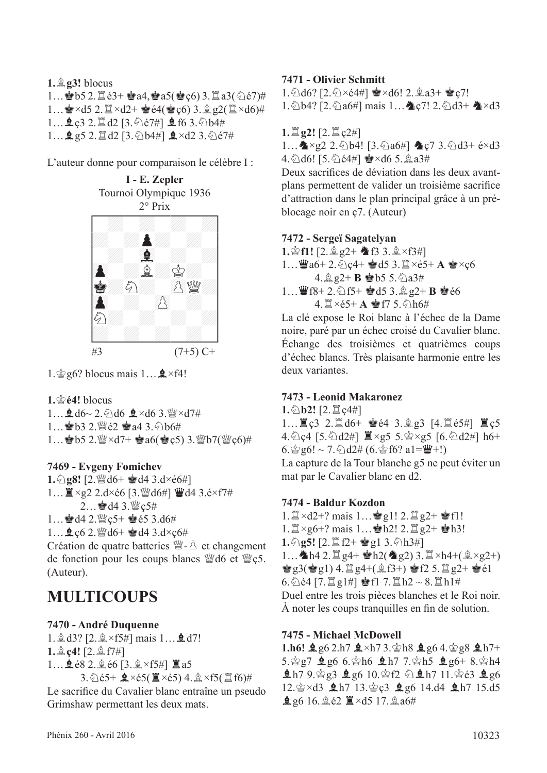**1.**f**g3!** blocus 1… b5 2. $\Xi$ é3+ Ra4, Ra5( $\bullet$ c6) 3. $\Xi$ a3( $\Diamond$ e7)# 1… $\mathbf{R} \times d5$  2. $\mathbb{Z} \times d2 + \mathbf{Q} \in 4(\mathbf{Q} \times 6)$  3. $\mathbf{Q} \otimes 2(\mathbb{Z} \times d6)$ # 1... **鱼c3 2. 置d2 [3. @é7#] 鱼f6 3.** @b4# 1... **鱼**g5 2. 罝d2 [3. 公b4#] 鼻×d2 3. 公é7#

L'auteur donne pour comparaison le célèbre I :



1. $\hat{\mathbb{Q}}$ g6? blocus mais 1... $\hat{\mathbb{Q}}$  ×f4!

 $1.$  $\circledcirc$   $64!$  blocus

 $1...$   $d6$   $d6$   $d.$   $d6$   $d \times d6$  3.  $\frac{100}{100} \times d7$  # 1... 2b3 2. 曾é2 2a4 3. 2b6# 1... 8 b5 2. $\frac{w}{2} \times d7 +$  8 a6(8 c5) 3. $\frac{w}{2} b7$ ( $\frac{w}{2} c6$ )#

#### **7469 - Evgeny Fomichev**

 $1.\textcircled{2}$ **g8!** [2. $\textcircled{4}$ d6+  $\textcircled{4}$ d4 3.d×é6#]  $1...$   $x_{92}$  2.d×é6 [3.  $y_{4}$ d6#]  $y_{4}$ d4 3.é×f7# 2... · d4 3. 暨 ç5#

1... @d4 2. @c5+ @e5 3.d6#  $1...$   $2.62$ . 24d6+  $d4$  3.d×c6#

Création de quatre batteries  $\mathbb{W}$ - $\mathbb{\hat{A}}$  et changement de fonction pour les coups blancs  $\mathbb{W}$ d6 et  $\mathbb{W}$ c5. (Auteur).

# **MULTICOUPS**

#### **7470 - André Duquenne**

1. **g** d3? [2. **g** × f5#] mais 1... **g** d7!  $1.$  $\&$  $c4$ **!**  $[2.$  $\&$  $f7\#]$ 1... **皇** é8 2. 鱼 é6 [3. 鱼 ×f5#] 置 a5  $3.\text{\textdegreeled{}}165+\text{\textdegreeled{}}2\times65(\text{\textdegreeled{}}1\times65)4.\text{\textdegreeled{}}3\times65(\text{\textdegreeled{}}16)\#$ 

Le sacrifce du Cavalier blanc entraîne un pseudo Grimshaw permettant les deux mats.

## **7471 - Olivier Schmitt**

1.  $\triangle$ d6? [2.  $\triangle$ ×é4#]  $\triangle$ ×d6! 2.  $\triangle$ a3+  $\triangle$ c7!

 $1.\Diamond$  b4? [2. $\Diamond$  a6#] mais  $1...$  c7! 2. $\Diamond$  d3+  $\Diamond$  × d3

 $1.\Xi$  **g2!**  $[2.\Xi$   $c2#]$ 

1...  $\triangle \times g2$  2.  $\triangle b4$ ! [3.  $\triangle a6\#$ ]  $\triangle c7$  3.  $\triangle d3$ + é $\times d3$ 4. [d6! [5. [e4#]  $\approx \times$  d6 5.  $\approx$  a3#

Deux sacrifces de déviation dans les deux avantplans permettent de valider un troisième sacrifce d'attraction dans le plan principal grâce à un préblocage noir en ç7. (Auteur)

## **7472 - Sergeï Sagatelyan**

 $1.\n$ c $f1!$   $[2.\n$ g $2+\n$ **f** $3.\n$ g $\times f3\#$ 1… Wa6+ 2. hc4+ Md5 3. I ×é5+ **A** M×c6  $4.$ **Q**  $g2+$  **B**  $\bullet$  b5 5. $\frac{5}{9}a3\#$  $1...$  $46 + 2.6$  f5+  $453.92 + B$   $466$ 4. IXe5+ **A** 會f7 5. 6 h6#

La clé expose le Roi blanc à l'échec de la Dame noire, paré par un échec croisé du Cavalier blanc. Échange des troisièmes et quatrièmes coups d'échec blancs. Très plaisante harmonie entre les deux variantes.

#### **7473 - Leonid Makaronez**

**1.**①**b2!** [2. $\Xi$  ç4#]  $1...$  $\overline{2}$   $c3$   $2.$   $\overline{2}$  d6+  $\bullet$  é4  $3.$   $\hat{2}$   $g3$  [4.  $\overline{2}$  é5#]  $\overline{2}$   $c5$ 4.  $Q$ c4 [5.  $Q$ d2#]  $\mathbb{Z} \times g5$  5.  $\mathbb{Z} \times g5$  [6.  $Q$ d2#] h6+ 6. $\frac{6}{9}$ g6! ~ 7. $\frac{6}{10}$ d2# (6. $\frac{6}{9}$ f6? a1= $\frac{10}{9}$ +!) La capture de la Tour blanche g5 ne peut éviter un mat par le Cavalier blanc en d2.

#### **7474 - Baldur Kozdon**

 $1.\n\mathbb{Z} \times d2+?$  mais  $1...\n\mathbb{Z} g1!$   $2.\n\mathbb{Z} g2+ \mathbb{Z} f1!$ 1. $\mathbb{Z} \times g$ 6+? mais 1...  $h$ h2! 2. $\mathbb{Z} g$ 2+  $h$ h3! **1.** $\Diamond$ **g5!** [2. $\Xi$  f2+  $\circ$ g1 3. $\Diamond$ h3#] 1...  $\Delta$ h4 2.  $\mathbb{Z}$  g4+  $\mathbb{Z}$ h2( $\Delta$ g2) 3.  $\mathbb{Z} \times$ h4+( $\mathbb{Q} \times$ g2+)  $\mathbf{g}$ g3( $\mathbf{g}$ g1) 4.  $\mathbf{g}$ g4+( $\mathbf{g}$ f3+)  $\mathbf{g}$ f2 5.  $\mathbf{g}$ g2+  $\mathbf{g}$ e1  $6.\,$   $6.\,$   $64$  [7.  $\mathbb{Z}$  g1#]  $\bullet$  f1 7.  $\mathbb{Z}$  h2 ~ 8.  $\mathbb{Z}$  h1# Duel entre les trois pièces blanches et le Roi noir. À noter les coups tranquilles en fn de solution.

#### **7475 - Michael McDowell**

 $1.h6!$   $2g6$  2.h7  $2\times h7$  3.  $gh8$   $2g6$  4.  $gg8$   $2h7+$  $5.\n$ g7  $9.966.\n$ hf  $9.177.\n$ gh5  $9.96 + 8.\n$ gh4  $ln 7$  9.  $log 3$   $log 6$  10.  $ln 2$   $ln 7$  11.  $log 6$   $log 6$ 12.  $\&$  xd3  $\&$  h7 13.  $\&$  c3  $\&$  g6 14.d4  $\&$  h7 15.d5 **鱼**g6 16.鱼é2 ■×d5 17.鱼a6#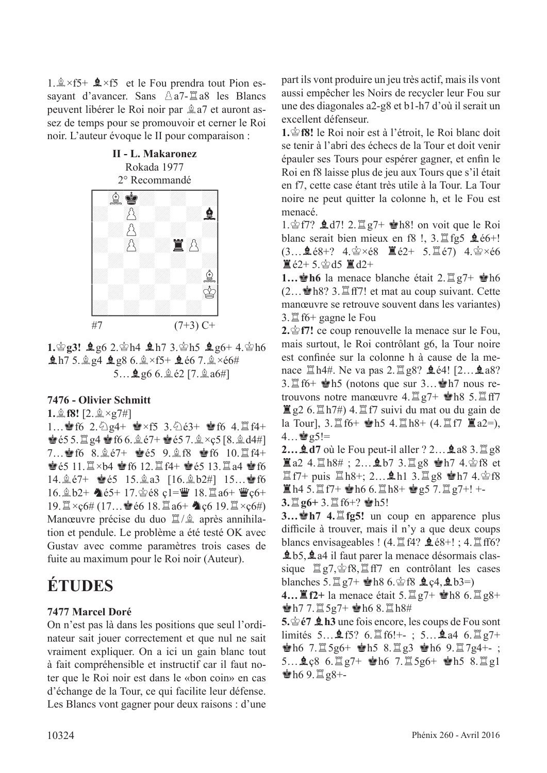1. $\×$ f5+  $\×$ f5 et le Fou prendra tout Pion essayant d'avancer. Sans  $\triangle a7$ - $\Xi a8$  les Blancs peuvent libérer le Roi noir par  $a^2$  a7 et auront assez de temps pour se promouvoir et cerner le Roi noir. L'auteur évoque le II pour comparaison :



 $1.\n$ g3!  $\cancel{2}$ g6 2. $\cancel{\circ}$ h4  $\cancel{2}$ h7 3. $\cancel{\circ}$ h5  $\cancel{2}$ g6+ 4. $\cancel{\circ}$ h6  $ln 75.$  $ln 4$   $ln 86.$  $ln 75+$   $ln 667.$  $ln 100$  $5...$ **g**  $66.$ **g** $62$   $[7.$ **g** $a6#$ ]

#### **7476 - Olivier Schmitt**

**1.** $\&$  **f8!** [2. $\×$ g7#]

1... § f6 2.  $\triangle$  g4+  $\cong$  xf5 3.  $\triangle$  é3+ § f6 4.  $\cong$  f4+  $\bullet$  655.  $\sharp$   $g4 \bullet$  f66.  $\hat{g}$  67+  $\bullet$  657.  $\hat{g} \times c$ 5 [8.  $\hat{g}$  d4#]  $7...$ ef6 8. $\&e7+$  eet5 9. $\&e8$  eef6 10.  $\bullet$  65 11.  $\mathbb{Z} \times$ b4  $\bullet$  f6 12.  $\mathbb{Z}$  f4+  $\bullet$  65 13.  $\mathbb{Z}$  a4  $\bullet$  f6 14.  $\&e7+$   $\&e5$  15.  $\&a3$  [16.  $\&b2\#$ ] 15...  $\bullet$  f6  $16.\n$  $b2+$   $b65+ 17.\n$ gé8 ç1= $\ddot{w}$  18. $\ddot{a}$ a6+  $\ddot{w}$ c6+ 19. $\mathbb{Z} \times \mathcal{C}6# (17...$  é é 6 18. $\mathbb{Z} \times \mathcal{C}6 + \mathbb{Z} \times \mathcal{C}64)$ Manœuvre précise du duo  $\frac{m}{2}$  après annihilation et pendule. Le problème a été testé OK avec Gustav avec comme paramètres trois cases de fuite au maximum pour le Roi noir (Auteur).

# **ÉTUDES**

#### **7477 Marcel Doré**

On n'est pas là dans les positions que seul l'ordinateur sait jouer correctement et que nul ne sait vraiment expliquer. On a ici un gain blanc tout à fait compréhensible et instructif car il faut noter que le Roi noir est dans le «bon coin» en cas d'échange de la Tour, ce qui facilite leur défense. Les Blancs vont gagner pour deux raisons : d'une part ils vont produire un jeu très actif, mais ils vont aussi empêcher les Noirs de recycler leur Fou sur une des diagonales a2-g8 et b1-h7 d'où il serait un excellent défenseur.

1. **f**8! le Roi noir est à l'étroit, le Roi blanc doit se tenir à l'abri des échecs de la Tour et doit venir épauler ses Tours pour espérer gagner, et enfn le Roi en f8 laisse plus de jeu aux Tours que s'il était en f7, cette case étant très utile à la Tour. La Tour noire ne peut quitter la colonne h, et le Fou est menacé.

1. $\hat{\mathcal{E}}$  f7?  $\hat{\mathbf{\Sigma}}$  d7! 2. $\hat{\mathbb{E}}$  g7+  $\hat{\mathbf{\Sigma}}$ h8! on voit que le Roi blanc serait bien mieux en f8 !,  $3.\mathbb{Z}$  fg5  $\text{\&e}6+$ !  $(3...$   $68+$ ?  $4.\,$ g $\times$ é $8$   $\mathbb{E}[62+ 5.\,$  $\mathbb{E}[67)$   $4.\,$ g $\times$ é $6$  $\mathbb{Z}$ é2+5. $\mathbb{Z}$ d5  $\mathbb{Z}$ d2+

**1...** the la menace blanche était  $2.\n\mathbb{Z}$   $97+\n\mathbb{R}$ h6  $(2...$   $\bullet$  h8? 3.  $\mathbb{Z}$  ff7! et mat au coup suivant. Cette manœuvre se retrouve souvent dans les variantes) 3.  $\mathbb{Z}$  f6+ gagne le Fou

2.  $\circ$  **f7!** ce coup renouvelle la menace sur le Fou, mais surtout, le Roi contrôlant g6, la Tour noire est confnée sur la colonne h à cause de la menace  $\mathbb{Z}$  h4#. Ne va pas 2. $\mathbb{Z}$  g8? **Q** é4! [2... **Q** a8?  $3.\n\mathbb{Z}$  f6+  $\mathbb{R}$ h5 (notons que sur  $3...\n\mathbb{Z}$ h7 nous retrouvons notre manœuvre  $4. \mathbb{Z}$  g7+  $\mathbf{\dot{e}}$ h8 5. $\mathbb{Z}$  ff7  $\mathbb{Z}$  g2 6.  $\mathbb{Z}$  h7#) 4.  $\mathbb{Z}$  f7 suivi du mat ou du gain de la Tour],  $3.\Xi$  f6+  $\bullet$ h5 4. $\Xi$ h8+ (4. $\Xi$  f7  $\Xi$  a2=),  $4...$  $g5!=$ 

**2...**  $\triangleq$  **d7** où le Fou peut-il aller ? 2...  $\triangleq$  a8 3.  $\angle$  g8  $\Xi$ a2 4. $\Xi$ h8#; 2... $\Omega$ b7 3. $\Xi$ g8  $\dot{\Xi}$ h7 4. $\dot{\Xi}$ f8 et  $II$ f7+ puis  $II$ h8+; 2… $\Omega$ h1 3. $II$ g8  $\blacksquare$ h7 4. $\spadesuit$ f8  $\Xi$ h4 5. $\Xi$ f7+  $\bullet$ h6 6. $\Xi$ h8+  $\bullet$ g5 7. $\Xi$ g7+! +-

 $3.\Xi$  g6+  $3.\Xi$  f6+?  $\bullet$ h5!

**3…**R**h7 4.**t**fg5!** un coup en apparence plus difficile à trouver, mais il n'y a que deux coups blancs envisageables !  $(4.1 \pm 14$ ?  $\pm 68 + !$ ;  $4.1 \pm 16$ ?  $\pm 65$ ,  $\pm$  a4 il faut parer la menace désormais classique  $\mathbb{Z}$ g7, $\circledast$ f8, $\mathbb{Z}$ ff7 en contrôlant les cases blanches  $5.\mathbb{Z}$   $g7+$   $\bullet$  h8  $6.\mathbb{Q}$  f8  $\bullet$  c4,  $\bullet$  b3=)

**4...**  $\mathbb{E} f2$ + la menace était 5.  $\mathbb{E} g7$ +  $\mathbb{E} h8$  6.  $\mathbb{E} g8$ +  $\pm$ h7 7. $\Xi$ 5g7+  $\pm$ h6 8. $\Xi$ h8#

**5.**<br>**h**3 une fois encore, les coups de Fou sont limités 5… $\text{\textsterling}$ f5? 6. $\text{\textsterling}$ f6!+-; 5… $\text{\textsterling}$ a4 6. $\text{\textsterling}$ g7+  $\dot{\mathbf{e}}$ h6 7. $\mathbb{Z}$ 5g6+  $\dot{\mathbf{e}}$ h5 8. $\mathbb{Z}$ g3  $\dot{\mathbf{e}}$ h6 9. $\mathbb{Z}$ 7g4+-;  $5...$ **Q** $c8$  6. $\Xi$ g7+  $\bullet$ h6 7. $\Xi$ 5g6+  $\bullet$ h5 8. $\Xi$ g1  $\pm$ h6 9. $\Xi$ g8+-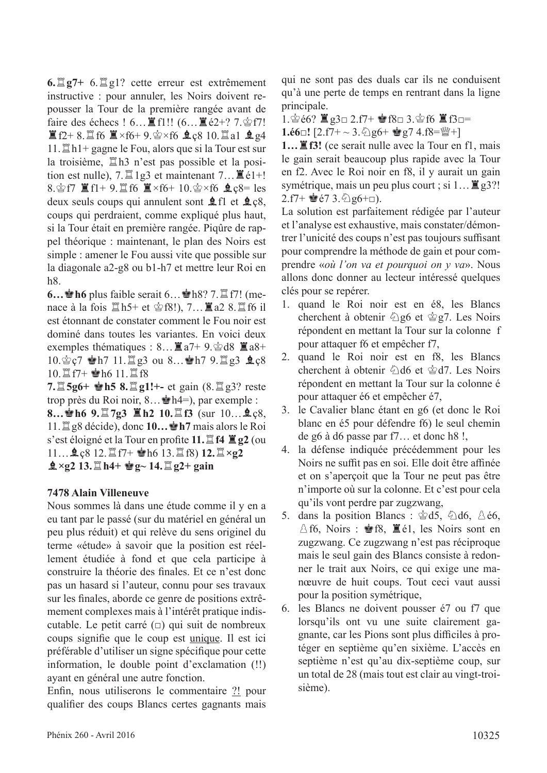$6.\Xi$ g7+  $6.\Xi$ g1? cette erreur est extrêmement instructive : pour annuler, les Noirs doivent repousser la Tour de la première rangée avant de faire des échecs !  $6...$   $\mathbb{E}$  f1!!  $(6...$   $\mathbb{E}$   $\epsilon$ 2+?  $7.\$  $E$ f2+ 8. $E$ f6  $E \times f$ 6+ 9. $\circ$ ×f6  $f$ c8 10. $E$ a1  $g$ g4  $11.\n\mathbb{Z}h1+$  gagne le Fou, alors que si la Tour est sur la troisième, th3 n'est pas possible et la position est nulle),  $7.\mathbb{Z}1g3$  et maintenant  $7...\mathbb{Z}61+!$ 8. $\hat{\mathcal{L}}$  f7  $\hat{\mathbb{I}}$  f1+ 9. $\hat{\mathbb{I}}$  f6  $\hat{\mathbb{I}}$  ×f6+ 10. $\hat{\mathcal{L}}$  ×f6  $\hat{\mathbb{I}}$   $c$ 8= les deux seuls coups qui annulent sont  $\hat{\mathbf{\Sigma}}$  fl et  $\hat{\mathbf{\Sigma}}$  c8, coups qui perdraient, comme expliqué plus haut, si la Tour était en première rangée. Piqûre de rappel théorique : maintenant, le plan des Noirs est simple : amener le Fou aussi vite que possible sur la diagonale a2-g8 ou b1-h7 et mettre leur Roi en h8.

**6…它h6** plus faible serait 6…它h8? 7. $\mathbb{Z}$  f7! (menace à la fois  $\mathbb{Z}$ h5+ et  $\mathbb{Z}$ f8!), 7… $\mathbb{Z}$ a2 8. $\mathbb{Z}$ f6 il est étonnant de constater comment le Fou noir est dominé dans toutes les variantes. En voici deux exemples thématiques :  $8...$   $\mathbb{Z} a7+9$ .  $\circledcirc d8$   $\mathbb{Z} a8+$ 10. $\text{\&}$  c7  $\text{\&}$  h7 11. $\text{\&}$  g3 ou 8... $\text{\&}$  h7 9. $\text{\&}$  g3  $\text{\&}$  c8  $10.\n\mathbb{Z}$  f7+  $\bullet$  h6 11.  $\mathbb{Z}$  f8

**7.** $\Xi$ **5g6+ Ph5 8.** $\Xi$ **g1!+-** et gain (8. $\Xi$ g3? reste trop près du Roi noir,  $8... \cdot h4=$ ), par exemple : **8…曾h6 9.** $\Xi$ 7g3  $\Xi$ h2 10. $\Xi$ f3 (sur 10…皇ç8, 11.  $\mathbb{Z}$  g8 décide), donc **10... h**7 mais alors le Roi s'est éloigné et la Tour en profte **11.**t**f4** T**g2** (ou 11…**皇**ç8 12. 罝f7+ 會h6 13. 罝f8) **12.**  $\mathbb{Z} \times$ **g2 g** $\times$ g2 13. **th**<sub>4</sub>+ **e**<sup>g</sup><sub>g</sub> $\sim$  14. **t**<sub>g2+ gain</sub>

#### **7478 Alain Villeneuve**

Nous sommes là dans une étude comme il y en a eu tant par le passé (sur du matériel en général un peu plus réduit) et qui relève du sens originel du terme «étude» à savoir que la position est réellement étudiée à fond et que cela participe à construire la théorie des fnales. Et ce n'est donc pas un hasard si l'auteur, connu pour ses travaux sur les fnales, aborde ce genre de positions extrêmement complexes mais à l'intérêt pratique indiscutable. Le petit carré  $(\square)$  qui suit de nombreux coups signife que le coup est unique. Il est ici préférable d'utiliser un signe spécifque pour cette information, le double point d'exclamation (!!) ayant en général une autre fonction.

Enfn, nous utiliserons le commentaire ?! pour qualifer des coups Blancs certes gagnants mais

qui ne sont pas des duals car ils ne conduisent qu'à une perte de temps en rentrant dans la ligne principale.

1.含é6?  $\Xi$ g3□ 2.f7+ 會f8□ 3.含f6  $\Xi$ f3□=  $1.\overline{66}$ □!  $[2.57 + \sim 3.\overline{\Diamond}$  g6+  $\frac{1}{2}$  g7 4.f8= $\frac{100}{2}$ +]

1... ■f3! (ce serait nulle avec la Tour en f1, mais le gain serait beaucoup plus rapide avec la Tour en f2. Avec le Roi noir en f8, il y aurait un gain symétrique, mais un peu plus court ; si  $1... \mathbb{Z}$  g3?!  $2.f7+$   $\bullet$ é7 3.  $\Diamond$  g6+□).

La solution est parfaitement rédigée par l'auteur et l'analyse est exhaustive, mais constater/démontrer l'unicité des coups n'est pas toujours suffisant pour comprendre la méthode de gain et pour comprendre «*où l'on va et pourquoi on y va*». Nous allons donc donner au lecteur intéressé quelques clés pour se repérer.

- 1. quand le Roi noir est en é8, les Blancs cherchent à obtenir  $\hat{\mathbb{Q}}$  g6 et  $\hat{\mathbb{Q}}$  g7. Les Noirs répondent en mettant la Tour sur la colonne f pour attaquer f6 et empêcher f7,
- 2. quand le Roi noir est en f8, les Blancs cherchent à obtenir  $\triangle$ d6 et  $\triangle$ d7. Les Noirs répondent en mettant la Tour sur la colonne é pour attaquer é6 et empêcher é7,
- 3. le Cavalier blanc étant en g6 (et donc le Roi blanc en é5 pour défendre f6) le seul chemin de g6 à d6 passe par f7… et donc h8 !,
- 4. la défense indiquée précédemment pour les Noirs ne suffit pas en soi. Elle doit être affinée et on s'aperçoit que la Tour ne peut pas être n'importe où sur la colonne. Et c'est pour cela qu'ils vont perdre par zugzwang,
- 5. dans la position Blancs :  $\dot{\otimes} d5$ ,  $\dot{\odot} d6$ ,  $\dot{\odot} \dot{\in} 6$ ,  $\triangle$  f6, Noirs :  $\triangle$  f8,  $\triangle$  é1, les Noirs sont en zugzwang. Ce zugzwang n'est pas réciproque mais le seul gain des Blancs consiste à redonner le trait aux Noirs, ce qui exige une manœuvre de huit coups. Tout ceci vaut aussi pour la position symétrique,
- 6. les Blancs ne doivent pousser é7 ou f7 que lorsqu'ils ont vu une suite clairement gagnante, car les Pions sont plus difficiles à protéger en septième qu'en sixième. L'accès en septième n'est qu'au dix-septième coup, sur un total de 28 (mais tout est clair au vingt-troisième).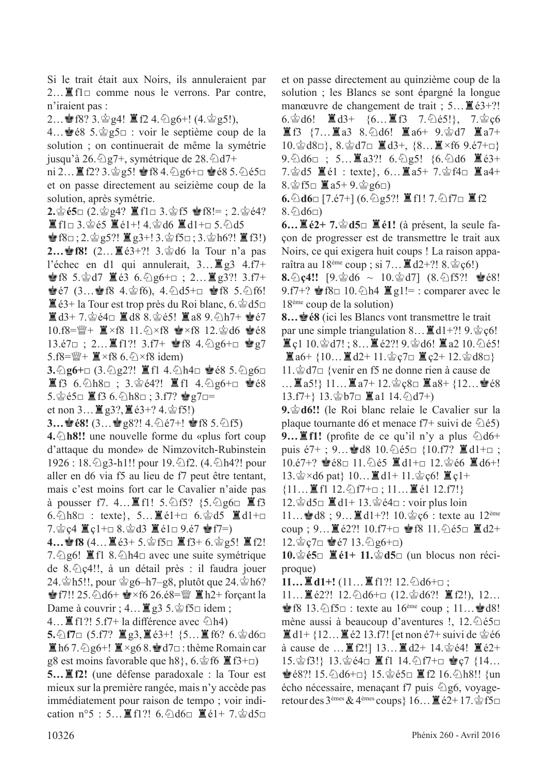Si le trait était aux Noirs, ils annuleraient par 2... ■ f1□ comme nous le verrons. Par contre, n'iraient pas :

2... • f8? 3.  $\circ$  g4!  $\mathbb{E}$  f2 4.  $\circ$  g6+! (4.  $\circ$  g5!),

4…<sup>•</sup> é8 5. ĝg5□ : voir le septième coup de la solution ; on continuerait de même la symétrie jusqu'à 26. $\frac{26.5}{2}$ g7+, symétrique de 28. $\frac{26.5}{2}$ d7+

 $\text{ni } 2...$   $\mathbb{E}$  f2? 3. $\circledcirc$  g5!  $\circledcirc$  f8 4.  $\circledcirc$  g6+ $\Box$   $\circledcirc$  e8 5.  $\circledcirc$  e5 $\Box$ et on passe directement au seizième coup de la solution, après symétrie.

**2.**宫é5□ (2.宫g4? 置f1□ 3.宫f5 會f8!= ; 2.杳é4?  $\Xi$ f1□ 3. $\circledcirc$ é5  $\Xi$ é1+! 4. $\circledcirc$ d6  $\Xi$ d1+□ 5. $\circledcirc$ d5

 $\mathbf{\hat{\Phi}}$ f8□; 2. $\mathbf{\hat{\Phi}}$ g5?!  $\mathbf{\hat{\Xi}}$ g3+! 3. $\mathbf{\hat{\Phi}}$ f5□; 3. $\mathbf{\hat{\Phi}}$ h6?!  $\mathbf{\hat{\Xi}}$ f3!) **2…會f8!** (2…■é3+?! 3.會d6 la Tour n'a pas l'échec en d1 qui annulerait,  $3... \equiv g3 \quad 4.17+$  $\bullet$  f8 5. $\circ$ d7  $\breve{=}$  é3 6. $\circ$ g6+□ ; 2... $\breve{=}$  g3?! 3.f7+ Ré7 (3…Rf8 4.rf6), 4.cd5+□ Rf8 5.cf6!  $\mathbb{E}$ é3+ la Tour est trop près du Roi blanc, 6. $\mathscr{E}$ d5 $\Box$  $\Xi$ d3+7. $\circledast$ é4□  $\Xi$ d8 8. $\circledast$ é5!  $\Xi$ a8 9. $\circledcirc$ h7+  $\bullet$ é7  $10.f8=\frac{100}{4}+\Xi \times f8$  11.  $\triangle \times f8$   $\bullet \times f8$  12.  $\triangle$  d6  $\bullet \triangle 8$ 13.é7□ ; 2... ■f1?! 3.f7+ 會f8 4. ②g6+□ 會g7  $5.$ f8= $\mathcal{L}$ +  $\mathcal{I} \times$ f8 6.  $\Diamond$  ×f8 idem)

**3.**��g6+□ (3.��g2?! ■fl 4.��h4□ �é8 5.��g6□  $\Xi$ f3 6. h8□ ; 3.  $\circledcirc$  é4?!  $\Xi$ f1 4.  $\circledcirc$  g6+□  $\circledcirc$  é8  $5.\s{2}$ é $5\square$   $\blacksquare$  f3  $6.\s{2}$ h $8\square$  ;  $3.f7?$  會g7 $\square$ =

et non  $3...$   $(g3?,$   $(g3+,$   $4.$   $\circledcirc$  f5!)

**3…≌é8!** (3…≌g8?! 4. ∑é7+! ≌f8 5. ∑f5)

**4.**c**h8!!** une nouvelle forme du «plus fort coup d'attaque du monde» de Nimzovitch-Rubinstein  $1926 : 18.\text{Q}$ g3-h1!! pour 19. $\text{Q}$ f2. (4. $\text{Q}$ h4?! pour aller en d6 via f5 au lieu de f7 peut être tentant, mais c'est moins fort car le Cavalier n'aide pas à pousser f7. 4...■f1! 5. ①f5?  $\{5.$  ②g6□ ■f3  $6.\&th8\Box$  : texte}, 5...■é1+ $\Box$   $6.\&td5$  ■ $d1+\Box$ 7. $\circ$ ç4  $\equiv$ ç1+ $\equiv$  8. $\circ$ d3  $\equiv$ é1 $\equiv$  9.é7  $\circ$ f7=)

**4…會f8** (4…薑é3+ 5.會f5□ 罝f3+ 6.會g5! 罝f2! 7. $\Diamond$ g6!  $\Xi$ f1 8. $\Diamond$ h4□ avec une suite symétrique de 8. $\triangle$ c4!!, à un détail près : il faudra jouer 24. $\Phi$ h5!!, pour  $\Phi$ g6–h7–g8, plutôt que 24. $\Phi$ h6? **P** f7!! 25.  $\triangle 16 + \triangle 76$  26.é8= $\triangle 7$  **E** h2+ forçant la Dame à couvrir ;  $4... \mathbb{Z}$  g3 5. $\hat{\otimes}$  f5 $\Box$  idem ;

4...  $\mathbb{E}$  f1?! 5.f7+ la différence avec  $\Diamond$ h4)

**5.**��f7□ (5.f7? ■g3,■é3+! {5...■f6? 6.��d6□  $\mathbb{E}$  h6 7.  $\Diamond$  g6+!  $\mathbb{E} \times$ g6 8. $\mathbb{E}$  d7 $\Box$  : thème Romain car g8 est moins favorable que h8,  $6.\cong f6 \mathbb{Z}$  f3+ $\Box$ )

**5…**T**f2!** (une défense paradoxale : la Tour est mieux sur la première rangée, mais n'y accède pas immédiatement pour raison de tempo ; voir indication n°5 : 5... ■f1?! 6. hd6□ ■é1+ 7. 含d5□

et on passe directement au quinzième coup de la solution ; les Blancs se sont épargné la longue manœuvre de changement de trait ;  $5... \mathbb{E} \cdot (3+$ ?! 6.宫d6!  $\Box$ d3+ {6... $\Box$ f3 7. hé5!}, 7.宫ç6  $\Xi$ f3 {7... $\Xi$ a3 8. $\Diamond$ d6!  $\Xi$ a6+ 9. $\Diamond$ d7  $\Xi$ a7+ 10. gd8□}, 8. gd7□ ■d3+, {8... ■×f6 9.é7+□}  $9.\text{\textdegree}$ d6 $\Box$ ; 5... $\Xi$ a3?! 6. $\text{\textdegree}$ g5! {6. $\text{\textdegree}$ d6  $\Xi$ é3+ 7.\gequent\_5  $\Xi$  et 1 : texte}, 6... $\Xi$  a5+ 7.\geq f4 =  $\Xi$  a4+  $8.\n\circledS$ f5□  $\mathbb{Z}$ a5+9. $\circledS$ g6□)

**6.**①d6□ [7.é7+] (6.①g5?!  $\blacksquare$  f1! 7.①f7□  $\blacksquare$  f2  $8.\hat{\odot} d6\square$ )

**6…** $\Xi$ **é2+ 7.** $\dot{\mathscr{C}}$ **d5**□  $\Xi$ **é1!** (à présent, la seule façon de progresser est de transmettre le trait aux Noirs, ce qui exigera huit coups ! La raison apparaîtra au  $18^{\text{eme}}$  coup ; si 7...  $\mathbb{E} d2+$ ?!  $8.\,^{\text{th}}\mathcal{Q}6!$ 

8. ①c4!! [9. ②d6 ~ 10. ③d7] (8. ①f5?! ③é8! 9.f7+?  $\mathbf{\hat{g}}$ f8 $\square$  10. $\lozenge$ h4  $\mathbf{\hat{g}}$  g1!= : comparer avec le 18ème coup de la solution)

**8… <b>É**8 (ici les Blancs vont transmettre le trait par une simple triangulation  $8... \equiv d1+$ ?! 9. $\dot{\mathcal{L}}$  c6!  $\Xi$ c1 10. $\Im$ d7!; 8... $\Xi$ é2?! 9. $\Im$ d6!  $\Xi$ a2 10. $\Im$ é5!  $\mathbb{Z}$ a6+ {10… $\mathbb{Z}$ d2+ 11. $\mathscr{C}$ c7 $\Box$  $\mathbb{Z}$ c2+ 12. $\mathscr{C}$ d8 $\Box$ } 11. § d7□ {venir en f5 ne donne rien à cause de

…  $\mathbb{E}$  a5!}  $11... \mathbb{E}$  a7+ 12. $\circledcirc$   $\circledcirc$   $\mathbb{E}$  a8+ {12… $\circledcirc$   $\circ$   $\circ$  $13.f7+\}$  13.  $\circledcirc$  b7 $\Box$  **I**a1 14.  $\circledcirc$  d7+)

**9.** $\circledast$ **d6!!** (le Roi blanc relaie le Cavalier sur la plaque tournante d6 et menace f7+ suivi de  $\hat{\otimes}$ é5) **9...** If1! (profite de ce qu'il n'y a plus  $\Diamond d6+$ puis é7+; 9… $\dot{Q}$ d8 10. $\hat{Q}$ é5□ {10.f7?  $\dot{Z}$ d1+□;  $10.\text{e}7+?$  曾 $68\text{ }$  11.  $\Diamond$   $65$   $\Xi$  d1+ $\Box$  12.  $\Diamond$   $66$   $\Xi$  d6+! 13. $\&$  ×d6 pat} 10… $\&$  d1+ 11. $\&$  ç6!  $\&$  c1+

 ${11...}\mathbf{H}$  11.  $\mathbf{H}$  12.  $\mathbf{H}$  17+ $\mathbf{H}$ ; 11.  $\mathbf{H}$  et 12. f7!}

12.  $\triangleq$  d5□  $\equiv$  d1+ 13.  $\triangleq$  é4□ : voir plus loin

11... • d8 ; 9... ■ d1+?! 10. gc6 : texte au 12<sup>ème</sup> coup ; 9...  $\mathbb{E}[e^{2}$ ?! 10.f7+ $\Box$   $\mathbb{E}[e^{2}$ 8 11. $\Diamond$ e5 $\Box$   $\mathbb{E}[d2+$  $12.\n$ gc7 $□$   $\bullet$  é7 13. $\odot$ g6+□)

**10.** $\circledcirc$ **é5**□ ■é1+ 11. $\circledcirc$ d5□ (un blocus non réciproque)

**11…**■d1+! (11…■f1?! 12.④d6+□;

11…罝é2?! 12.心d6+□ (12.nd6?! 罝f2!), 12…  $\bullet$  f8 13.  $\circled{15}$  = : texte au 16<sup>ème</sup> coup ; 11… $\bullet$  d8! mène aussi à beaucoup d'aventures !,  $12.\overline{\Diamond}65\Box$  $\mathbf{H}$ d1+ {12... $\mathbf{H}$ é2 13.f7! [et non é7+ suivi de  $\mathbf{\hat{\Phi}}$ é6 à cause de … $\mathbb{E}[f2!]$  13… $\mathbb{E}[d2+14]$   $2e^{2}e^{4}$ !  $\mathbb{E}[e2+$ 15. 宫f3!} 13. 宫é4□ ■f1 14. 公f7+□ 宫c7 {14… **宫é8?! 15.**@d6+□} 15.宫é5□ ■f2 16.@h8!! {un écho nécessaire, menaçant f7 puis  $\Diamond$ g6, voyageretour des 3<sup>èmes</sup> & 4<sup>èmes</sup> coups} 16...  $\mathbb{E}$  é2+17. $\circ$ f5 $\Box$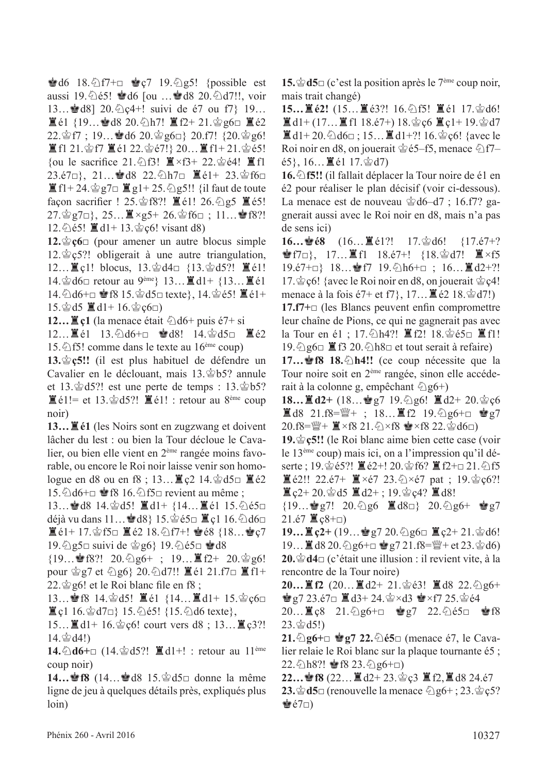$\triangle$  d6 18. $\triangle$  f7+ $\Box$   $\triangle$  e7 19. $\triangle$  g5! {possible est aussi 19. $\circledcirc$ é5!  $\bullet$ d6 [ou … $\bullet$ d8 20. $\circledcirc$ d7!!, voir 13…<sup>•</sup> d8] 20. ℃c<sub>4</sub>+! suivi de é7 ou f7} 19…  $\Xi$ é1 {19... ad8 20. h7!  $\Xi$ f2+ 21. $\circ$ g6□  $\Xi$ é2  $22.\n$ \$f7 ; 19… $\bullet$ d6 20. $\circ$ g6□} 20.f7! {20. $\circ$ g6!  $\Xi$ f1 21. $\Im$ f7  $\Xi$ é1 22. $\Im$ é7!} 20... $\Xi$ f1+21. $\Im$ é5! {ou le sacrifice 21.  $\triangle$  f3!  $\cong \times$  f3+ 22.  $\cong \in \mathcal{A}!$   $\cong$  f1 23.é7□}, 21...會d8 22. h7□ ■é1+ 23.會f6□  $\mathbb{E}$  f1+ 24. $\mathbb{E}$  g7 $\Box$   $\mathbb{E}$  g1+ 25. $\mathbb{E}$  g5!! {il faut de toute façon sacrifier !  $25.\&f8$ ?!  $\mathbb{Z}61!$   $26.\&g5 \mathbb{Z}65!$  $27.\n\circledast$ g7□}, 25… $\Xi \times$ g5+ 26. $\circledast$ f6□ ; 11… $\bullet$ f8?! 12. $\hat{\triangle}$ é5!  $\hat{\mathbb{I}}$  d1+ 13. $\hat{\triangle}$ c6! visant d8)

**12.** $\circ$ **ç6**□ (pour amener un autre blocus simple  $12.\n\circledcirc$  c5?! obligerait à une autre triangulation, 12…■ç1! blocus, 13.當d4□ {13.當d5?! ■é1!  $14.\n\circledcirc d6\Box$  retour au 9<sup>ème</sup>} 13… $\mathbb{Z} d1+$  {13… $\mathbb{Z} 61$ 14.  $\triangle$ d6+ $\Box$   $\cong$  f8 15.  $\triangle$ d5 $\Box$  texte}, 14.  $\triangleq$ é5!  $\Xi$ é1+  $15.\text{\textdegree}$ d5  $\blacksquare$ d1+ 16. $\text{\textdegree}$ ç6□)

**12…** $\Xi$ **c1** (la menace était  $\Diamond$ d6+ puis é7+ si

12…■é1 13. ①d6+□ 會d8! 14. 會d5□ ■é2 15.  $\circ$ 15! comme dans le texte au 16<sup>ème</sup> coup)

13. $\circ$ **c5!!** (il est plus habituel de défendre un Cavalier en le déclouant, mais  $13.\dot{\textcircled{x}}$ b5? annule et 13. $\dot{\mathcal{Q}}$ d5?! est une perte de temps : 13. $\dot{\mathcal{Q}}$ b5?  $\mathbb{E}$ é1!= et 13. $\mathbb{E}$ d5?!  $\mathbb{E}$ é1! : retour au 8<sup>ème</sup> coup noir)

**13…**T**é1** (les Noirs sont en zugzwang et doivent lâcher du lest : ou bien la Tour décloue le Cavalier, ou bien elle vient en 2ème rangée moins favorable, ou encore le Roi noir laisse venir son homologue en d8 ou en f8 ; 13...  $\mathbb{E}$  ç2 14. $\mathbb{E}$ d5 $\Box$   $\mathbb{E}$ é2 15.  $\triangle$ d6+ $\Box$  § f8 16.  $\triangle$  f5 $\Box$  revient au même ;

13…��d8 14.��d5! ■d1+ {14…■é1 15.��é5□ déjà vu dans 11… $\bullet$ d8} 15. $\circ$ é5□  $\ddot{z}$ c1 16. $\circ$ d6□  $\Xi$ é1+ 17. $\circ$ 5□  $\Xi$ é2 18. $\circ$ 17+! ఆé8 {18…●ç7  $19.\textdegreeled{}2$ g5□ suivi de  $\textdegreeled{}26\}$  19. $\textdegreeled{}165$ □  $\textdegreeled{}38$ 

 ${19...}$ \$f8?! 20. $\textcircled{2}g6+$ ; 19... $E2+$  20. $\textcircled{2}g6!$ pour  $\hat{\otimes}$ g7 et  $\hat{\otimes}$ g6} 20. $\hat{\otimes}$ d7!!  $\hat{\Xi}$ é1 21.f7 $\Box$   $\hat{\Xi}$ f1+  $22.\n\circledast$ g6! et le Roi blanc file en f8;

13…會f8 14.會d5! ■é1 {14…■d1+ 15.會ç6□  $\Xi$ c1 16. $\Im$ d7 $\Box$ } 15. $\Im$ e5! {15. $\Im$ d6 texte},

15… $\Xi$ d1+ 16. $\circ$ ç6! court vers d8 ; 13… $\Xi$ ç3?!  $14.$  $\diamond$   $d4!)$ 

14. ①d6+□ (14. ②d5?!  $\blacksquare$ d1+! : retour au 11<sup>ème</sup> coup noir)

**14…<sup>•</sup>f8** (14…••d8 15. and 15. donne la même ligne de jeu à quelques détails près, expliqués plus loin)

**15.** $\mathbf{\hat{\Phi}}$ **d5**□ (c'est la position après le 7<sup>ème</sup> coup noir, mais trait changé)

**15…** $\Xi$ é2! (15… $\Xi$ é3?! 16. $\Diamond$ f5!  $\Xi$ é1 17. $\Diamond$ d6!  $\mathbf{H}$ d1+ (17...  $\mathbf{H}$  f1 18.é7+) 18. $\mathbf{\dot{\mathfrak{e}}}\mathfrak{c}6\mathbf{H}$  c1+ 19. $\mathbf{\dot{\mathfrak{e}}}$ d7  $\mathbf{I}$ d1+20. $\Diamond$ d6 $\Box$ ; 15... $\mathbf{I}$ d1+?! 16. $\Diamond$ c6! {avec le Roi noir en d8, on jouerait  $\dot{\mathcal{Q}}$  é5–f5, menace  $\dot{\mathcal{Q}}$  f7–  $\{65\}, 16...$   $\equiv$  61 17. $\circledcirc$  d7)

16.  $\triangle$  **f5!!** (il fallait déplacer la Tour noire de é1 en é2 pour réaliser le plan décisif (voir ci-dessous). La menace est de nouveau  $\&$ d6–d7 ; 16.f7? gagnerait aussi avec le Roi noir en d8, mais n'a pas de sens ici)

**16…會é8** (16…罝é1?! 17.會d6! {17.é7+?  $\bullet$  f7□}, 17…■f1 18.é7+! {18. $\circ$ d7! ■×f5 19.é7+□} 18…會f7 19. h6+□ ; 16…■d2+?! 17.  $\circledcirc$  c { {avec le Roi noir en d8, on jouerait  $\circledcirc$  c4! menace à la fois é7+ et f7,  $17...$   $\mathbb{E}$  é2 18. $\circ$ d7!)

**17.f7+**□ (les Blancs peuvent enfn compromettre leur chaîne de Pions, ce qui ne gagnerait pas avec la Tour en é1 ; 17. h4?! ■f2! 18. 含é5□ ■f1! 19. $\Diamond$ g6 $\Box$   $\Box$  f3 20. $\Diamond$ h8 $\Box$  et tout serait à refaire)

**17… § f8 18.** h4!! (ce coup nécessite que la Tour noire soit en 2ème rangée, sinon elle accéderait à la colonne g, empêchant  $\hat{\otimes}$  g6+)

**18…** $\mathbf{I} \cdot \mathbf{I} = \mathbf{I} \cdot \mathbf{I} = \mathbf{I} \cdot \mathbf{I} = \mathbf{I} \cdot \mathbf{I} = \mathbf{I} \cdot \mathbf{I} = \mathbf{I} \cdot \mathbf{I} = \mathbf{I} \cdot \mathbf{I} = \mathbf{I} \cdot \mathbf{I} = \mathbf{I} \cdot \mathbf{I} = \mathbf{I} \cdot \mathbf{I} = \mathbf{I} \cdot \mathbf{I} = \mathbf{I} \cdot \mathbf{I} = \mathbf{I} \cdot \mathbf{I} = \mathbf{I} \cdot \mathbf{I} = \mathbf{I$ 直d8 21.f8= $\mathbb{Y}$ + ; 18…直f2 19. $\Diamond$ g6+□ 含g7  $20.f8=\frac{100}{4}+\frac{100}{4}\times f8\cdot 21.\frac{50}{4} \times f8 \approx \times f8\cdot 22.\frac{50}{4} d6\Box$ 

19. $\circ$ **c5!!** (le Roi blanc aime bien cette case (voir le 13ème coup) mais ici, on a l'impression qu'il déserte ; 19. $\circ$ es?!  $\mathbb{E}$  é2+! 20. $\circ$ f6?  $\mathbb{E}$  f2+ $\circ$  21. $\circ$ f5  $\mathbb{E}$  é2!! 22.é7+  $\mathbb{E} \times 67$  23. $\Diamond \times 67$  pat ; 19. $\Diamond$  c $6$ ?!  $\Xi$  c<sub>2</sub>+ 20. $\dot{\mathscr{C}}$ d5  $\Xi$ d2+ ; 19. $\dot{\mathscr{C}}$ c4?  $\Xi$ d8!

 ${19...$ \$g7! 20. g6  $\equiv$  d8□} 20.  $\gtrsim$ g6+ \$g7  $21.67 \times \text{C} + 2 + \text{C}$ 

**19…薑ç2+** (19…會g7 20.@g6□ ■ç2+ 21.曾d6! 19…  $\mathbb{Z}$  d8 20.  $\Diamond$  g6+ $\Box$   $\mathscr{C}$  g7 21.f8= $\mathscr{C}$ + et 23. $\Diamond$  d6) **20.** $\mathbf{\hat{\otimes}}$ **d4**□ (c'était une illusion : il revient vite, à la rencontre de la Tour noire)

**20…**If2 (20…Id2+ 21.含é3! Id8 22. $\Diamond$ g6+  $\mathbf{\hat{\Phi}}$  g7 23.é7 $\Box$   $\mathbf{\hat{\Xi}}$  d3+ 24. $\mathbf{\hat{\Phi}} \times$ d3  $\mathbf{\hat{\Phi}} \times$ f7 25. $\mathbf{\hat{\Phi}}$ é4

20…Tç8 21.cg6+□ Rg7 22.cé5□ Rf8  $23.\,$  $\circled{2}$ d $5!)$ 

**21.** ①**g6+**□ ●**g7 22.** ②**é5**□ (menace é7, le Cavalier relaie le Roi blanc sur la plaque tournante é5 ;  $22.\text{\textdegree$\triangle$}$ h8?!  $\blacktriangleright$ f8 23. $\text{\textdegree$\triangle$}$ g6+□)

**22…會f8** (22…■d2+ 23.會ç3 ■f2,■d8 24.é7 **23.** $\dot{\mathbf{\Phi}}$ **d5**□ (renouvelle la menace  $\mathbf{\Diamond}$  g6+; 23. $\dot{\mathbf{\Diamond}}$  c5?  $\dot{\mathcal{E}}$ é7□)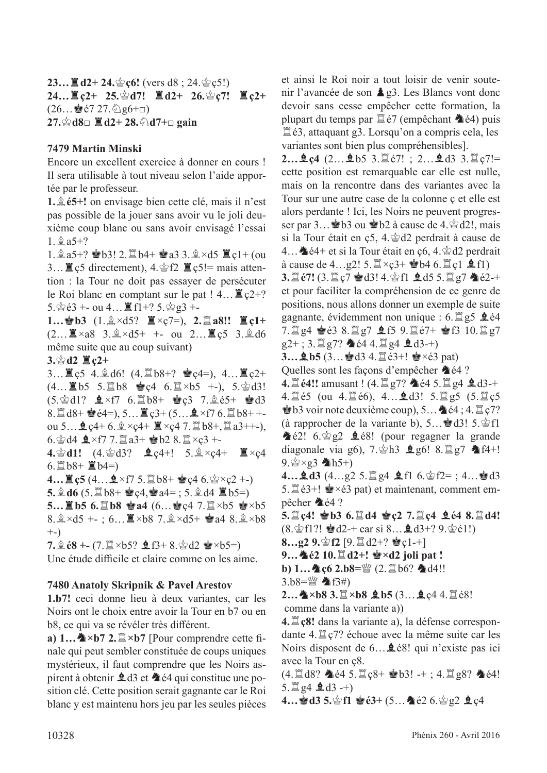**23…** $\Xi$ **d2+ 24.** $\dot{\mathcal{L}}$ **c6!** (vers d8 ; 24. $\dot{\mathcal{L}}$  c5!) **24…** $\Xi$ c2+ 25. $\circledcirc$ d7!  $\Xi$ d2+ 26. $\circledcirc$ c7!  $\Xi$ c2+  $(26...$ gé $7 27.$  $\textcircled{2}$ g $6+$ □) **27.**空**d8□ 罝d2+ 28. ①d7+□ gain** 

#### **7479 Martin Minski**

Encore un excellent exercice à donner en cours ! Il sera utilisable à tout niveau selon l'aide apportée par le professeur.

**1.** $\hat{\mathbb{E}}$  **é5+!** on envisage bien cette clé, mais il n'est pas possible de la jouer sans avoir vu le joli deuxième coup blanc ou sans avoir envisagé l'essai  $1.$  $2a5+?$ 

1. $\hat{p}_a$ 5+?  $\hat{p}_b$ 5! 2. $\hat{p}_b$ b4+  $\hat{p}_a$ a3 3. $\hat{p}_c$ ×d5  $\hat{p}_c$ q1+ (ou 3...  $\mathbb{Z}$  c5 directement), 4. $\mathbb{Z}$  f2  $\mathbb{Z}$  c5!= mais attention : la Tour ne doit pas essayer de persécuter le Roi blanc en comptant sur le pat !  $4... \mathbb{E} \in \mathbb{C}^{2+}$ ?  $5.\n\circledS 63 + \text{ou }4...$   $\mathbb{E}$  f1+?  $5.\n\circledS g3 + \text{ou }4...$ 

 $1...$ **ab3**  $(1.\&\times d5$ ?  $\mathbb{I}\times c7=$ ),  $2.\mathbb{I}\times a8$ !!  $\mathbb{I}\times c1+$  $(2...\n \mathbb{Z} \times a8 \quad 3.\n \mathbb{Q} \times d5+ +\n \text{ou } 2...\n \mathbb{Z} \times 5 \quad 3.\n \mathbb{Q} \times d6$ même suite que au coup suivant)

#### $3.\,$  $\circledcirc$  d2  $\Xi$  c<sub>2+</sub>

3…薑ç5 4.盒d6! (4.罝b8+? 會ç4=), 4…薑ç2+  $(4... \n\mathbb{Z} 55 \n5. \n\mathbb{Z} 58 \n\mathbb{Z} 64 \n6. \n\mathbb{Z} \times 55 \n+), \n5. \n\mathbb{Z} 3!$  $(5.\&01?$   $\&0\times17$   $6.\&08+$   $\&0c3$   $7.\&065+$   $\&03$ 8.  $\mathbb{Z}$  d8+  $\mathbb{Q}$  é4=), 5…  $\mathbb{Z}$  c3+ (5…  $\mathbb{Q} \times f7$  6.  $\mathbb{Z}$  b8+ +ou  $5...$   $2c4+ 6.$   $\& \times c4+$   $\mathbb{I} \times c4$  7.  $\mathbb{I} \times b8+$ ,  $\mathbb{I} \times a3++$ -),  $6.$  $\&$  d4  $\&$   $\times$  f7 7.  $\&$  a3+  $\&$  b2 8.  $\&$   $\times$  c3 +-

 $4.\,$  $\circledast$ d1!  $(4.\,$  $\circledast$ d3?  $\bullet$ <sub>2</sub> $c4+!$  5.  $\circledast \times c4+$   $\mathbb{Z} \times c4$  $6.\n 2b8 + 2b4=$ 

**4...** $\mathbf{\mathbb{E}}$  **c5** (4... $\mathbf{\mathbb{L}} \times$ f7 5. $\mathbf{\mathbb{E}}$  b8+  $\mathbf{\mathbb{E}}$  c4 6. $\mathbf{\mathbb{E}} \times c2 +$ -)

**5.** $\triangleq$ **d6** (5. $\triangleq$ b8+  $\triangleq$ ę4, $\triangleq$ a4= ; 5. $\triangleq$ d4  $\triangleq$ b5=)

**5…薑b5 6.罝b8 會a4** (6…會ç4 7.罝×b5 會×b5  $8.2 \times d5 + \frac{1}{2} \times 6...$   $8 \times b8$  7.  $2 \times d5 + \frac{1}{2} a4$  8.  $2 \times b8$ +-)

 $7.\hat{p}$   $68 + -(7.\hat{p} \times 65? \hat{p} \times 8 + 8.\hat{p} \times 2 \hat{p} \times 65)$ 

Une étude difficile et claire comme on les aime.

#### **7480 Anatoly Skripnik & Pavel Arestov**

**1.b7!** ceci donne lieu à deux variantes, car les Noirs ont le choix entre avoir la Tour en b7 ou en b8, ce qui va se révéler très diférent.

**a)**  $1...$   $\bullet$   $\times$  **b7** 2.  $\mathbb{Z} \times$  **b7** [Pour comprendre cette finale qui peut sembler constituée de coups uniques mystérieux, il faut comprendre que les Noirs aspirent à obtenir  $\triangle 13$  et  $\triangle 64$  qui constitue une position clé. Cette position serait gagnante car le Roi blanc y est maintenu hors jeu par les seules pièces

et ainsi le Roi noir a tout loisir de venir soutenir l'avancée de son  $\triangle$  g3. Les Blancs vont donc devoir sans cesse empêcher cette formation, la plupart du temps par  $\mathbb{Z}$ é7 (empêchant  $\triangleq$ é4) puis  $\mathbb{Z}$ é3, attaquant g3. Lorsqu'on a compris cela, les variantes sont bien plus compréhensibles].

**2…皇c4** (2…皇b5 3.罝é7!; 2…皇d3 3.罝c7!= cette position est remarquable car elle est nulle, mais on la rencontre dans des variantes avec la Tour sur une autre case de la colonne ç et elle est alors perdante ! Ici, les Noirs ne peuvent progresser par  $3...$  b3 ou which a cause de 4.  $\&$  d2!, mais si la Tour était en  $c5$ , 4. $\dot{\otimes}$  d2 perdrait à cause de 4...  $\triangle 64$ + et si la Tour était en ç6, 4.  $\triangle 02$  perdrait à cause de 4...g2!  $5.\n\mathbb{Z} \times \mathbb{C}3+ \cdot \mathbb{Z}64$   $6.\n\mathbb{Z}$   $\mathbb{C}1$   $\mathbb{Q}$   $\mathbf{f}1$ )

 $3.\Xi$   $67!$  (3. $\Xi$  c7  $\bullet$  d3! 4. $\circ$ f1  $\bullet$  d5 5. $\Xi$  g7  $\bullet$  e2-+ et pour faciliter la compréhension de ce genre de positions, nous allons donner un exemple de suite gagnante, évidemment non unique :  $6.1\overline{2}$  g5  $\overline{2}$  é4 7. $\Xi$  g4  $\bullet$  é3 8. $\Xi$  g7  $\bullet$  f5 9. $\Xi$  é7+  $\bullet$  f3 10. $\Xi$  g7  $g2+$ ; 3.  $g\ddot{g}q$ ?  $\triangleq$  é4 4.  $g\ddot{g}q$   $\triangleq$  d3-+)

**3…**  $\oint$  **b5** (3… $\oint$  d3 4.  $\vec{u}$  e3+!  $\oint$  ×e3 pat)

Quelles sont les façons d'empêcher  $\triangle 64$  ?

**4. ① é4!!** amusant ! (4. <u>② g7?</u> ▲ é4 5. ② g4 ▲ d3-+ 4. $\Xi$ é5 (ou 4. $\Xi$ é6), 4… $\angle$ d3! 5. $\Xi$ g5 (5. $\Xi$ c5  $\bullet$  b3 voir note deuxième coup), 5… $\bullet$  é4 ; 4.  $\mathbb{Z}$  c7? (à rapprocher de la variante b),  $5...$ ed3!  $5.\&$  fl  $\triangle 62!$  6.  $\triangle 22$   $\triangle 68!$  (pour regagner la grande diagonale via g6),  $7.\hat{\otimes}h3 \trianglelefteq g6! 8.\Xi g7 \trianglelefteq f4+!$  $9.$  $\circ$   $\times$  g3  $h5+$ )

**4…₫d3**  $(4...g2)$  5. $\mathbb{Z}$  g4 **₫** f1 6. $\mathbb{S}$  f2= ; 4… $\mathbb{S}$  d3 5.  $\mathbb{Z}$  é3+!  $\bullet \times 63$  pat) et maintenant, comment empêcher  $\triangle 4$  ?

**5.**t**ç4!** R**b3 6.**t**d4** R**ç2 7.**t**ç4** F**é4 8.**t**d4!**  $(8.\n\circledast f1$ ?!  $\circledast d2 + \text{car si } 8... \circledast d3 + ? 9.\n\circledast e1!)$ 

**8…g2 9.** $\circledcirc$  **f2** [9. $\mathbb{Z}$  d2+?  $\circledcirc$  c1-+]

**9... \**  $\triangleq$   $\epsilon$ 2 10.  $\Box$  d2+!  $\triangleq$   $\times$  d2 joli pat !

b) 
$$
1... \clubsuit \varsigma 6 \, 2.b8 = \mathcal{W} \, (2. \mathcal{B} \, 66?
$$
  $\spadesuit \, d4!!$ 

3.b8= $\mathbb{W}$   $\spadesuit$ f3#)

 $2...$   $\&$   $\times$  b8 3.  $\mathbb{Z} \times$  b8 **Q** b5 (3... **Q** c<sub>4</sub> 4.  $\mathbb{Z} \times$  8!

comme dans la variante a))

**4.** $\Xi$  **ç8!** dans la variante a), la défense correspondante 4. $\mathbb{Z}$  c7? échoue avec la même suite car les Noirs disposent de 6... $\triangle$  é8! qui n'existe pas ici avec la Tour en ç8.

 $(4.1 \text{ d}8$ ?  $\text{d}64 \text{ 5.1} \text{ c}8 + \text{d}63! -+$ ;  $4.1 \text{ g}8$ ?  $\text{d}64!$ 5.  $\mathbb{Z}$  g4  $\mathbf{\underline{4}}$  d3 -+)

**4…窗d3 5.窗f1 窗é3+ (5…叠é2 6.窗g2 臭ç4**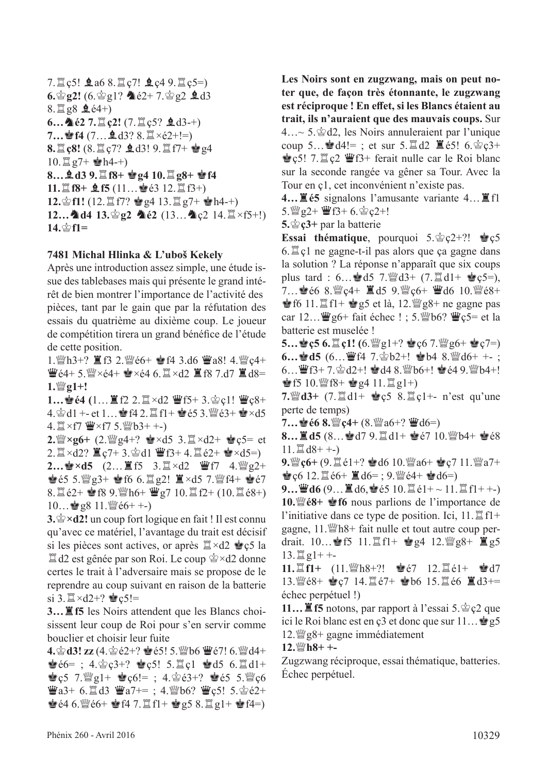7.  $\sqrt{2}$  c5!  $\angle$  a6 8.  $\sqrt{2}$  c7!  $\angle$  c4 9.  $\sqrt{2}$  c5=)  $6.\n$ g2!  $(6.\n$ g<sub>2</sub>!?  $\triangleq$   $62+7.\n$  $g2 \triangleq d3$  $8.\n\mathbb{Z}$  g $8$   $\mathbf{\underline{4}}$  é4+)  $6...$   $62$   $7.$ **th** $c2!$   $(7.$ **th** $c5?$  **e** $d3-+)$ **7…**  $\bullet$  **f4** (7…  $\bullet$  d3? 8. $\mathbb{Z} \times 62 + !=$ ) 8. **L** c8! (8. L c7? 鱼d3! 9. L f7+ 會g4  $10.\n\mathbb{Z}$  g7+  $\mathbf{\hat{\bullet}}$ h4-+) **8…皇d3 9.** $\mathbb{E}$ f8+ 曾g4 10. $\mathbb{E}$ g8+ 曾f4 **11.** $\Xi$  **f8+**  $\Omega$  **f5** (11… $\Phi$ é3 12. $\Xi$  f3+) **12.** $\circ$ **f1!** (12. $\mathbb{Z}$  f7?  $\circ$  g4 13. $\mathbb{Z}$  g7+  $\circ$ h4-+) **12…4d4 13.**<br>g2 4é2 (13…4c2 14. $\Xi \times f5+$ !) **14.**<br>**f1=** 

#### **7481 Michal Hlinka & L'uboš Kekely**

Après une introduction assez simple, une étude issue des tablebases mais qui présente le grand intérêt de bien montrer l'importance de l'activité des pièces, tant par le gain que par la réfutation des essais du quatrième au dixième coup. Le joueur de compétition tirera un grand bénéfce de l'étude de cette position.

1. ind +?  $\mathbb{E}$  f3 2. ind e6+  $\mathbb{E}$  f4 3.d6  $\mathbb{E}$  a8! 4. index e4+  $\mathbf{W}$ é4+ 5. $\mathbf{W} \times 64+ \mathbf{W} \times 64$  6.  $\mathbf{X} \times 42 \mathbf{X}$  f 8 7.d 7  $\mathbf{X}$  d 8=  $1.\mathbb{W}$ *g*1+!

**1…會é4 (1…買f2 2.買×d2 曹f5+ 3.會ç1! 曹ç8+** 4.  $\trianglelefteq$  d1 +- et 1...  $\trianglelefteq$  f4 2.  $\trianglelefteq$  f1+  $\trianglelefteq$  e5 3.  $\trianglelefteq$  e3+  $\trianglelefteq$  xd5  $4. \mathbb{Z} \times f7 \mathbb{W} \times f7 5. \mathbb{W} b3++$ -)

**2.**  $\mathbb{Z} \times 26 + (2. \mathbb{Z} \times 4 + ? \cong \times d5 \times 3. \mathbb{Z} \times d2 + \cong c5 = et$ 2.  $\mathbb{Z} \times d2$ ?  $\mathbb{Z} \times 7 + 3.$   $\mathbb{Z} \times d1$   $\mathbb{Z} \times 3 + 4$ .  $\mathbb{Z} \times 2 + \mathbb{Z} \times d5 = 0$ **2…會×d5** (2…罝f5 3.罝×d2 曹f7 4.彎g2+  $\bullet$   $65$  5. $\frac{100}{23}$   $21$   $\frac{100}{22}$   $21$   $\frac{100}{23}$   $\times$   $45$  7. $\frac{100}{24}$   $14$   $\bullet$   $\bullet$   $67$ 8.  $\mathbb{Z}$  é2+  $\mathbb{Z}$  f8 9.  $\mathbb{Z}$ h6+  $\mathbb{Z}$  g7 10.  $\mathbb{Z}$  f2+ (10.  $\mathbb{Z}$  é8+)

 $10...$ g8 11. $\mathcal{W}$ é6+ +-)

**3.**r**×d2!** un coup fort logique en fait ! Il est connu qu'avec ce matériel, l'avantage du trait est décisif si les pièces sont actives, or après  $\mathbb{Z} \times d2 \leq c5$  la  $\mathbb{Z}$ d2 est gênée par son Roi. Le coup  $\mathbb{Z} \times d2$  donne certes le trait à l'adversaire mais se propose de le reprendre au coup suivant en raison de la batterie si 3. $\mathbb{Z} \times d2 + ?$   $\mathbb{Q}c5! =$ 

**3…**T**f5** les Noirs attendent que les Blancs choisissent leur coup de Roi pour s'en servir comme bouclier et choisir leur fuite

**4. ②d3! zz** (4. ②e2+? ●e5! 5. 幽b6 曹e7! 6. 幽d4+  $\bullet$   $66=$ ; 4. $\circ$   $c3+$ ?  $\bullet$   $c5!$  5. $\Xi$  c1  $\bullet$  d5 6. $\Xi$  d1+  $\mathbf{e} \in \mathbf{5}$  7.  $\mathbf{e} \in \mathbf{S}$  1+  $\mathbf{e} \in \mathbf{6}$  = ; 4.  $\mathbf{e} \in \mathbf{3}+$ ?  $\mathbf{e} \in \mathbf{5}$  5.  $\mathbf{e} \in \mathbf{6}$  $\mathbf{W}a3+ 6. \mathbf{N}d3 \mathbf{W}a7+=$ ; 4. $\mathbf{W}b6$ ?  $\mathbf{W}c5!$  5. $\mathbf{S}e2+$  $\bullet$   $64.6$ . We  $6+$   $\bullet$   $f4$  7. If  $f1 + \bullet g5$  8. If  $g1 + \bullet f4=$ )

**Les Noirs sont en zugzwang, mais on peut noter que, de façon très étonnante, le zugzwang est réciproque ! En efet, si les Blancs étaient au trait, ils n'auraient que des mauvais coups.** Sur  $4...\sim 5.\&\,d2$ , les Noirs annuleraient par l'unique coup 5...  $\mathbf{d}A!=$ ; et sur 5. $\mathbf{d}A2 \mathbf{d}65!$  6. $\mathbf{d}c3+$  $\bullet$  c5! 7.  $\mathbb{Z}$  c2  $\mathbb{Z}$  ferait nulle car le Roi blanc sur la seconde rangée va gêner sa Tour. Avec la Tour en ç1, cet inconvénient n'existe pas.

**4...**  $\mathbf{\underline{F}}$  **é5** signalons l'amusante variante 4...  $\mathbf{\underline{F}}$  fl  $5.$  $\frac{100}{2}g^2$  +  $\frac{100}{2}f^3$  + 6.  $\frac{1}{2}g^2$  e2+!

5.  $\circledcirc$  **c**3+ par la batterie

**Essai thématique**, pourquoi  $5.\s{2}c2+?!$  **Resolution**  $6.\n\mathbb{Z}$  c1 ne gagne-t-il pas alors que ça gagne dans la solution ? La réponse n'apparaît que six coups plus tard : 6...  $\mathbf{d}5$  7.  $\mathbf{d}3 + (7.1 \pm 1.4)$   $\mathbf{d}3 + \mathbf{e}5 = 0$ , 7...  $\bullet$  66 8.  $\mathbb{Z}$ c4+  $\Xi$ d5 9.  $\mathbb{Z}$ c6+  $\Xi$ d6 10.  $\mathbb{Z}$ 68+ **of**  $6 \text{ 11.} \mathbb{Z}$  f1+  $\bullet$  g5 et là, 12.  $\mathbb{Z}$  g8+ ne gagne pas car  $12...$   $\mathbf{\ddot{w}}$ g6+ fait échec ! ; 5. $\mathbf{\ddot{w}}$ b6?  $\mathbf{\ddot{w}}$ ç5= et la batterie est muselée !

**5…會ç5 6.置ç1!** (6.  $\mathcal{L}_g$ g1+? 會ç6 7. $\mathcal{L}_g$ g6+ 會ç7=)  $6...$ **ed5**  $(6...\mathbf{W})$   $14$   $7.\mathbf{\&}$   $b2+!$  **e**  $b4$   $8.\mathbf{\&}$   $d6+$   $+$  ;  $6...$   $\mathbf{F}3+7.\, \& \, d2+! \; \& \, d4 \; 8.$   $\& \, b6+! \; \& \, e4 \; 9.$   $\& \, b4+!$ **Solution**  $R^*$  **Contract (10.**  $\mathbb{Z}[g_1+g_2]$ 

**7.** a3+ (7.  $\mathbb{Z}$  d1+  $\mathbf{e}$  c5 8.  $\mathbb{Z}$  c1+- n'est qu'une perte de temps)

 $7...$  $\bullet$   $66$   $8.$   $\mathbb{Z}$   $c$ 4+  $(8.$   $\mathbb{Z}$   $a$ 6+?  $\mathbb{Z}$   $d$ 6=)

**8…薑d5** (8…會d7 9.罝d1+ 會é7 10. 彎b4+ 會é8  $11. \Xi$  d8+ +-)

9. Nec<sub>6</sub>+ (9.  $\exists$  é1+? **o** d6 10. Nea6+ **o** c7 11. Nea7+  $\bullet$  c6 12.  $\sharp$  é6+  $\sharp$  d6= ; 9.  $\sharp$  é4+  $\bullet$  d6=)

 $9...$  $46$   $(9...$  $46$ ,  $\bullet$   $65$   $10.$  $16$  $61+$   $\sim$   $11.$  $16$  $1+$  $\sim$ ) **10.**<sup>*w*</sup>é8+ *n***<sup>***s***</sup> f6 nous parlions de l'importance de** l'initiative dans ce type de position. Ici,  $11.\n\mathbb{Z}$  f1+ gagne,  $11.\n\text{Wh8+}$  fait nulle et tout autre coup perdrait.  $10...$  if  $5 \t11. \t{If}1 + \t{e}g4 \t12. \t{We}g8 + \t{I}g5$  $13.\n\mathbb{Z}$  g1+ +-

**11.**  $\mathbb{E}$ **f1+** (11.  $\mathbb{E}$ h8+?! 宫é7 12.  $\mathbb{E}$ é1+ 宫d7 13. We8+ 2c7 14. 置é7+ 2b6 15. 置é6 置d3+= échec perpétuel !)

**11…** $\Xi$  **f5** notons, par rapport à l'essai 5. $\Diamond$   $\Diamond$  que ici le Roi blanc est en ç3 et donc que sur  $11...$ g5  $12.\mathcal{W}$ g8+ gagne immédiatement

**12.** 幽H +-

Zugzwang réciproque, essai thématique, batteries. Échec perpétuel.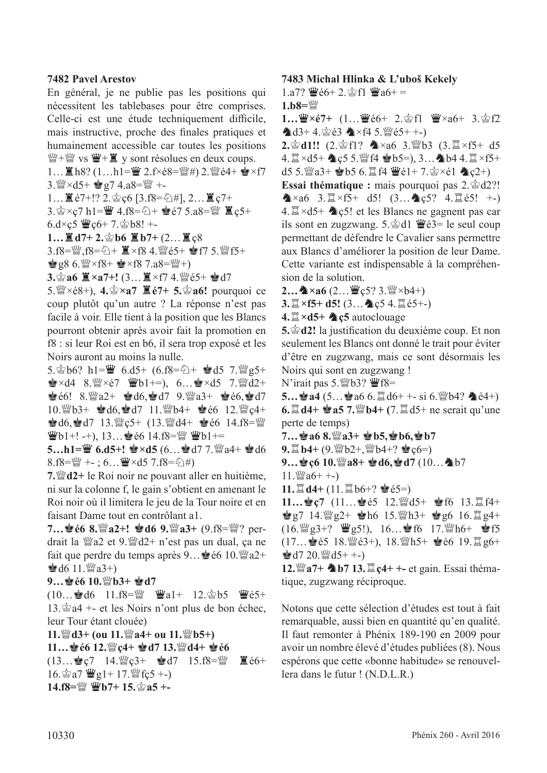#### **7482 Pavel Arestov**

En général, je ne publie pas les positions qui nécessitent les tablebases pour être comprises. Celle-ci est une étude techniquement difficile, mais instructive, proche des fnales pratiques et humainement accessible car toutes les positions  $\mathbb{H} + \mathbb{H}$  vs  $\mathbb{H} + \mathbb{I}$  y sont résolues en deux coups.

1... ■h8? (1...h1=曹 2.f×é8= $\mathbb{W}$ #) 2. $\mathbb{W}$ é4+ ●×f7  $3.$   $\frac{100}{2} \times d5 + \frac{1}{29} g7 4. a8 = \frac{100}{2} + -$ 

 $1...$   $($  é7+!? 2. $\circledcirc$  c6 [3.f8= $\circledcirc$ #], 2...  $($   $\circ$  c7+

3. 含×ç7 h1=曹 4.f8=公+ 會é7 5.a8=彎 置ç5+

 $6. d \times c$ 5  $\mathbf{W}c6+ 7.$  $\mathbf{\hat{\otimes}} b8!$  +-

**1…** $\mathbb{Z}$ **d7+2.** $\circledcirc$ **b6**  $\mathbb{Z}$ **b7+** (2… $\mathbb{Z}$ <sub>5</sub>8

3.f8=彎,f8=公+ ■×f8 4.彎é5+ ●f7 5.彎f5+

 $\mathbf{\dot{e}}$  g8 6. $\mathbf{\ddot{w}} \times$ f8+  $\mathbf{\dot{e}} \times$ f8 7.a8= $\mathbf{\ddot{w}}$ +)

 $3.\n$ **a6**  $\mathbb{Z} \times a7 +$ **!**  $(3...E) \times f7$  4. We  $65 + \cdot d7$ 

5. $\mathbb{W} \times 68+$ , 4. $\mathbb{Y} \times 97$   $\mathbb{Z} \times 67+$  5. $\mathbb{Y} \times 96!$  pourquoi ce coup plutôt qu'un autre ? La réponse n'est pas facile à voir. Elle tient à la position que les Blancs pourront obtenir après avoir fait la promotion en f8 : si leur Roi est en b6, il sera trop exposé et les Noirs auront au moins la nulle.

5. $\circledcirc$  h1= $\ddot{w}$  6.d5+ (6.f8= $\circledcirc$ +  $\dot{w}$ d5 7. $\ddot{w}$ g5+  $\mathbf{E} \times \mathbf{d}$ 4 8. $\mathbf{W} \times \mathbf{e}$ 7  $\mathbf{W}$ b1+=), 6... $\mathbf{E} \times \mathbf{d}$ 5 7. $\mathbf{W}$ d2+  $\bullet 6!$  8.  $2+ \bullet 16$ ,  $\bullet 17$  9.  $2+ \bullet 6$ ,  $\bullet 17$  $10.\%b3+ \text{ed6},\text{ed7}$   $11.\%b4+ \text{ed6}$   $12.\%c4+$  $\bullet$  d6,  $\bullet$  d7 13.  $\mathcal{Q}_s$  d7 + (13.  $\mathcal{Q}_d$ d4+  $\bullet$  e6 14.f8= $\mathcal{Q}_d$  $\Psi$ b1+! -+), 13… $\bullet$ é6 14.f8= $\Psi$   $\Psi$ b1+=

**5…h1=曹 6.d5+! 會×d5**  $(6...$ 會d7 7.  $2a4+$ 會d6 8.f8= $\mathbb{W}$  +-; 6... $\mathbb{W} \times d5$  7.f8= $\Diamond$ #)

**7.***M*<sup>*d*</sup>**d2**+ le Roi noir ne pouvant aller en huitième, ni sur la colonne f, le gain s'obtient en amenant le Roi noir où il limitera le jeu de la Tour noire et en faisant Dame tout en contrôlant a1.

**7…會é6 8.** $\mathbb{W}$ **a2+! 會d6 9.** $\mathbb{W}$ **a3+ (9.f8=** $\mathbb{W}$ **? per**drait la  $\mathbb{W}$ a2 et 9. $\mathbb{W}$ d2+ n'est pas un dual, ça ne fait que perdre du temps après  $9...$ é 6 10. a2+  $\triangleq$  d6 11. $\angle$ 23+)

#### **9…**R**é6 10.**de**b3+** R**d7**

 $(10...$ gd6 11.f8= $\mathbb{W}$   $\mathbb{W}a1+$  12. $\mathbb{A}b5$   $\mathbb{W}e5+$  $13.\n\&a4 + -$  et les Noirs n'ont plus de bon échec, leur Tour étant clouée)

**11.***\\*/*\***d**  $\frac{d}{dt}$  **(ou 11.**  $\frac{d\mathbf{v}}{dt}$  **a**4+ **ou 11.**  $\frac{d\mathbf{v}}{dt}$  **b5**+)

**11…**R**é6 12.**de**ç4+** R**d7 13.**de**d4+** R**é6** 

 $(13...$ gc7 14. $C^2C^3$ +  $C^3C^4$ d7 15.f8= $C^2C^4$   $C^4$   $C^6$ 16. $\circ$ a7  $\mathbf{W}$ g1+ 17. $\mathbf{W}$ fç5 +-) **14.f8=**■ 曹b7+ 15. 宫a5 +-

#### **7483 Michal Hlinka & L'uboš Kekely**

1.a7?  $\Psi$ é6+ 2. $\circ$ f1  $\Psi$ a6+ =

 $1.b8 =$ 

1…曹×é7+ (1…曹é6+ 2.會f1 曹×a6+ 3.會f2  $\triangle$ d3+4. $\triangle$ é3  $\triangle$ ×f4 5. $\cong$ é5+ +-)

2. 宫d1!! (2. 宫f1? 4×a6 3. *曾b3* (3.  $\mathbb{Z} \times f5+ d5$  $4. \mathbb{Z} \times d5+$   $\&c5.$  W f4  $\&b5=$ ), 3...  $b4.4. \mathbb{Z} \times f5+$ d5 5. $\mathbb{Z}$ a3+  $\mathbb{Z}$ b5 6. $\mathbb{Z}$ f4  $\mathbb{Z}$ é1+ 7. $\mathbb{Z}$ ×é1  $\mathbb{Z}$ c2+)

Essai thématique : mais pourquoi pas 2. $\&$ d2?!  $\triangle x$ a6 3. $\cong x$ f5+ d5! (3... $\triangle \csc 5$ ? 4. $\cong \csc 5$ ! +-) 4.  $\mathbb{Z} \times d5$ +  $\mathbb{Q} \times 5!$  et les Blancs ne gagnent pas car ils sont en zugzwang. 5. $\&$ d1  $\mathbf{\ddot{w}}\acute{e}3=$  le seul coup permettant de défendre le Cavalier sans permettre aux Blancs d'améliorer la position de leur Dame. Cette variante est indispensable à la compréhension de la solution.

 $2...$   $\&$  × a6  $(2...$   $\&$  c5? 3.  $\&$  × b4+)

**3.** $\mathbb{Z} \times$ **f5+ d5!** (3... **4** ç5 4. $\mathbb{Z}$ é5+-)

**4.** $\mathbb{Z} \times d5$  **A** c5 autoclouage

5.  $\circledast$  d2! la justification du deuxième coup. Et non seulement les Blancs ont donné le trait pour éviter d'être en zugzwang, mais ce sont désormais les Noirs qui sont en zugzwang !

N'irait pas 5. Wb3?  $\mathbf{\mathcal{W}}$ f8=

 $5...$  $44$   $(5...$  $466$   $6. \mathbb{Z}$   $d6+ + -$  si  $6$ .  $\mathbb{Z}$  $b4$ ?  $4e^{4+}$  $6. \ddot{\Xi}$  d4+  $\dot{\bullet}$  a5 7. $\ddot{\Xi}$ b4+ (7. $\ddot{\Xi}$  d5+ ne serait qu'une perte de temps)

**7…**R**a6 8.**de**a3+** R**b5,**R**b6,**R**b7** 

 $9. \mathbb{Z}$  **b4+**  $(9. \mathbb{W} b2 + \mathbb{W} b4 + ? \mathbf{\geq} c6 = 0)$ 

**9…會c6 10. 曾a8+ 會d6,會d7 (10… 4b7** 

 $11.$   $\mathcal{W}$  a 6+ +-)

**11.** $\mathbb{Z}$  **d4+ (11.** $\mathbb{Z}$  b6+?  $\mathbf{\dot{e}}$  é5=)

**11…會ç7** (11…會é5 12.彎d5+ 會f6 13.買f4+  $\mathbf{e}$ g7 14. $\mathbf{e}$ g2+  $\mathbf{e}$ h6 15. $\mathbf{e}$ h3+  $\mathbf{e}$ g6 16. $\mathbf{e}$ g4+ (16.  $\mathbb{Q}$ g3+?  $\mathbb{Q}$ g5!), 16... f6 17.  $\mathbb{Q}$ h6+  $\mathbb{Q}$ f5  $(17...$ eé5 18. $\mathbb{W}$ é3+), 18. $\mathbb{W}$ h5+  $\mathbb{W}$ é6 19. $\mathbb{Z}$  g6+  $\triangleq$  d7 20. $\triangleq$  d5+ +-)

**12.**  $\mathbf{W}$  **a7+ b7 13.**  $\mathbf{E}$  **c4+** +- **et** gain. Essai thématique, zugzwang réciproque.

Notons que cette sélection d'études est tout à fait remarquable, aussi bien en quantité qu'en qualité. Il faut remonter à Phénix 189-190 en 2009 pour avoir un nombre élevé d'études publiées (8). Nous espérons que cette «bonne habitude» se renouvellera dans le futur ! (N.D.L.R.)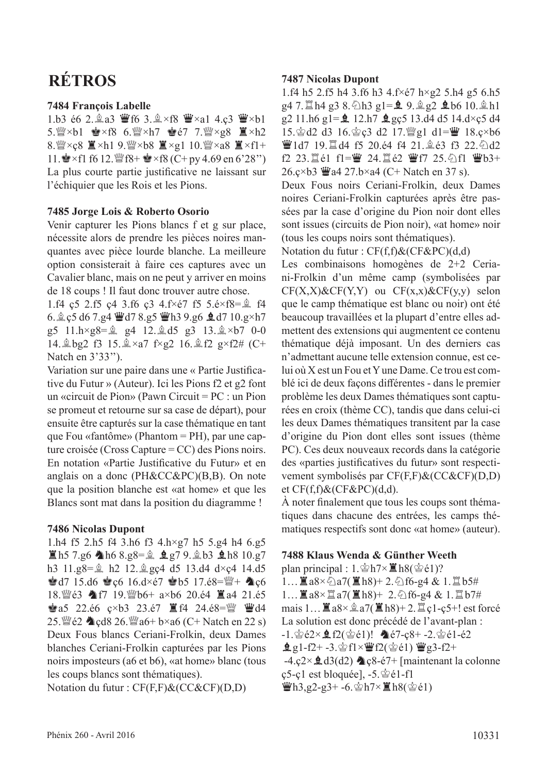# **RÉTROS**

#### **7484 François Labelle**

1.b3 é6 2. $\triangleq$ a3  $\triangleq$ f6 3. $\triangleq \times$ f8  $\triangleq \times$ a1 4.ç3  $\triangleq \times$ b1 5. $\mathbb{W}\times b1$   $\mathbb{Q}\times f8$  6. $\mathbb{W}\times h7$   $\mathbb{Q}67$  7. $\mathbb{W}\times g8$   $\mathbb{Z}\times h2$ 8. $\mathbb{W} \times c8 \equiv \times h1$  9. $\mathbb{W} \times b8 \equiv \times g1$  10. $\mathbb{W} \times a8 \equiv \times f1 +$ 11.  $\bullet$  × f1 f6 12.  $\mathcal{W}$  f8+  $\bullet$  × f8 (C+ py 4.69 en 6'28") La plus courte partie justifcative ne laissant sur l'échiquier que les Rois et les Pions.

#### **7485 Jorge Lois & Roberto Osorio**

Venir capturer les Pions blancs f et g sur place, nécessite alors de prendre les pièces noires manquantes avec pièce lourde blanche. La meilleure option consisterait à faire ces captures avec un Cavalier blanc, mais on ne peut y arriver en moins de 18 coups ! Il faut donc trouver autre chose.

1.f4 ç5 2.f5 ç4 3.f6 ç3 4.f $\times$ é7 f5 5.é $\times$ f8= $\hat{B}$  f4 6.  $\&$  c5 d6 7.g4  $\&$  d7 8.g5  $\&$  h3 9.g6  $\&$  d7 10.g×h7 g5  $11.h \times g8 = \hat{g}$  g4  $12.\hat{g}$  d5 g3  $13.\hat{g} \times b7$  0-0 14. gbg2 f3 15.  $\× a7$  f×g2 16. g f2 g×f2# (C+ Natch en 3'33'').

Variation sur une paire dans une « Partie Justifcative du Futur » (Auteur). Ici les Pions f2 et g2 font un «circuit de Pion» (Pawn Circuit = PC : un Pion se promeut et retourne sur sa case de départ), pour ensuite être capturés sur la case thématique en tant que Fou «fantôme» (Phantom = PH), par une capture croisée (Cross Capture = CC) des Pions noirs. En notation «Partie Justifcative du Futur» et en anglais on a donc (PH&CC&PC)(B,B). On note que la position blanche est «at home» et que les Blancs sont mat dans la position du diagramme !

#### **7486 Nicolas Dupont**

1.h4 f5 2.h5 f4 3.h6 f3 4.h×g7 h5 5.g4 h4 6.g5  $\Xi$ h5 7.g6 Ah6 8.g8= $\hat{\mathbb{Z}}$  eg7 9. $\hat{\mathbb{Z}}$ b3 eh8 10.g7 h3  $11.98 = \frac{6}{3}$  h2 12. $\frac{6}{3}$  gc4 d5 13.d4 d×c4 14.d5  $\bullet$  d7 15.d6  $\bullet$  c6 16.d×é7  $\bullet$  b5 17.é8= $\mathbb{W}$ +  $\bullet$  c6 18. sefa 17 19. sefa bela a×b6 20. é4  $\Xi$  a4 21. é5  $\bullet$  a5 22.é6 c×b3 23.é7  $\mathbb{E}$  f4 24.é8= $\mathbb{W}$   $\mathbb{W}$ d4 25. $\mathcal{L}$ e2  $\triangleleft$  cd8 26. $\mathcal{L}$ a6+ b×a6 (C+ Natch en 22 s) Deux Fous blancs Ceriani-Frolkin, deux Dames blanches Ceriani-Frolkin capturées par les Pions noirs imposteurs (a6 et b6), «at home» blanc (tous les coups blancs sont thématiques).

Notation du futur : CF(F,F)&(CC&CF)(D,D)

#### **7487 Nicolas Dupont**

1.f4 h5 2.f5 h4 3.f6 h3 4.f×é7 h×g2 5.h4 g5 6.h5  $g4$  7.  $\mathbb{Z}$  h4 g3 8.  $\Diamond$  h3 g1= $\mathbf{\underline{9}}$ ,  $\mathbf{\underline{9}}$  g2  $\mathbf{\underline{4}}$  b6 10.  $\mathbf{\underline{4}}$  h1 g2 11.h6 g1= $\hat{Q}$  12.h7  $\hat{Q}$  gç5 13.d4 d5 14.d×ç5 d4 15. gd2 d3 16. gc3 d2 17. 曾g1 d1=曹 18.ç×b6 曹1d7 19. d4 f5 20.é4 f4 21. 鱼é3 f3 22. @d2 f2 23. $E$ é1 f1= $\Psi$  24. $E$ é2  $\Psi$ f7 25. $\partial$ f1  $\Psi$ b3+ 26. $c \times b3$   $\ddot{w}$  a4 27. $b \times a4$  (C+ Natch en 37 s).

Deux Fous noirs Ceriani-Frolkin, deux Dames noires Ceriani-Frolkin capturées après être passées par la case d'origine du Pion noir dont elles sont issues (circuits de Pion noir), «at home» noir (tous les coups noirs sont thématiques).

Notation du futur : CF(f,f)&(CF&PC)(d,d)

Les combinaisons homogènes de 2+2 Ceriani-Frolkin d'un même camp (symbolisées par  $CF(X,X)$ &CF(Y,Y) ou  $CF(x,x)$ &CF(y,y) selon que le camp thématique est blanc ou noir) ont été beaucoup travaillées et la plupart d'entre elles admettent des extensions qui augmentent ce contenu thématique déjà imposant. Un des derniers cas n'admettant aucune telle extension connue, est celui où X est un Fou et Y une Dame. Ce trou est comblé ici de deux façons diférentes - dans le premier problème les deux Dames thématiques sont capturées en croix (thème CC), tandis que dans celui-ci les deux Dames thématiques transitent par la case d'origine du Pion dont elles sont issues (thème PC). Ces deux nouveaux records dans la catégorie des «parties justifcatives du futur» sont respectivement symbolisés par CF(F,F)&(CC&CF)(D,D) et  $CF(f,f)$ &( $CF$ &PC)(d,d).

À noter fnalement que tous les coups sont thématiques dans chacune des entrées, les camps thématiques respectifs sont donc «at home» (auteur).

#### **7488 Klaus Wenda & Günther Weeth**

plan principal :  $1.\hat{\otimes}h7\times\mathbb{Z}h8(\hat{\otimes}e1)$ ?  $1...$  $3.8 \times \text{a}7(\text{B}h8) + 2.\text{b}6-g4 \& 1.\text{b}5\#$  $1...$ 薑a8×罝a7(薑h8)+ 2.公f6-g4 & 1.罝b7# mais  $1... \equiv a8 \times \hat{a} \cdot a7(\equiv h8) + 2. \equiv c1-c5+1$  est forcé La solution est donc précédé de l'avant-plan :  $-1.\n\circledast$ é2× $\bigoplus$ f2( $\circledast$ é1)!  $\bigoplus$ é7-ç8+ -2. $\circledast$ é1-é2  $g_1-f_2+ -3.$  $g_1\frac{r}{2}f_1\times g_2^r$   $f_2\frac{r}{2}f_2^r + 2f_1^r$  $-4.\text{c2} \times \text{d}3\text{(d2)}$   $\text{c8-}67+$  [maintenant la colonne  $\c{c}$ 5- $\c{c}$ 1 est bloquée], -5. $\dot{\mathscr{C}}$ é1-f1  $\mathbf{\ddot{W}}$ h3,g2-g3+ -6. $\mathbf{\dot{\otimes}}$ h7× $\mathbf{\ddot{E}}$ h8( $\mathbf{\dot{\otimes}}$ é1)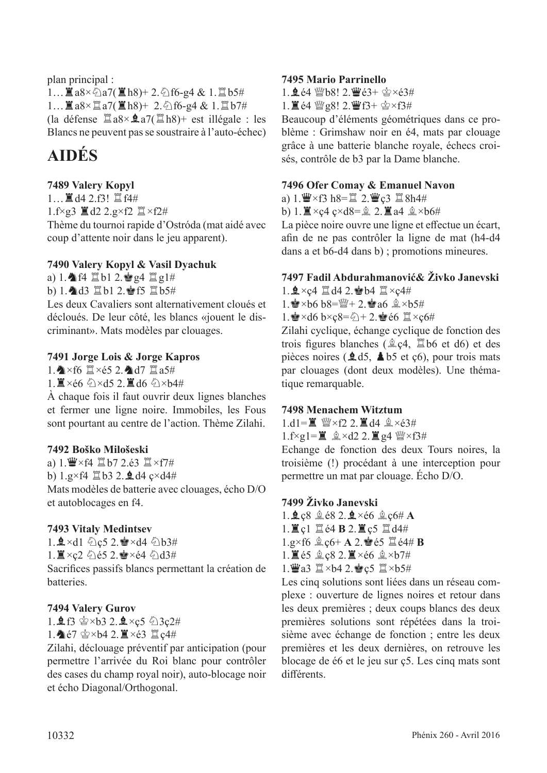plan principal :  $1...$   $2a8\times$   $2a7($   $2h8)+2.$   $2f6-g4 & 1.$   $2b5#$  $1...$  $3.8 \times 27$   $(1.8) + 2.5$  f6-g4 & 1.  $2.67$ # (la défense  $\angle \mathbb{Z}$ a8× $\angle \mathbb{Z}$ a7( $\angle \mathbb{Z}$ h8)+ est illégale : les Blancs ne peuvent pas se soustraire à l'auto-échec)

# **AIDÉS**

## **7489 Valery Kopyl**

 $1...$  $A$  4 2.f3!  $B$  f4# 1.f $\times$ g3  $\mathbb{Z}$  d2 2.g $\times$ f2  $\mathbb{Z} \times$ f2# Thème du tournoi rapide d'Ostróda (mat aidé avec coup d'attente noir dans le jeu apparent).

#### **7490 Valery Kopyl & Vasil Dyachuk**

a) 1.  $f4 \nsubseteq b1$  2.  $g4 \nsubseteq g1#$ 

b) 1. d3  $\mathbb{Z}$ b1 2. f5  $\mathbb{Z}$ b5#

Les deux Cavaliers sont alternativement cloués et décloués. De leur côté, les blancs «jouent le discriminant». Mats modèles par clouages.

#### **7491 Jorge Lois & Jorge Kapros**

1.  $\triangleright$   $\times$ f6  $\mathbb{Z} \times 65$  2.  $\triangle$ d7  $\mathbb{Z}$ a5#

1. Xe6 公×d5 2. Xd6 公×b4#

À chaque fois il faut ouvrir deux lignes blanches et fermer une ligne noire. Immobiles, les Fous sont pourtant au centre de l'action. Thème Zilahi.

#### **7492 Boško Milošeski**

a)  $1.\n\Pe \times f4 \ncong b7$  2.é3  $\Pi \times f7$ # b)  $1.g \times f4 \nsubseteq b3$  2.  $\triangleleft d4$   $c \times d4 \#$ Mats modèles de batterie avec clouages, écho D/O et autoblocages en f4.

#### **7493 Vitaly Medintsev**

1.  $\mathbf{2} \times d1$   $\odot$  c5 2.  $\mathbf{2} \times d4$   $\odot$  b3#  $1.\n\mathbb{I} \times \mathfrak{c}2 \oplus \mathfrak{c}5$  2.  $\mathbb{I} \times \mathfrak{c}4 \oplus \mathfrak{d}3$ # Sacrifces passifs blancs permettant la création de batteries.

#### **7494 Valery Gurov**

 $1.95 \, \text{S} \times 63 \, 2.9 \times 5 \, \text{S} \times 24$  $1.\spadesuit$ é7  $\spadesuit$ ×b4 2.  $\breve{\mathbb{I}}$ ×é3  $\breve{\mathbb{I}}$  ç4#

Zilahi, déclouage préventif par anticipation (pour permettre l'arrivée du Roi blanc pour contrôler des cases du champ royal noir), auto-blocage noir et écho Diagonal/Orthogonal.

#### **7495 Mario Parrinello**

 $1.964$  Wb8!  $2.963 + 2 \times 63#$ 

 $1.$   $\mathbb{Z}$  é4  $\mathbb{W}$  g8!  $2.$   $\mathbb{W}$  f3+  $\circledcirc \times f3#$ 

Beaucoup d'éléments géométriques dans ce problème : Grimshaw noir en é4, mats par clouage grâce à une batterie blanche royale, échecs croisés, contrôle de b3 par la Dame blanche.

#### **7496 Ofer Comay & Emanuel Navon**

a)  $1.\n\Pe \times f3$  h8= $\mathbb{Z}$  2. $\Psi$ c3  $\mathbb{Z}$ 8h4#

b) 1.  $\mathbb{Z} \times c4$   $c \times d8 = 2$ .  $\mathbb{Z}$  a4  $\mathbb{Q} \times b6 \#$ 

La pièce noire ouvre une ligne et effectue un écart, afn de ne pas contrôler la ligne de mat (h4-d4 dans a et b6-d4 dans b) ; promotions mineures.

## **7497 Fadil Abdurahmanović& Živko Janevski**

1. $\frac{6}{2}$ ×ç4  $\frac{6}{2}$ d4 2. $\frac{6}{2}$ b4  $\frac{6}{2}$ ×ç4#

1.  $\bullet$  ×b6 b8= $\mathbb{W}$ + 2. $\bullet$  a6  $\&$  ×b5#

 $1.$ e $\times$ d6 b $\times$ c $8=$  $\frac{2}{3}+2.$ e $\approx$ e6  $\Xi \times$ c $6\#$ 

Zilahi cyclique, échange cyclique de fonction des trois figures blanches ( $\hat{\mathbb{Q}}$ , $c4$ ,  $\hat{\mathbb{Z}}$ b6 et d6) et des pièces noires ( $\triangle$ d5,  $\triangle$ b5 et c6), pour trois mats par clouages (dont deux modèles). Une thématique remarquable.

#### **7498 Menachem Witztum**

 $1 \text{.} dl = \mathbb{I}$  幽×f2 2.  $\mathbb{I}$   $d4 \text{ } \mathbb{I} \times 63#$ 

 $1.f \times g1 = \mathbb{E}$   $\hat{\mathbb{E}} \times d2$  2.  $\mathbb{E}$  g4  $\mathbb{W} \times f3$ #

Echange de fonction des deux Tours noires, la troisième (!) procédant à une interception pour permettre un mat par clouage. Écho D/O.

#### **7499 Živko Janevski**

- $1.9c8$   $68$   $2.9 \times 66$   $60c6#$  A
- $1.$ **E**  $c1$  **E**  $e4$  **B**  $2.$ **E**  $c5$  **E**  $d4#$
- $1.g \times f6 \trianglelefteq c6+ A2.$ **e** é5  $\Xi$ é4# **B**
- 1.  $\angle$ é5  $\angle$ ę8 2.  $\angle$ ×é6  $\angle$ ×b7#
- $1.$  $42.42.$ es  $1 \times b5$ #

Les cinq solutions sont liées dans un réseau complexe : ouverture de lignes noires et retour dans les deux premières ; deux coups blancs des deux premières solutions sont répétées dans la troisième avec échange de fonction ; entre les deux premières et les deux dernières, on retrouve les blocage de é6 et le jeu sur ç5. Les cinq mats sont diférents.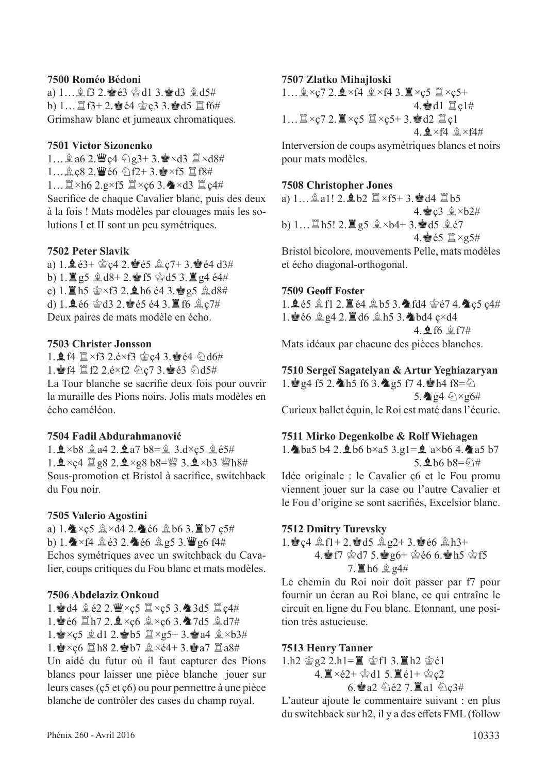#### **7500 Roméo Bédoni**

a) 1...  $2.963$   $d13.9d3$   $2.45#$ b)  $1...$   $1.4$   $64$   $64$   $62$   $3.8$   $1.6$   $1.6$   $1.6$ Grimshaw blanc et jumeaux chromatiques.

#### **7501 Victor Sizonenko**

1… $\triangle$ a6 2. $\angle$ c4  $\triangle$ g3+ 3. $\angle$ ×d3  $\angle$ ×d8# 1... 鱼c8 2. 曹é6 公f2+ 3. 含×f5 罝f8# 1… $\mathbb{Z} \times h6$  2.g×f5  $\mathbb{Z} \times c6$  3.  $\mathbb{Z} \times d3$   $\mathbb{Z}$   $c4#$ Sacrifce de chaque Cavalier blanc, puis des deux à la fois ! Mats modèles par clouages mais les solutions I et II sont un peu symétriques.

#### **7502 Peter Slavik**

a)  $1.963 + 2.9642.865$   $2.7 + 3.864$  d3# b)  $1.\n\mathbf{g}5 \hat{\mathbf{g}} d8+2.\n\mathbf{g}f5 \hat{\mathbf{g}} d5 3.\n\mathbf{g}4 \hat{\mathbf{e}}4#$ c) 1.  $\mathbb{Z}$  h5  $\circledast \times f3$  2.  $\mathbb{A}$  h6 é4 3. $\circledast$  g5  $\circledast$  d8# d)  $1.966$   $2.963$   $2.865$   $64$   $3.16$   $6.27$ # Deux paires de mats modèle en écho.

#### **7503 Christer Jonsson**

1. **2** f4  $\mathbb{Z} \times$ f3 2.é×f3  $\circledast$ c4 3. $\circledast$ é4  $\circledast$ d6# 1. 1. 14 置f2 2.é×f2 公c7 3. 163 公d5# La Tour blanche se sacrife deux fois pour ouvrir la muraille des Pions noirs. Jolis mats modèles en

écho caméléon.

#### **7504 Fadil Abdurahmanović**

 $1.9 \times b8$   $2.94$   $2.94$   $b8 = 2$   $3.0 \times c5$   $2.65$ # 1. $\mathbf{\underline{4}} \times$ ç4  $\mathbb{Z}$  g8 2. $\mathbf{\underline{4}} \times$ g8 b8= $\mathbb{W}$  3. $\mathbf{\underline{4}} \times$ b3  $\mathbb{W}$ h8# Sous-promotion et Bristol à sacrifce, switchback du Fou noir.

#### **7505 Valerio Agostini**

a) 1.  $\triangle \times c$ 5  $\triangle \times d$ 4 2.  $\triangle \in 6$   $\triangle$  b6 3.  $\triangle \in 7$  c5# b) 1.  $\triangleright$   $\times$  f4  $\stackrel{6}{\leq}$   $\stackrel{6}{\leq}$  2.  $\stackrel{6}{\leq}$  66  $\stackrel{6}{\leq}$  g5 3.  $\stackrel{10}{\leq}$  g6 f4# Echos symétriques avec un switchback du Cavalier, coups critiques du Fou blanc et mats modèles.

#### **7506 Abdelaziz Onkoud**

1. d4  $2e2$  2.  $\mathbf{W} \times c5$   $\mathbf{X} \times c5$  3. 23d5  $\mathbf{X} \times c4#$ 1. 66  $\Box$ h7 2.  $\Delta \times c6$   $\angle \times c6$  3. 27d5  $\angle$ d7# 1. xc5  $\triangleq$  d1 2. sb5  $\triangleq \times g5+3.$ ea4  $\triangleq \times b3#$ 1. $\cdot$ e $\times$ ç6  $\mathbb{Z}$ h8 2. $\cdot$ eb7  $\mathbb{Z} \times 64+$  3. $\cdot$ e $\cdot$ a7  $\mathbb{Z}$ a8#

Un aidé du futur où il faut capturer des Pions blancs pour laisser une pièce blanche jouer sur leurs cases (ç5 et ç6) ou pour permettre à une pièce blanche de contrôler des cases du champ royal.

#### **7507 Zlatko Mihajloski**

1… $\hat{\mathbb{Q}} \times_{\mathbb{Q}} 7$  2.  $\hat{\mathbb{Q}} \times$ f4  $\hat{\mathbb{Q}} \times$ f4 3.  $\hat{\mathbb{Z}} \times_{\mathbb{Q}} 5$   $\hat{\mathbb{Z}} \times_{\mathbb{Q}} 5$ +  $4.$ ed $1 \nvert$   $\mathbb{Z}$  c $1#$ 1… $\mathbb{Z} \times_{\mathbb{C}} 7$  2.  $\mathbb{Z} \times_{\mathbb{C}} 5$   $\mathbb{Z} \times_{\mathbb{C}} 5 + 3$ .  $d2$   $\mathbb{Z}$   $\mathbb{C}1$  $4.$  $4 \times$ f $4 \&$   $\times$ f $4#$ 

Interversion de coups asymétriques blancs et noirs pour mats modèles.

#### **7508 Christopher Jones**

a)  $1...$  $a$ a $1!$   $2.\bullet b2 \nexists \times f5+3.\bullet d4 \nexists b5$  $4.\n\text{Qc3} \triangleq \times b2\#$ b)  $1...$  h5!  $2.\nIg5 \nightharpoonup x$  b4+  $3.\nIgd5 \nightharpoonup x$  e7  $4.$ ġé5  $⊠ \times g5#$ Bristol bicolore, mouvements Pelle, mats modèles et écho diagonal-orthogonal.

#### **7509 Geof Foster**

1.Fé5 ff1 2.Té4 fb5 3.Cfd4 ré7 4.Cç5 ç4# 1. $\bullet$   $6 \text{ g}q4$  2.  $\bullet$   $d6 \text{ g}h5$  3.  $\bullet$   $bd4$   $c \times d4$  $4.$  \$  $16$  \$  $17#$ Mats idéaux par chacune des pièces blanches.

**7510 Sergeï Sagatelyan & Artur Yeghiazaryan** 1.  $g4$  f5 2. h5 f6 3. ag5 f7 4.  $gh4$  f8= $\ddot{q}$ 5.  $q \notin \mathbb{Q} \times g6#$ Curieux ballet équin, le Roi est maté dans l'écurie.

**7511 Mirko Degenkolbe & Rolf Wiehagen** 1. ba5 b4 2.  $\pm$  b6 b×a5 3.g1= $\pm$  a×b6 4. a5 b7  $5.$ 皇b6 b8=公#

Idée originale : le Cavalier ç6 et le Fou promu viennent jouer sur la case ou l'autre Cavalier et le Fou d'origine se sont sacrifés, Excelsior blanc.

#### **7512 Dmitry Turevsky**

1.  $c4 \nLeftrightarrow f1+2.$   $d5 \nLeftrightarrow g2+3.$   $d66 \nLeftrightarrow h3+$ 4. Fr  $\circ$ d7 5. g6+  $\circ$ e6 6. Ph5  $\circ$ f5  $7.$   $\mathbb{E}$  h6  $\mathbb{Q}$   $24\#$ 

Le chemin du Roi noir doit passer par f7 pour fournir un écran au Roi blanc, ce qui entraîne le circuit en ligne du Fou blanc. Etonnant, une position très astucieuse.

#### **7513 Henry Tanner**

1.h2 宫g2 2.h1=■ 宫f1 3.■h2 宫é1  $4.\Xi \times 2+\circledast d1$  5. $\Xi \cdot 1+\circledast c2$  $6.$ a2  $0.62$  7. a1  $0.23#$ 

L'auteur ajoute le commentaire suivant : en plus du switchback sur h2, il y a des efets FML (follow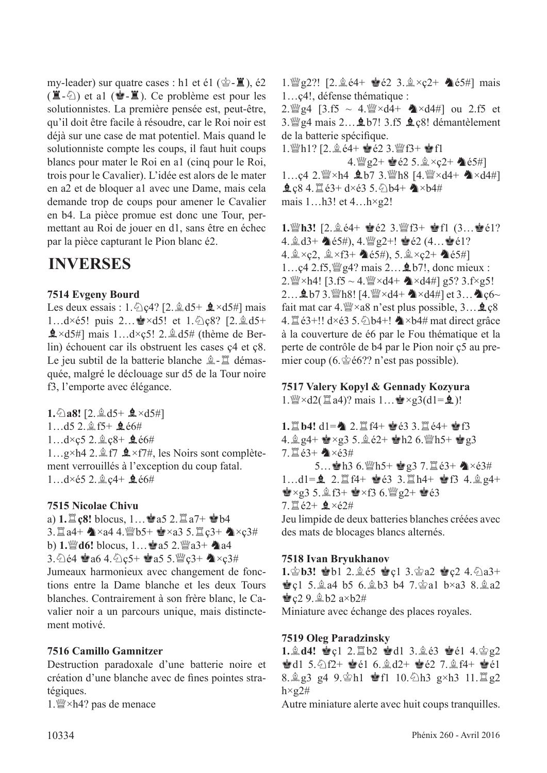my-leader) sur quatre cases : h1 et é1 ( $\dot{\mathscr{C}}$ - $\ddot{\mathscr{Z}}$ ), é2  $(\mathbf{X}-\mathbf{X})$  et al  $(\mathbf{Y}-\mathbf{X})$ . Ce problème est pour les solutionnistes. La première pensée est, peut-être, qu'il doit être facile à résoudre, car le Roi noir est déjà sur une case de mat potentiel. Mais quand le solutionniste compte les coups, il faut huit coups blancs pour mater le Roi en a1 (cinq pour le Roi, trois pour le Cavalier). L'idée est alors de le mater en a2 et de bloquer a1 avec une Dame, mais cela demande trop de coups pour amener le Cavalier en b4. La pièce promue est donc une Tour, permettant au Roi de jouer en d1, sans être en échec par la pièce capturant le Pion blanc é2.

# **INVERSES**

#### **7514 Evgeny Bourd**

Les deux essais :  $1.\textdegreeled{2}$  (2. $\textdegreeled{4}$  d5+  $\textdegreeled{4} \times d5\textdegreeled{4}$  mais 1... $d \times 65!$  puis 2... $\mathbf{r} \times 45!$  et 1. $\mathcal{L}_0$  $68$ ? [2. $\mathcal{L}_0$  $d5+$  $\triangle \times d5\#$ ] mais 1...d×c5! 2. $\triangle \angle d5\#$  (thème de Berlin) échouent car ils obstruent les cases ç4 et ç8. Le jeu subtil de la batterie blanche  $\hat{\mathbb{Z}}$ - $\hat{\mathbb{Z}}$  démasquée, malgré le déclouage sur d5 de la Tour noire f3, l'emporte avec élégance.

**1.** $\triangle$ **a8!** [2. $\triangleq$  d5+  $\triangleq$  ×d5#] 1...d5 2. gf5+  $\triangle$  é6#  $1...d \times c$ 5 2. $\&c8+$   $\&c6#$ 1...g×h4 2. $\hat{\mathbb{I}}$  f7  $\hat{\mathbb{I}}$  ×f7#, les Noirs sont complètement verrouillés à l'exception du coup fatal.  $1...d \times 65$  2.  $2.64 + 9.66#$ 

#### **7515 Nicolae Chivu**

a)  $1.\Xi$  **c8!** blocus,  $1...\angle$  a5  $2.\Xi$  a7+  $\angle$  b4  $3.\mathbb{Z}$ a4+  $\triangle$ ×a4 4. Wb5+  $\triangleq$ ×a3 5. $\mathbb{Z}$ c3+  $\triangleq$ ×c3# **b) 1.** @ **d6!** blocus,  $1...$  as  $2.\$  @  $a3+$  a4 3.  $64 \cdot a6 4. \cdot 2c5 + a5 5.$  @  $c3+$   $\sim c3#$ Jumeaux harmonieux avec changement de fonctions entre la Dame blanche et les deux Tours blanches. Contrairement à son frère blanc, le Cavalier noir a un parcours unique, mais distinctement motivé.

#### **7516 Camillo Gamnitzer**

Destruction paradoxale d'une batterie noire et création d'une blanche avec de fnes pointes stratégiques.

1.  $\mathbb{W}\times h4$ ? pas de menace

1.  $\mathbb{Z}$  g2?! [2.  $\&$  é4+  $\bullet$  é2 3.  $\&$  × ç2+  $\bullet$  é5#] mais 1…ç4!, défense thématique :

2.  $\frac{3.66}{2.66}$  c4.  $\frac{3.65}{2.66}$  ~ 4.  $\frac{10}{24}$  × d4  $\frac{10}{24}$  ou 2.f5 et 3.  $\mathbb{Q}$ g4 mais 2... $\mathbf{\&}$  b7! 3.f5  $\mathbf{\&}$  c8! démantèlement de la batterie spécifique.

1. Wh1? [2.  $\&$  é4+  $\bullet$  é2 3. Wf3+  $\bullet$  f1

4.  $\mathbb{Q}g2+ \mathbf{\geq} 62 \cdot 5 \cdot \mathbf{\geq} \times c2+ \mathbf{\geq} 65\#$ 1...c4 2.  $\mathbb{W} \times h4$  **2.** b7 3.  $\mathbb{W} h8$  [4.  $\mathbb{W} \times d4 + 2 \times d4 \neq 1$ ]  $2c8$  4.  $2e3+ d \times 63$  5.  $\circled{b}b4+$   $\bullet \times b4\#$ mais 1…h3! et 4…h×g2!

**1.**de**h3!** [2.fé4+ Ré2 3.def3+ Rf1 (3…Ré1? 4.  $\&$  d3+  $\&$  e5#), 4.  $\&$  g2+!  $\&$  e2 (4...  $\&$  e1? 4.  $\& \times$ ç2,  $\& \times$ f3+  $\& \& \& \times$ ;  $\& \times$ ç2+  $\& \& \& \times$ 5#] 1... $c4$  2.f5,  $\mathcal{Q}_2$   $q$ ? mais 2...  $\mathbf{\&}$  b7!, donc mieux : 2. $\frac{3.6}{2}$ ×h4! [3.f5 ~ 4. $\frac{10}{2}$ ×d4+  $\triangle$ ×d4#] g5? 3.f×g5! 2...  $\mathbf{\hat{Q}}$  b7 3.  $\mathbf{W}$ h8! [4.  $\mathbf{W} \times d4+ \mathbf{W} \times d4$ #] et 3...  $\mathbf{W}$ c6~ fait mat car  $4.$ uese  $\times$ a8 n'est plus possible,  $3...$ **e** c8 4.  $\mathbb{Z}$ é3+!! d×é3 5.  $\Diamond$ b4+!  $\Diamond$ ×b4# mat direct grâce à la couverture de é6 par le Fou thématique et la perte de contrôle de b4 par le Pion noir ç5 au premier coup (6. $\&$ é6?? n'est pas possible).

#### **7517 Valery Kopyl & Gennady Kozyura**

1.  $\mathbb{W} \times d2(\mathbb{Z} \text{ a}4)$ ? mais 1...  $\mathbb{Q} \times g3(d1 = 9)$ !

 $1.$ **[1.** b4! d1= $\spadesuit$  2. **[14+**  $\spadesuit$  **e3** 3. **[14+**  $\spadesuit$  **f3** 4.  $\frac{6}{9}$  g4+  $\frac{1}{2}$  × g3 5.  $\frac{6}{9}$  é2+  $\frac{1}{9}$  h2 6.  $\frac{100}{9}$  h5+  $\frac{1}{9}$  g3  $7.1e3+$   $\times e3#$ 5... 會h3 6. 彎h5+ 會g3 7. aé3+ <63#  $1...d1 = 2.1$   $2.1$   $H + 8$   $63.3.1$   $H + 8$   $R$   $3.4.2$   $R$  $\bullet$ ×g3 5. $\&$ f3+  $\bullet$ ×f3 6. $\&$ g2+  $\bullet$ é3  $7.1e^{2+}$   $2 \times 62#$ Jeu limpide de deux batteries blanches créées avec des mats de blocages blancs alternés.

#### **7518 Ivan Bryukhanov**

1. Pb3! @b1 2. g é5 @c1 3. Pa2 @c2 4. 2a3+ **g**c1 5. $\hat{A}$ a4 b5 6. $\hat{A}$ b3 b4 7. $\hat{B}$ a1 b×a3 8. $\hat{A}$ a2  $Q29.$  $Qb2 a \times b2#$ Miniature avec échange des places royales.

#### **7519 Oleg Paradzinsky**

**1. <sup>6</sup>d4! 會c1 2. 買b2 會d1 3. 鱼é3 會é1 4. 含g2**  $\bullet$ d1 5. $\odot$ f2+  $\bullet$ é1 6. $\circ$ d2+  $\bullet$ é2 7. $\circ$ f4+  $\bullet$ é1 8.  $\frac{6}{9}$  g<sub>3</sub> g<sub>4</sub> 9.  $\frac{6}{9}$ h1  $\frac{6}{9}$ f1 10.  $\frac{6}{13}$  g×h3 11.  $\frac{12}{9}$  g<sub>2</sub>  $h \times g2\#$ 

Autre miniature alerte avec huit coups tranquilles.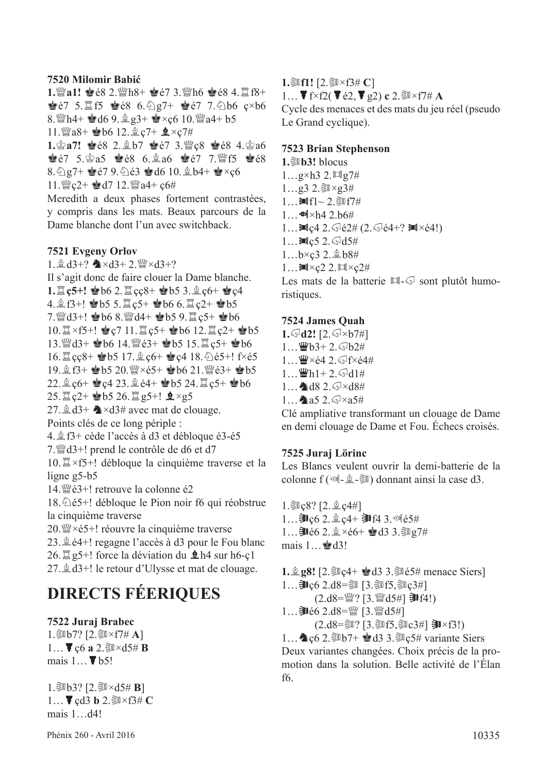#### **7520 Milomir Babić**

1. a1! 會é8 2.  $h8 + e7$  3.  $h6$  · e8 4.  $f8 +$  $\bullet$  67 5. If5  $\bullet$  68 6.  $\frac{1}{2}g$ 7+  $\bullet$  67 7.  $\frac{1}{2}b$ 6 ç×b6 8.  $4+$  ed6 9.  $2g3+$  e $\times$ ç6 10.  $2a4+ b5$ 11. a8+  $\bullet$  b6 12.  $\& c7+$   $\bullet \times c7$ # 1. 含a7! 含é8 2. gb7 含é7 3. igc8 含é8 4. 含a6

 $\bullet$  67 5. $\circ$ a5  $\bullet$  68 6. $\circ$ a6  $\bullet$  67 7. Ff5  $\bullet$  68 8. $\frac{1}{2}$ g7+  $\frac{1}{2}$ é7 9. $\frac{1}{2}$ é3  $\frac{1}{2}$ d6 10. $\frac{1}{2}$ b4+  $\frac{1}{2}$ ×c6 11.  $\mathbb{Q}$  c2+  $\mathbb{Q}$  d7 12.  $\mathbb{Q}$  a4+ c6#

Meredith a deux phases fortement contrastées, y compris dans les mats. Beaux parcours de la Dame blanche dont l'un avec switchback.

#### **7521 Evgeny Orlov**

1.  $\&$  d3+?  $\&$  ×d3+ 2.  $\&$  ×d3+? Il s'agit donc de faire clouer la Dame blanche. **1.** $\Xi$  **c5+!**  $\bullet$  b6 2. $\Xi$  cc8+  $\bullet$  b5 3. $\hat{\Xi}$  c6+  $\bullet$  c4  $4.\n$ g f3+!  $\bullet$ b5 5. $\mathbb{Z}$ c5+  $\bullet$ b6 6. $\mathbb{Z}$ c2+  $\bullet$ b5  $7.$   $\%$  d3+!  $\bullet$  b6 8.  $\%$  d4+  $\bullet$  b5 9.  $\%$  c5+  $\bullet$  b6  $10.\n\mathbb{Z} \times 5 + !$   $\mathbb{Q}$  c7 11.  $\mathbb{Z}$  c5+  $\mathbb{Q}$  b6 12.  $\mathbb{Z}$  c2+  $\mathbb{Q}$  b5 13. 曾d3+ 會b6 14. 曾é3+ 會b5 15. 且 ç5+ 會b6 16. cc8+ \$b5 17. gc6+ \$c4 18. 265+! f×é5 19.  $$19.$   $$19.$   $$13+$   $$165.$  20.  $\mathbb{W} \times 65+$   $$16.$   $21.$   $\mathbb{W} \times 63+$   $$16.$  $22.9c6+$  Rec $4\,23.9c4+$  Report 24. Test Report 3. 25.  $\mathbb{Z}$  c<sub>2</sub>+  $\mathbf{\mathcal{L}}$  b5 26.  $\mathbb{Z}$  g5+!  $\mathbf{\mathcal{L}} \times$ g5 27.  $\triangle$  d3+  $\triangle$  × d3# avec mat de clouage. Points clés de ce long périple : 4.ff3+ cède l'accès à d3 et débloque é3-é5  $7.$   $\%$  d3+! prend le contrôle de d6 et d7 10.  $\mathbb{Z} \times f5+!$  débloque la cinquième traverse et la ligne g5-b5 14.  $\mathcal{Q}_2$  e3+! retrouve la colonne é2  $18.\overline{\Diamond}$ é5+! débloque le Pion noir f6 qui réobstrue la cinquième traverse 20.  $\mathbb{W} \times 65+1$  réouvre la cinquième traverse 23.  $\hat{\mathbb{Q}}$  é4+! regagne l'accès à d3 pour le Fou blanc

26.  $\mathbb{Z}$  g5+! force la déviation du  $\mathbb{Q}$  h4 sur h6-c1 27.  $\&$  d3+! le retour d'Ulysse et mat de clouage.

# **DIRECTS FÉERIQUES**

#### **7522 Juraj Brabec**

1.  $1.5057$ ? [2. $5x\times$ f7# **A**]  $1...$   $\blacktriangledown$  c6 **a** 2. $\blacktriangledown$ xd5# **B** mais  $1...$   $\blacktriangledown$  b5!

1. $\frac{1}{20}b3$ ? [2. $\frac{2}{30} \times d5$ # **B**]  $1...$  **cd3 b**  $2.\overline{\$}$   $\times$  f3# **C** mais 1…d4!

**1.** [1! [2. ③ × f3# **C**]  $1...$   $\blacktriangledown$  f × f 2( $\blacktriangledown$  é 2,  $\blacktriangledown$  g 2) **c** 2. $\mathbb{S}$  × f 7# **A** Cycle des menaces et des mats du jeu réel (pseudo Le Grand cyclique).

#### **7523 Brian Stephenson**

 $1.\overline{\otimes}$  b<sup>3</sup>! blocus  $1...g\times h3$  2. $\Box$ g7#  $1...$ g3 2. ③×g3# 1… $\mathbb{M}$ f1~ 2. $\mathbb{S}$ f7#  $1...$   $\bullet$  ×h4 2.b6# 1... $\ln c$ 4 2. $\sqrt{6}$ é2# (2. $\sqrt{6}$ é4+?  $\ln x$ é4!)  $1...$  $\blacksquare$ c5 2. $\bigcirc$ d5#  $1...b \times c3$  2.  $\&b8#$  $1...$  $M \times c2$  2. $M \times c2#$ Les mats de la batterie  $\mathbb{H}\text{-}\mathbb{Q}$  sont plutôt humo-

## **7524 James Quah**

ristiques.

**1.**g**d2!** [2.g×b7#]  $1...$  Wb3+ 2.  $\sqrt{5}$ b2#  $1...$  $\mathbf{W} \times 64$  2.  $\sqrt{5}$ f $\times 64$ #  $1...$  $Wh1+ 2.$   $\odot$  d1#  $1...$   $d8$   $2.$   $\sqrt{8} \times d8$ # 1... **1** a5 2. $\sqrt{8} \times 35#$ 

Clé ampliative transformant un clouage de Dame en demi clouage de Dame et Fou. Échecs croisés.

#### **7525 Juraj Lörinc**

Les Blancs veulent ouvrir la demi-batterie de la colonne f ( $\mathcal{A}_{-}\hat{\mathcal{A}}$ - $\hat{\mathcal{A}}$ ) donnant ainsi la case d3.

 $1.\overline{$  $Q\gtrsim8?$   $[2.\dot{2}.\csc4#]$  $1...$  ]  $c6$  2.  $\&c4+$  ]  $f4$  3.  $\&c5#$ 1... ] é6 2.  $\×$ é6+ · d3 3. . 27# mais  $1 \dots \triangleq d3!$ 

**1.**  $\mathbf{g}$  **g8!** [2. ③  $c4+$   $\mathbf{g}$  **d**3 3. ③  $f$  menace Siers]  $1...$  コン $6$  2.d8=  $3\sqrt{5}$ , ③  $5$ , ③  $2\sqrt{4}$  $(2. d8 = \frac{100}{2} ? [3. \frac{100}{2} d5\#] \cdot 2041)$  $1...$  ]  $66$  2.d8= $\mathcal{W}$  [3. $\mathcal{W}$ d5#]

 $(2. d8 = \frac{20!}{3!}$  [3. 2015, 20 $c3#$ ] **即**×f3!)

1...  $\triangle$  c6 2. We b7+  $\triangleq$  d3 3. We c5# variante Siers Deux variantes changées. Choix précis de la promotion dans la solution. Belle activité de l'Élan f6.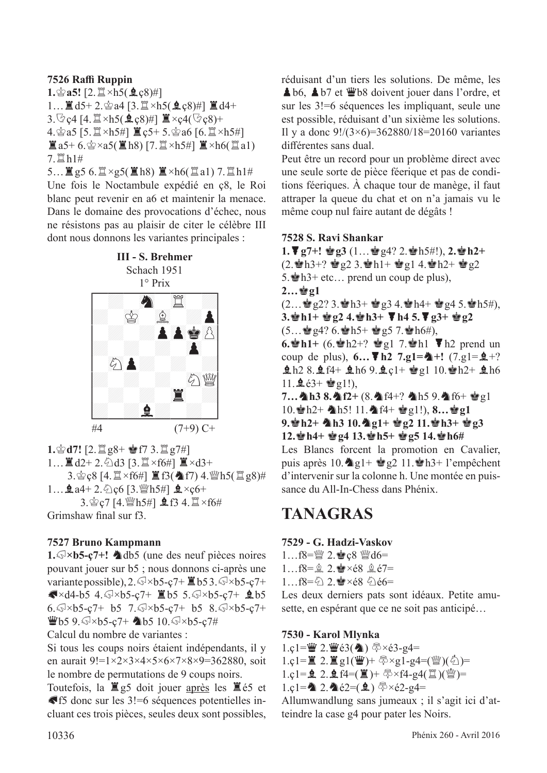#### **7526 Raffi Ruppin**

**1.** $\hat{\mathbf{2}}$ **a5!** [2. $\hat{\mathbf{Z}} \times h5(\hat{\mathbf{2}}\cdot\mathbf{c}8)$ #]  $1...$  $d5+2.\n$  $d34$  [3. $d3 \times h5(2c8)$ #]  $d4+$  $3.\overline{\heartsuit}$ ç4 [4. $\overline{\mathbb{I}} \times h5(\overline{\mathbb{Q}}\zeta8)$ #]  $\overline{\mathbb{I}} \times$ ç4( $\overline{\heartsuit}$ ç8)+ 4. 宫a5 [5. 罝×h5#] 置ç5+ 5. 宫a6 [6. 罝×h5#]  $\mathbb{Z}$ a5+6. $\mathbb{Z}$ ×a5( $\mathbb{Z}$ h8) [7. $\mathbb{Z}$ ×h5#]  $\mathbb{Z}$ ×h6( $\mathbb{Z}$ a1) 7.  $\n 11\n 14\n$ 

5...  $\mathbb{E}$  g5 6.  $\mathbb{E} \times$ g5( $\mathbb{E}$  h8)  $\mathbb{E} \times$ h6( $\mathbb{E}$  a1) 7.  $\mathbb{E}$  h1# Une fois le Noctambule expédié en ç8, le Roi blanc peut revenir en a6 et maintenir la menace. Dans le domaine des provocations d'échec, nous ne résistons pas au plaisir de citer le célèbre III dont nous donnons les variantes principales :



 $1.\n$ c $d7!$   $[2.\n$ i $g8+$  **e**f7 3. ii  $g7\#$ ] 1... ■d2+2. ④d3 [3. Ⅲ×f6#] ■×d3+ 3. g c [4.  $\mathbb{Z} \times f$ 6#]  $\mathbb{Z}$  f3(  $\mathbb{A}$  f7) 4. 曾h5(  $\mathbb{Z}$  g8)#  $1...$   $2a4+2.\,$  Qc6 [3.  $M_{\odot}$  h5#]  $2 \times c6+$ 3. gc7 [4.  $Mh$ 5#]  $\bigoplus$  f3 4.  $\mathbb{Z} \times$  f6# Grimshaw fnal sur f3.

#### **7527 Bruno Kampmann**

1.  $\sqrt{8} \times 65 - c$ 7+! **A**db5 (une des neuf pièces noires pouvant jouer sur b5 ; nous donnons ci-après une variante possible),  $2.\sqrt{3} \times 65 - \frac{1}{2} \times 65 \times 3.\sqrt{3} \times 65 - \frac{1}{2} + \frac{1}{2} \times 65 - \frac{1}{2} \times 65 - \frac{1}{2} \times 65 - \frac{1}{2} \times 65 - \frac{1}{2} \times 65 - \frac{1}{2} \times 65 - \frac{1}{2} \times 65 - \frac{1}{2} \times 65 - \frac{1}{2} \times 65 - \frac{1}{2} \times 65 - \frac{1}{2} \times 65 - \frac{1}{2} \times$  $\blacktriangleright$   $\triangleleft$  4. $\text{W\times}$ b5-ç7+  $\blacktriangleright$  5. $\text{W\times}$ b5-ç7+ **2**b5  $6.$  $\sqrt{3} \times b5 - c7 + b5$  7. $\sqrt{3} \times b5 - c7 + b5$  8. $\sqrt{3} \times b5 - c7 +$  $W$ b5 9. $\sqrt{3}$ ×b5-ç7+ (b5 10. $\sqrt{3}$ ×b5-ç7#

Calcul du nombre de variantes :

Si tous les coups noirs étaient indépendants, il y en aurait 9!= $1 \times 2 \times 3 \times 4 \times 5 \times 6 \times 7 \times 8 \times 9 = 362880$ , soit le nombre de permutations de 9 coups noirs.

Toutefois, la  $\mathbb{Z}$ g5 doit jouer après les  $\mathbb{Z}$ é5 et  $\blacktriangleright$  f5 donc sur les 3!=6 séquences potentielles incluant ces trois pièces, seules deux sont possibles, réduisant d'un tiers les solutions. De même, les A b6, A b7 et Wb8 doivent jouer dans l'ordre, et sur les 3!=6 séquences les impliquant, seule une est possible, réduisant d'un sixième les solutions. Il y a donc 9!/(3×6)=362880/18=20160 variantes diférentes sans dual.

Peut être un record pour un problème direct avec une seule sorte de pièce féerique et pas de conditions féeriques. À chaque tour de manège, il faut attraper la queue du chat et on n'a jamais vu le même coup nul faire autant de dégâts !

#### **7528 S. Ravi Shankar**

**1.**J**g7+!** R**g3** (1…Rg4? 2.Rh5#!), **2.**R**h2+**  $(2.\cdot\cdot\cdot R)+? \cdot \cdot\cdot g2 \cdot 3.\cdot\cdot h1+ \cdot\cdot g1 \cdot 4.\cdot\cdot h2+ \cdot\cdot g2$ 5.  $h3+$  etc... prend un coup de plus),  $2...$ **g**<sub>2</sub>1  $(2...\n\text{g}2?3.\n\text{h}3+\text{g}34.\n\text{h}4+\text{g}245.\n\text{h}5\#,$ **3.**R**h1+** R**g2 4.**R**h3+** J**h4 5.**J**g3+** R**g2**  $(5...$   $294? 6.2h5+ 2957.2h6#$ , **6.** $\mathbf{\hat{\bullet}}$ **h1**+ (6. $\mathbf{\hat{\bullet}}$ h2+?  $\mathbf{\hat{\bullet}}$ g1 7. $\mathbf{\hat{\bullet}}$ h1  $\blacktriangledown$  h2 prend un coup de plus),  $6... \blacktriangledown h2$  7.g1= $\blacktriangle +!$  (7.g1= $\triangle +?$  $9.12$  8. $14+169.2$   $10.19110.12+16$ 11. $\pm 63 + \pm 9$ g1!),

7... \\ h3 8.\\ f2+(8.\\ f4+? \\ h5 9.\\ f6+ \\ g1 10. h2+ h5! 11. f4+ eg1!), 8... eg1 **9.**R**h2+** C**h3 10.**C**g1+** R**g2 11.**R**h3+** R**g3 12.**R**h4+** R**g4 13.**R**h5+** R**g5 14.**R**h6#**

Les Blancs forcent la promotion en Cavalier, puis après  $10.\spadesuit g1 + \spadesuit g2$  11. $\spadesuit h3+ 1$ 'empêchent d'intervenir sur la colonne h. Une montée en puissance du All-In-Chess dans Phénix.

## **TANAGRAS**

#### **7529 - G. Hadzi-Vaskov**

 $1...$ f8= $\mathbb{W}$  2.  $\bullet$  c8  $\mathbb{W}$ d6=  $1...$ f8= $9, 2.$  $\bullet \times 68$  $9, 67$ =

1…f8= $\frac{c}{2}$  2. $\frac{dx}{2}$ ×é8  $\frac{c}{2}$ é6=

Les deux derniers pats sont idéaux. Petite amusette, en espérant que ce ne soit pas anticipé…

#### **7530 - Karol Mlynka**

 $1.c1 = \frac{w}{2}$   $2.\frac{w}{63}$   $(2.0)$   $\frac{w}{3} \times 63-g4=$ 

1.ç1= $\mathbb{Z}$  2.  $\mathbb{Z}$ g1( $\mathbb{Z}$ )+  $\sqrt[5]{2} \times g1-g4=(\sqrt[5]{2})$ ( $\sqrt[5]{2}$ )=

 $1.c1 = 2.2.4f4 = (1) + 5 \times f4 - g4(1)$ 

1.ç1= $2.2e^{2} = (1.6e^{2})$   $\frac{1.6e^{2}}{2.62-84} =$ 

Allumwandlung sans jumeaux ; il s'agit ici d'atteindre la case g4 pour pater les Noirs.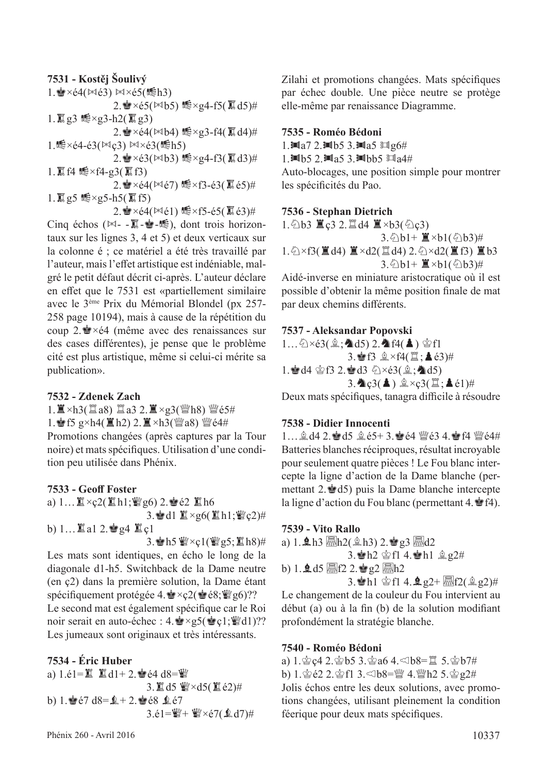#### **7531 - Kostěj Šoulivý** 1.  $\bullet$  ×é4( $\bowtie$ é3)  $\bowtie$ ×é5( $\circ$ h3)  $2.\n$   $\times$   $\epsilon$ 5( $\bowtie$ b5)  $\mathfrak{g}\times$ g4-f5( $\overline{\mathfrak{g}}$ d5)# 1.  $\overline{I\hspace{-0.2cm}I\hspace{-0.2cm}I}$  g3 1 1 × 93 - h2( $\overline{I\hspace{-0.2cm}I\hspace{-0.2cm}I}$  g3)  $2.\bullet \times 64(\mathbb{N} b4)$  怎 $\times$ g3-f4( $\overline{a}$ d4)# 1. $\mathbb{R} \times 64 - 63(\mathbb{N} \cdot \mathcal{C}3) \mathbb{N} \times 63(\mathbb{R} \cdot \mathcal{b}5)$  $2.\n$   $\times$   $63(\mathbb{N}b3)\n  $\times$   $g4$ -f3( $\overline{a}$ d3)#$ 1.  $\Xi$  f4 1 \;  $\times$  f4-g3( $\Xi$  f3)  $2.\n\text{'s} \times 64(\mathbb{N}67) \times 73-63(\overline{})\text{ s} \times 63)$ #  $1.\overline{R}$ g5 15×g5-h5( $\overline{R}$ f5)  $2.\n$   $\times$   $64(\mathbb{N}61)\n$   $\leqslant \times$  f5-é5( $\overline{\mathbb{R}}$  é3)#

Cinq échos ( $\bowtie$ -  $\overline{\mathbb{R}}$ - $\stackrel{\bullet}{\bullet}$ - $\stackrel{\bullet}{\bullet}$ ), dont trois horizontaux sur les lignes 3, 4 et 5) et deux verticaux sur la colonne é ; ce matériel a été très travaillé par l'auteur, mais l'efet artistique est indéniable, malgré le petit défaut décrit ci-après. L'auteur déclare en efet que le 7531 est «partiellement similaire avec le 3ème Prix du Mémorial Blondel (px 257- 258 page 10194), mais à cause de la répétition du coup 2. $\dot{\mathbf{r}} \times 64$  (même avec des renaissances sur des cases diférentes), je pense que le problème cité est plus artistique, même si celui-ci mérite sa publication».

#### **7532 - Zdenek Zach**

 $1.\Xi \times h3(\Xi a8)$   $\Xi a3$   $2.\Xi \times g3(\Psi h8)$  世经5#

1. for  $g \times h4(IIh2)$  2.  $II \times h3(IIIa8)$   $III\acute{e}4#$ 

Promotions changées (après captures par la Tour noire) et mats spécifques. Utilisation d'une condition peu utilisée dans Phénix.

#### **7533 - Geof Foster**

a)  $1... \mathbb{Z} \times$ ç2( $\mathbb{Z}$ h1; $\mathbb{Z}$ g6) 2. $\mathbb{Z}$ é2  $\mathbb{Z}$ h6 3. d1  $\mathbb{Z} \times$ g6( $\mathbb{Z}$ h1; $\mathbb{W}$ ç2)# b)  $1...$  a1 2.  $g4$  is  $c1$ 

3. Ah5  $\mathcal{W} \times$ ç1( $\mathcal{W}$ g5;  $\mathbb{Z}$ h8)# Les mats sont identiques, en écho le long de la diagonale d1-h5. Switchback de la Dame neutre (en ç2) dans la première solution, la Dame étant spécifiquement protégée 4. $\dot{\mathbf{F}} \times \csc 2(\dot{\mathbf{F}} \cdot \csc \mathbf{F})$ ?? Le second mat est également spécifique car le Roi noir serait en auto-échec :  $4.\cdot \times g5(\cdot \cdot g1; \cdot \cdot g1)$ ?? Les jumeaux sont originaux et très intéressants.

#### **7534 - Éric Huber**

a)  $1.\dot{e}1 = \mathbb{Z} \quad \mathbb{Z} \text{ d}1 + 2.\dot{e}4 \text{ d}8 = \mathbb{Z}$ 3. 直d5 響×d5(直é2)# b) 1. $\leq 67$  d8= $\leq +2$ .  $\leq 68$   $\leq 67$  $3.\acute{e}1 = \frac{164}{10} + \frac{164}{10} \times \acute{e}7(2d) +$  Zilahi et promotions changées. Mats spécifques par échec double. Une pièce neutre se protège elle-même par renaissance Diagramme.

#### **7535 - Roméo Bédoni**

1. $\blacksquare$ a7 2. $\blacksquare$ b5 3. $\blacksquare$ a5  $\blacksquare$ g6#

1. $Mb5$  2. $Ma5$  3. $Mbb5$   $Ma4#$ 

Auto-blocages, une position simple pour montrer les spécifcités du Pao.

#### **7536 - Stephan Dietrich**

1. $\circ$ b3 置ç3 2.罝d4 置×b3( $\circ$ c͡3)  $3.\overline{\bigcirc} b1 + \underline{\mathbb{E}} \times b1(\overline{\bigcirc} b3)$ #  $1.\& \times f3(\mathbf{H}d4) \mathbf{H} \times d2(\mathbf{H}d4) 2.\& \times d2(\mathbf{H}f3) \mathbf{H}b3$ 3. $\textcircled{1}b1+\mathbf{\mathbb{I}}\times b1(\textcircled{1}b3)\#$ 

Aidé-inverse en miniature aristocratique où il est possible d'obtenir la même position fnale de mat par deux chemins diférents.

#### **7537 - Aleksandar Popovski**

 $1...\bigcirc \times 63(\hat{2}; \blacktriangle d5)$  2.  $\land$  f4( $\blacktriangle$ )  $\circ$  f1  $3.\bullet B \& \times f4(\Xi;\blacktriangle 63)$ # 1. d4 §f3 2. d3 2×é3(g; d5)  $3.\triangleleft c3(\triangle) \triangleq \times c3(\square;\triangle\epsilon1)$ #

Deux mats spécifiques, tanagra difficile à résoudre

#### **7538 - Didier Innocenti**

 $1...$  $2$ , def 4  $2.$   $65$  def 5  $4.65 + 3.$  energies 4. February 64# Batteries blanches réciproques, résultat incroyable pour seulement quatre pièces ! Le Fou blanc intercepte la ligne d'action de la Dame blanche (permettant 2.Rd5) puis la Dame blanche intercepte la ligne d'action du Fou blanc (permettant 4. $\mathbf{\hat{P}}(4)$ .

#### **7539 - Vito Rallo**

a) 1. $\ln 3$   $\frac{1}{2}h^2(\ln 3)$  2. $\ln 3$   $\frac{1}{2}$   $\frac{1}{2}$ 3. Ah2  $\hat{\otimes}$  f1 4.  $\hat{\otimes}$  h1  $\hat{\otimes}$  g2# b) 1. $\Delta$ d5  $\overline{\mathbb{R}}$ f2 2. $\omega$ g2  $\overline{\mathbb{R}}$ h2 3. h1  $\circ$  f1 4.  $\bullet$  g2+  $\overline{m}$  f2( $\circ$  g2)#

Le changement de la couleur du Fou intervient au début (a) ou à la fn (b) de la solution modifant profondément la stratégie blanche.

#### **7540 - Roméo Bédoni**

a)  $1.\n\& c4$   $2.\n\& b5$   $3.\n\& a6$   $4.\n\& b8 = \n\& 5.\n\& b7$ # b)  $1.\n\circledast$   $62.2.\n\circledast$  f1  $3.\n\circledast$  b8= $\frac{92}{4}$  4. $\frac{92}{4}$  h2  $5.\n\circledast$   $92\#$ Jolis échos entre les deux solutions, avec promotions changées, utilisant pleinement la condition féerique pour deux mats spécifques.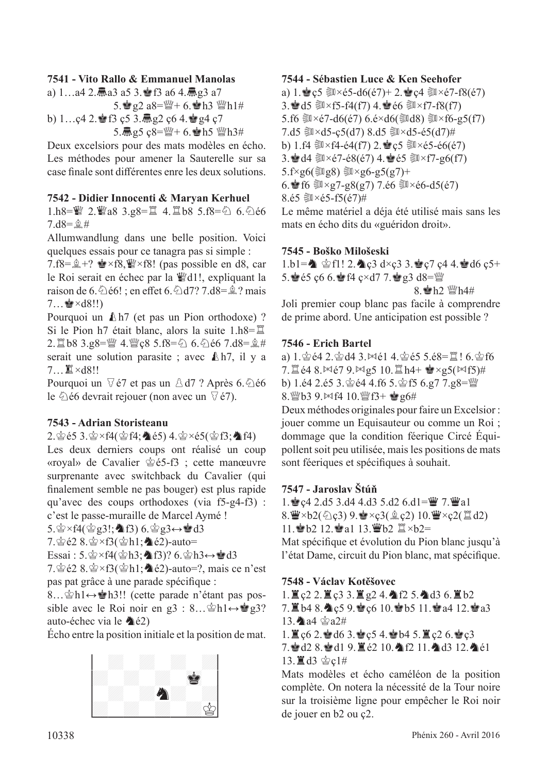#### **7541 - Vito Rallo & Emmanuel Manolas**

a) 1…a4 2. $\overline{m}$ a3 a5 3.會f3 a6 4. $\overline{m}$ g3 a7  $5.\n$ g $2 a8=\n 4 + 6.\n 4 h3 \n 4 h1#$ b)  $1...$ ç4  $2.\bullet$  f3 ç5  $3.\overline{m}$  g2 ç6  $4.\bullet$  g4 ç7 5. $\frac{3}{10}$ g5 ç8= $\frac{100}{10}$ + 6. $\frac{1}{20}$ h5  $\frac{100}{10}$ h3#

Deux excelsiors pour des mats modèles en écho. Les méthodes pour amener la Sauterelle sur sa case fnale sont diférentes enre les deux solutions.

#### **7542 - Didier Innocenti & Maryan Kerhuel**

1.h8= $\mathbb{I}$  2. $\mathbb{I}$ a8 3.g8= $\mathbb{I}$  4. $\mathbb{I}$ b8 5.f8= $\Diamond$  6. $\Diamond$ é6  $7. d8 = 2#$ 

Allumwandlung dans une belle position. Voici quelques essais pour ce tanagra pas si simple :

7.f8= $\hat{\mathbb{R}}$ +?  $\hat{\mathbb{R}}$ ×f8, $\hat{\mathbb{W}}$ ×f8! (pas possible en d8, car le Roi serait en échec par la ¶d1!, expliquant la raison de 6. $\triangle$ é6! ; en effet 6. $\triangle$ d7? 7.d8= $\triangle$ ? mais  $7...$  $\bullet$   $\times$   $d8!!$ 

Pourquoi un  $\mathbb{A}h7$  (et pas un Pion orthodoxe) ? Si le Pion h7 était blanc, alors la suite  $1.h8=\mathbb{Z}$ 2.  $\angle 2.68$  3.g8= $\angle 4.$  $\angle$ ges 5.f8= $\angle 6.6$  6. $\angle 66$  7.d8= $\angle \angle 4$ serait une solution parasite ; avec  $\mathbb{A}$ h7, il y a 7... I ×d8!!

Pourquoi un  $\sqrt{6}$  et pas un  $\triangle$  d7 ? Après 6. $\triangle$ é6 le  $\Diamond$  é6 devrait rejouer (non avec un  $\Diamond$  é7).

#### **7543 - Adrian Storisteanu**

2. $\hat{\mathscr{Q}}$  é5 3. $\hat{\mathscr{Q}}$  ×f4( $\hat{\mathscr{Q}}$  f4; $\hat{\mathscr{Q}}$  é5) 4. $\hat{\mathscr{Q}}$  ×é5( $\hat{\mathscr{Q}}$  f3; $\hat{\mathscr{Q}}$  f4)

Les deux derniers coups ont réalisé un coup «royal» de Cavalier  $\dot{\mathcal{Q}}$ é5-f3 ; cette manœuvre surprenante avec switchback du Cavalier (qui fnalement semble ne pas bouger) est plus rapide qu'avec des coups orthodoxes (via f5-g4-f3) : c'est le passe-muraille de Marcel Aymé !

 $5.\n\&\times f4(\n\&\&\ng3!;\n\&\nf3) 6.\n\&\ng3 \leftrightarrow \n\&\nd3$ 

 $7.\n\circledcirc$   $2.8.\n\circledcirc \times f3(\circledcirc h1;\clubsuit \circledcirc 2)$ -auto=

Essai : 5. $\circledast \times f4(\circledast h3; \bullet f3)$ ? 6. $\circledast h3 \leftrightarrow \circledast d3$ 

7. $\circ$ e2 8. $\circ$   $\times$ f3( $\circ$ h1; $\bullet$ e2)-auto=?, mais ce n'est pas pat grâce à une parade spécifque :

8…\g^\bash1↔\g^\bash3!! (cette parade n'étant pas possible avec le Roi noir en g3 :  $8...\hat{\otimes}h1 \leftrightarrow \otimes g3$ ? auto-échec via le  $\triangle$ é2)

Écho entre la position initiale et la position de mat.





## **7544 - Sébastien Luce & Ken Seehofer**

a) 1. $\mathbf{e}_s \in \mathbb{R} \times 65 - d6(67) + 2.$  $\mathbf{e}_s \in \mathbb{R} \times 67 - f8(67)$ 3. d5  $W\times f5-f4(f7)$  4. e  $66 W\times f7-f8(f7)$ 5.f6 ③×é7-d6(é7) 6.é×d6(③d8) ③×f6-g5(f7) 7.d5  $3 \times d5 - c5(d7) 8.d5$   $3 \times d5 - 65(d7)$ # b) 1.f4  $\text{M} \times$ f4-é4(f7) 2. $\text{C}$   $\text{C}$   $\text{M} \times$ é5-é6(é7) 3. d4  $W\times$ é7-é8(é7) 4.  $\bullet$ é5  $W\times$ f7-g6(f7)  $5.f \times g6$ ( $\text{Mg8}$ )  $\text{Mg6-g5(g7)}+$ 6. f6  $\sqrt{2} \times g7 - g8(g7)$  7.é6  $\sqrt{2} \times 66 - d5(67)$ 8.é5 $\sqrt{\frac{20}{5}}$   $\times$ é5-f5(é7)# Le même matériel a déja été utilisé mais sans les mats en écho dits du «guéridon droit».

#### **7545 - Boško Milošeski**

 $1.b1 = \n\triangle$   $\triangle$  f1! 2.  $\triangle$  c3 d×c3 3. $\triangle$  c7 c4 4.  $\triangle$  d6 c5+ 5. *e* é5 ç6 6. *a* f4 ç×d7 7. **e** g3 d8= $\mathbb{W}$ 

 $8.$   $h2$   $Wh4#$ 

Joli premier coup blanc pas facile à comprendre de prime abord. Une anticipation est possible ?

#### **7546 - Erich Bartel**

a)  $1.\n$ gé4  $2.\n$ gd4  $3.\n$  $\bowtie$ é1  $4.\n$ gé5  $5.\n$ é8= $\mathbb{Z}$ !  $6.\n$ gf6  $7.$ te4 8. $\Join$ é7 9. $\Join$ g5 10. $\cong$ h4+  $\cong$ ×g5( $\Join$ f5)# b) 1.é4 2.é5 3. $\circledast$ é4 4.f6 5. $\circledast$ f5 6.g7 7.g8= $\circledast$ 8. @b3 9. $Mf4$  10. @f3+  $g6#$ 

Deux méthodes originales pour faire un Excelsior : jouer comme un Equisauteur ou comme un Roi ; dommage que la condition féerique Circé Équipollent soit peu utilisée, mais les positions de mats sont féeriques et spécifques à souhait.

#### **7547 - Jaroslav Štúň**

1.  $\leq$  c4 2.d5 3.d4 4.d3 5.d2 6.d1= $\leq$  7.  $\leq$  a1  $8.\mathbf{W} \times b2(\text{Qc3})$  9. $\mathbf{W} \times c3(\text{Qc2})$  10. $\mathbf{W} \times c2(\text{Zd2})$ 

11. b2 12. a1 13. b2  $\mathbb{Z} \times b2 =$ 

Mat spécifque et évolution du Pion blanc jusqu'à l'état Dame, circuit du Pion blanc, mat spécifque.

**7548 - Václav Kotěšovec**

 $1.$   $\leq$   $c2$   $2.$   $\leq$   $c3$   $3.$   $\leq$   $g2$   $4.$   $\land$   $f2$   $5.$   $\land$   $d3$   $6.$   $\leq$   $b2$  $7.$  Nb<sub>4</sub> 8. $\spadesuit$  c<sub>5</sub> 9.  $\spadesuit$  c6 10.  $\spadesuit$  b5 11.  $\spadesuit$  a4 12.  $\spadesuit$  a3 13. a4  $\approx$  a2# 1.  $\angle$  c6 2.  $\angle$  d6 3.  $\angle$  c5 4.  $\angle$  b4 5.  $\angle$  c2 6.  $\angle$  c3 7. gd2 8. gd1 9. 直é2 10. 角f2 11. 角d3 12. 角é1 13. $\angle$ d3  $\&$ c1#

Mats modèles et écho caméléon de la position complète. On notera la nécessité de la Tour noire sur la troisième ligne pour empêcher le Roi noir de jouer en b2 ou ç2.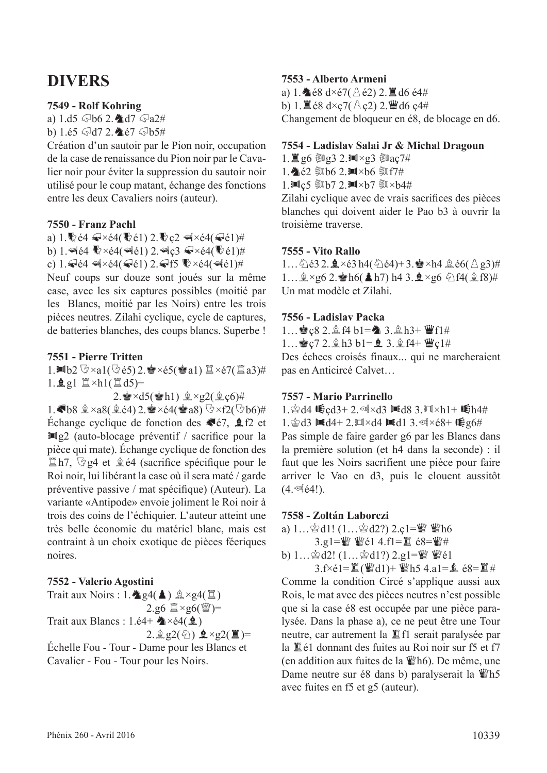## **DIVERS**

#### **7549 - Rolf Kohring**

a)  $1. d5 \sqrt{6} 2.$  17  $\sqrt{6} a2#$ b) 1.é5  $\sqrt{d}$ 7 2. $\triangleq$ é7  $\sqrt{d}$ b5#

Création d'un sautoir par le Pion noir, occupation de la case de renaissance du Pion noir par le Cavalier noir pour éviter la suppression du sautoir noir utilisé pour le coup matant, échange des fonctions entre les deux Cavaliers noirs (auteur).

#### **7550 - Franz Pachl**

a) 1.  $64 \le x \le 4$ ( $61$ ) 2.  $c2 \le x \le 4$ ( $61$ )# b) 1.  $A(4 \n\mathbb{R} \times 64)$  and  $2.$   $A_0c3$   $A \times 64$   $(61)$ # c)  $1.$   $64$   $\leq$   $4$   $\times$   $64$   $\leq$   $61$ )  $2.$   $\leq$  f5  $\leq$   $\times$   $64$   $\leq$   $4$   $61)$   $\#$ 

Neuf coups sur douze sont joués sur la même case, avec les six captures possibles (moitié par les Blancs, moitié par les Noirs) entre les trois pièces neutres. Zilahi cyclique, cycle de captures, de batteries blanches, des coups blancs. Superbe !

#### **7551 - Pierre Tritten**

1.IOb2  $\Im \times$ a1( $\Im$ é5) 2. $\dot{\mathbf{g}} \times$ é5( $\dot{\mathbf{g}}$ a1)  $\mathbb{Z} \times$ é7( $\mathbb{Z}$ a3)#  $1.\,\Omega\,gl\cong \times h1(\Xi\,d5)+$ 

 $2.\blacktriangle$ ×d5( $\blacktriangleleft$ h1)  $\triangleq$ ×g2( $\triangleq$ c6)# 1. b8  $\hat{\mathbb{Z}} \times a8(\hat{\mathbb{Z}} \in 4)$  2.  $\hat{\mathbb{Z}} \times \in 4(\hat{\mathbb{Z}} \times a8)$   $\mathbb{Q} \times f2(\mathbb{Q} \times b6)$ # Échange cyclique de fonction des  $\blacktriangleright$   $\epsilon$ 7,  $\blacktriangle$  f2 et  $\mathbb{H}$ g2 (auto-blocage préventif / sacrifice pour la pièce qui mate). Échange cyclique de fonction des  $\mathbb{Z}$ h7,  $\mathbb{Q}$ g4 et  $\hat{\mathbb{Z}}$ é4 (sacrifice spécifique pour le Roi noir, lui libérant la case où il sera maté / garde préventive passive / mat spécifque) (Auteur). La variante «Antipode» envoie joliment le Roi noir à trois des coins de l'échiquier. L'auteur atteint une très belle économie du matériel blanc, mais est contraint à un choix exotique de pièces féeriques noires.

**7552 - Valerio Agostini** 

Trait aux Noirs : 1.  $\triangleq$  g4( $\triangleq$ )  $\triangleq \times$ g4( $\triangleq$ )  $2.g6 \ncong \times g6$ ( $\omega$ = Trait aux Blancs : 1.é4+  $\triangle\times$ é4( $\triangle$ )  $2.\hat{2}g2(\hat{z})$   $\hat{z} \times g2(\hat{z})$ = Échelle Fou - Tour - Dame pour les Blancs et

Cavalier - Fou - Tour pour les Noirs.

#### **7553 - Alberto Armeni**

a) 1. $\triangle 68 \text{ d} \times 67$ ( $\triangle 62$ ) 2.  $\triangle 16 \text{ e}^2$ b) 1.  $\mathbb{Z}$  é8 d×c7( $\triangle$  c2) 2. $\mathbb{Z}$ d6 c4# Changement de bloqueur en é8, de blocage en d6.

#### **7554 - Ladislav Salai Jr & Michal Dragoun**

 $1.\n\mathbb{Z}$  g6 ③g3 2. $\mathbb{M} \times$ g3 ③aç7#

1. 全名 鄭b6 2.1 × b6 鄭f7#

1. $\mathbb{M}$ ç5  $\mathbb{S}$ b7 2. $\mathbb{M} \times$ b7  $\mathbb{S} \times$ b4#

Zilahi cyclique avec de vrais sacrifces des pièces blanches qui doivent aider le Pao b3 à ouvrir la troisième traverse.

#### **7555 - Vito Rallo**

1... $\hat{\triangle}$ é3 2. $\hat{\mathbf{Q}} \times$ é3 h4( $\hat{\triangle}$ é4)+ 3. $\hat{\mathbf{Q}} \times$ h4  $\hat{\triangle}$ é6( $\hat{\triangle}$ g3)#  $1...$  $2 \times g6$  2. Ph6(Ah7) h4 3. $2 \times g6$   $2f4(2f8)$ # Un mat modèle et Zilahi.

#### **7556 - Ladislav Packa**

1...  $\leq c8$  2.  $\ln(4 b1 = 3.2 h3 + \frac{m}{2}f1 \#$  $1...$ g c 7 2.  $\ln 3$  b1= $\ln 3$ .  $\ln 4 + \frac{w}{2}$ c1#

Des échecs croisés finaux... qui ne marcheraient pas en Anticircé Calvet…

#### **7557 - Mario Parrinello**

1. $\circledast$ d4  $\mathfrak{E}$ cd3+2. $\circledast$ ×d3  $\mathfrak{m}$ d8 3. $\mathfrak{m} \times h$ 1+  $\mathfrak{E}$ h4# 1. $\circled{2}$ d3  $\mathbb{M}$ d4+ 2. $\mathbb{M} \times$ d4  $\mathbb{M}$ d1 3. $\circled{4} \times \circ 8 + \mathbb{M}$ g6# Pas simple de faire garder g6 par les Blancs dans la première solution (et h4 dans la seconde) : il faut que les Noirs sacrifient une pièce pour faire arriver le Vao en d3, puis le clouent aussitôt  $(4.$   $\circ$   $(4!)$ .

#### **7558 - Zoltán Laborczi**

a)  $1...\oplus d1!$   $(1...\oplus d2!)$   $2.c1=\mathbb{W}$   $\mathbb{W}$ h6  $3.91 =$  $%$   $% 14.11 =$  $% 68 =$  $% 44.11 =$  $% 68 =$  $% 44.11 =$  $% 68 =$  $% 44.11 =$  $% 68 =$  $% 64 =$  $% 64 =$ 

b) 1...  $\&$  d2! (1...  $\&$  d1?) 2.g1= $\&$   $\&$   $\&$   $\&$   $\&$ 

3.f $\times$ é1= $\mathbb{Z}$ ( $\mathbb{W}$ d1)+  $\mathbb{W}$ h5 4.a1= $\mathbb{Q}$  é8= $\mathbb{Z}$ # Comme la condition Circé s'applique aussi aux Rois, le mat avec des pièces neutres n'est possible que si la case é8 est occupée par une pièce paralysée. Dans la phase a), ce ne peut être une Tour neutre, car autrement la  $E$  f1 serait paralysée par la é1 donnant des fuites au Roi noir sur f5 et f7 (en addition aux fuites de la  $\mathbb{W}$ h6). De même, une Dame neutre sur é8 dans b) paralyserait la  $\mathcal{W}$ h5 avec fuites en f5 et g5 (auteur).